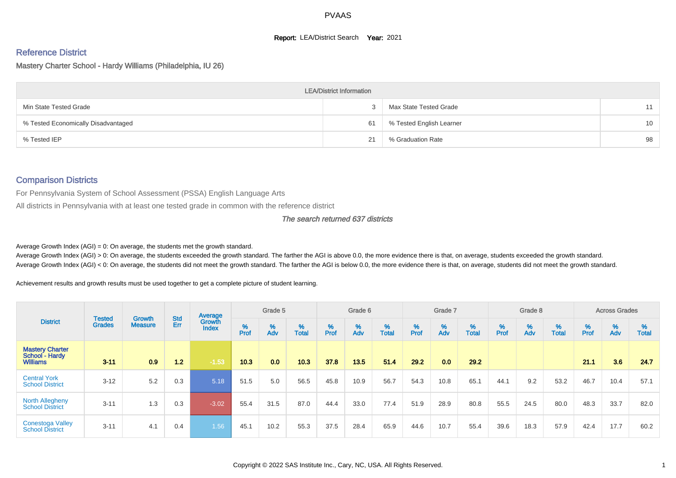#### **Report: LEA/District Search Year: 2021**

# Reference District

Mastery Charter School - Hardy Williams (Philadelphia, IU 26)

|                                     | <b>LEA/District Information</b> |                          |                 |
|-------------------------------------|---------------------------------|--------------------------|-----------------|
| Min State Tested Grade              |                                 | Max State Tested Grade   | 11              |
| % Tested Economically Disadvantaged | 61                              | % Tested English Learner | 10 <sup>1</sup> |
| % Tested IEP                        | 21                              | % Graduation Rate        | 98              |

#### Comparison Districts

For Pennsylvania System of School Assessment (PSSA) English Language Arts

All districts in Pennsylvania with at least one tested grade in common with the reference district

#### The search returned 637 districts

Average Growth Index  $(AGI) = 0$ : On average, the students met the growth standard.

Average Growth Index (AGI) > 0: On average, the students exceeded the growth standard. The farther the AGI is above 0.0, the more evidence there is that, on average, students exceeded the growth standard. Average Growth Index (AGI) < 0: On average, the students did not meet the growth standard. The farther the AGI is below 0.0, the more evidence there is that, on average, students did not meet the growth standard.

Achievement results and growth results must be used together to get a complete picture of student learning.

|                                                             |                                |                                 |                   | Average                |           | Grade 5  |                   |           | Grade 6  |                   |           | Grade 7  |                   |           | Grade 8  |                   |           | <b>Across Grades</b> |                   |
|-------------------------------------------------------------|--------------------------------|---------------------------------|-------------------|------------------------|-----------|----------|-------------------|-----------|----------|-------------------|-----------|----------|-------------------|-----------|----------|-------------------|-----------|----------------------|-------------------|
| <b>District</b>                                             | <b>Tested</b><br><b>Grades</b> | <b>Growth</b><br><b>Measure</b> | <b>Std</b><br>Err | Growth<br><b>Index</b> | %<br>Prof | %<br>Adv | %<br><b>Total</b> | %<br>Prof | %<br>Adv | %<br><b>Total</b> | %<br>Prof | %<br>Adv | %<br><b>Total</b> | %<br>Prof | %<br>Adv | %<br><b>Total</b> | %<br>Prof | %<br>Adv             | %<br><b>Total</b> |
| <b>Mastery Charter</b><br>School - Hardy<br><b>Williams</b> | $3 - 11$                       | 0.9                             | 1.2               | $-1.53$                | 10.3      | 0.0      | 10.3              | 37.8      | 13.5     | 51.4              | 29.2      | 0.0      | 29.2              |           |          |                   | 21.1      | 3.6                  | 24.7              |
| <b>Central York</b><br><b>School District</b>               | $3 - 12$                       | 5.2                             | 0.3               | 5.18                   | 51.5      | 5.0      | 56.5              | 45.8      | 10.9     | 56.7              | 54.3      | 10.8     | 65.1              | 44.1      | 9.2      | 53.2              | 46.7      | 10.4                 | 57.1              |
| <b>North Allegheny</b><br><b>School District</b>            | $3 - 11$                       | 1.3                             | 0.3               | $-3.02$                | 55.4      | 31.5     | 87.0              | 44.4      | 33.0     | 77.4              | 51.9      | 28.9     | 80.8              | 55.5      | 24.5     | 80.0              | 48.3      | 33.7                 | 82.0              |
| <b>Conestoga Valley</b><br><b>School District</b>           | $3 - 11$                       | 4.1                             | 0.4               | 1.56                   | 45.1      | 10.2     | 55.3              | 37.5      | 28.4     | 65.9              | 44.6      | 10.7     | 55.4              | 39.6      | 18.3     | 57.9              | 42.4      | 17.7                 | 60.2              |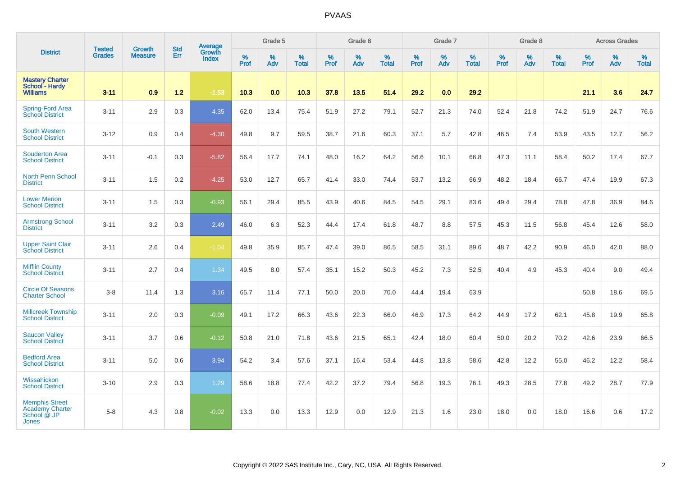| <b>District</b>                                                                |                                |                                 | <b>Std</b> | Average                       |           | Grade 5  |                   |           | Grade 6  |                   |           | Grade 7  |                   |           | Grade 8  |                   |           | <b>Across Grades</b> |                   |
|--------------------------------------------------------------------------------|--------------------------------|---------------------------------|------------|-------------------------------|-----------|----------|-------------------|-----------|----------|-------------------|-----------|----------|-------------------|-----------|----------|-------------------|-----------|----------------------|-------------------|
|                                                                                | <b>Tested</b><br><b>Grades</b> | <b>Growth</b><br><b>Measure</b> | Err        | <b>Growth</b><br><b>Index</b> | %<br>Prof | %<br>Adv | %<br><b>Total</b> | %<br>Prof | %<br>Adv | %<br><b>Total</b> | %<br>Prof | %<br>Adv | %<br><b>Total</b> | %<br>Prof | %<br>Adv | %<br><b>Total</b> | %<br>Prof | %<br>Adv             | %<br><b>Total</b> |
| <b>Mastery Charter</b><br>School - Hardy<br><b>Williams</b>                    | $3 - 11$                       | 0.9                             | $1.2$      | $-1.53$                       | 10.3      | 0.0      | 10.3              | 37.8      | 13.5     | 51.4              | 29.2      | 0.0      | 29.2              |           |          |                   | 21.1      | 3.6                  | 24.7              |
| Spring-Ford Area<br>School District                                            | $3 - 11$                       | 2.9                             | 0.3        | 4.35                          | 62.0      | 13.4     | 75.4              | 51.9      | 27.2     | 79.1              | 52.7      | 21.3     | 74.0              | 52.4      | 21.8     | 74.2              | 51.9      | 24.7                 | 76.6              |
| <b>South Western</b><br><b>School District</b>                                 | $3 - 12$                       | 0.9                             | 0.4        | $-4.30$                       | 49.8      | 9.7      | 59.5              | 38.7      | 21.6     | 60.3              | 37.1      | 5.7      | 42.8              | 46.5      | 7.4      | 53.9              | 43.5      | 12.7                 | 56.2              |
| <b>Souderton Area</b><br><b>School District</b>                                | $3 - 11$                       | $-0.1$                          | 0.3        | $-5.82$                       | 56.4      | 17.7     | 74.1              | 48.0      | 16.2     | 64.2              | 56.6      | 10.1     | 66.8              | 47.3      | 11.1     | 58.4              | 50.2      | 17.4                 | 67.7              |
| <b>North Penn School</b><br><b>District</b>                                    | $3 - 11$                       | 1.5                             | 0.2        | $-4.25$                       | 53.0      | 12.7     | 65.7              | 41.4      | 33.0     | 74.4              | 53.7      | 13.2     | 66.9              | 48.2      | 18.4     | 66.7              | 47.4      | 19.9                 | 67.3              |
| <b>Lower Merion</b><br><b>School District</b>                                  | $3 - 11$                       | 1.5                             | 0.3        | $-0.93$                       | 56.1      | 29.4     | 85.5              | 43.9      | 40.6     | 84.5              | 54.5      | 29.1     | 83.6              | 49.4      | 29.4     | 78.8              | 47.8      | 36.9                 | 84.6              |
| <b>Armstrong School</b><br><b>District</b>                                     | $3 - 11$                       | 3.2                             | 0.3        | 2.49                          | 46.0      | 6.3      | 52.3              | 44.4      | 17.4     | 61.8              | 48.7      | 8.8      | 57.5              | 45.3      | 11.5     | 56.8              | 45.4      | 12.6                 | 58.0              |
| <b>Upper Saint Clair</b><br><b>School District</b>                             | $3 - 11$                       | 2.6                             | 0.4        | $-1.04$                       | 49.8      | 35.9     | 85.7              | 47.4      | 39.0     | 86.5              | 58.5      | 31.1     | 89.6              | 48.7      | 42.2     | 90.9              | 46.0      | 42.0                 | 88.0              |
| <b>Mifflin County</b><br><b>School District</b>                                | $3 - 11$                       | 2.7                             | 0.4        | 1.34                          | 49.5      | 8.0      | 57.4              | 35.1      | 15.2     | 50.3              | 45.2      | 7.3      | 52.5              | 40.4      | 4.9      | 45.3              | 40.4      | 9.0                  | 49.4              |
| <b>Circle Of Seasons</b><br><b>Charter School</b>                              | $3-8$                          | 11.4                            | 1.3        | 3.16                          | 65.7      | 11.4     | 77.1              | 50.0      | 20.0     | 70.0              | 44.4      | 19.4     | 63.9              |           |          |                   | 50.8      | 18.6                 | 69.5              |
| <b>Millcreek Township</b><br><b>School District</b>                            | $3 - 11$                       | 2.0                             | 0.3        | $-0.09$                       | 49.1      | 17.2     | 66.3              | 43.6      | 22.3     | 66.0              | 46.9      | 17.3     | 64.2              | 44.9      | 17.2     | 62.1              | 45.8      | 19.9                 | 65.8              |
| <b>Saucon Valley</b><br><b>School District</b>                                 | $3 - 11$                       | 3.7                             | 0.6        | $-0.12$                       | 50.8      | 21.0     | 71.8              | 43.6      | 21.5     | 65.1              | 42.4      | 18.0     | 60.4              | 50.0      | 20.2     | 70.2              | 42.6      | 23.9                 | 66.5              |
| <b>Bedford Area</b><br><b>School District</b>                                  | $3 - 11$                       | 5.0                             | 0.6        | 3.94                          | 54.2      | 3.4      | 57.6              | 37.1      | 16.4     | 53.4              | 44.8      | 13.8     | 58.6              | 42.8      | 12.2     | 55.0              | 46.2      | 12.2                 | 58.4              |
| Wissahickon<br><b>School District</b>                                          | $3 - 10$                       | 2.9                             | 0.3        | 1.29                          | 58.6      | 18.8     | 77.4              | 42.2      | 37.2     | 79.4              | 56.8      | 19.3     | 76.1              | 49.3      | 28.5     | 77.8              | 49.2      | 28.7                 | 77.9              |
| <b>Memphis Street</b><br><b>Academy Charter</b><br>School @ JP<br><b>Jones</b> | $5-8$                          | 4.3                             | 0.8        | $-0.02$                       | 13.3      | 0.0      | 13.3              | 12.9      | 0.0      | 12.9              | 21.3      | 1.6      | 23.0              | 18.0      | 0.0      | 18.0              | 16.6      | 0.6                  | 17.2              |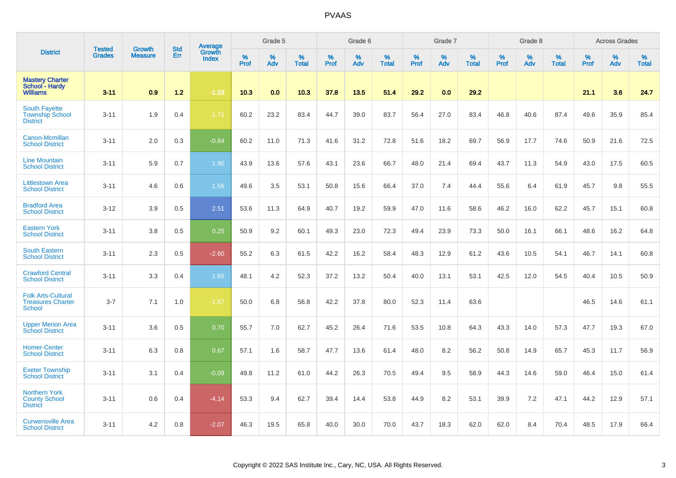| <b>District</b>                                                        |                                |                                 | <b>Std</b> | Average                |              | Grade 5  |                   |           | Grade 6  |                   |              | Grade 7  |                   |           | Grade 8  |                   |           | <b>Across Grades</b> |                   |
|------------------------------------------------------------------------|--------------------------------|---------------------------------|------------|------------------------|--------------|----------|-------------------|-----------|----------|-------------------|--------------|----------|-------------------|-----------|----------|-------------------|-----------|----------------------|-------------------|
|                                                                        | <b>Tested</b><br><b>Grades</b> | <b>Growth</b><br><b>Measure</b> | Err        | Growth<br><b>Index</b> | $\%$<br>Prof | %<br>Adv | %<br><b>Total</b> | %<br>Prof | %<br>Adv | %<br><b>Total</b> | $\%$<br>Prof | %<br>Adv | %<br><b>Total</b> | %<br>Prof | %<br>Adv | %<br><b>Total</b> | %<br>Prof | %<br>Adv             | %<br><b>Total</b> |
| <b>Mastery Charter</b><br>School - Hardy<br><b>Williams</b>            | $3 - 11$                       | 0.9                             | 1.2        | $-1.53$                | 10.3         | 0.0      | 10.3              | 37.8      | 13.5     | 51.4              | 29.2         | 0.0      | 29.2              |           |          |                   | 21.1      | 3.6                  | 24.7              |
| <b>South Fayette</b><br><b>Township School</b><br><b>District</b>      | $3 - 11$                       | 1.9                             | 0.4        | $-1.71$                | 60.2         | 23.2     | 83.4              | 44.7      | 39.0     | 83.7              | 56.4         | 27.0     | 83.4              | 46.8      | 40.6     | 87.4              | 49.6      | 35.9                 | 85.4              |
| Canon-Mcmillan<br><b>School District</b>                               | $3 - 11$                       | 2.0                             | 0.3        | $-0.84$                | 60.2         | 11.0     | 71.3              | 41.6      | 31.2     | 72.8              | 51.6         | 18.2     | 69.7              | 56.9      | 17.7     | 74.6              | 50.9      | 21.6                 | 72.5              |
| <b>Line Mountain</b><br><b>School District</b>                         | $3 - 11$                       | 5.9                             | 0.7        | 1.90                   | 43.9         | 13.6     | 57.6              | 43.1      | 23.6     | 66.7              | 48.0         | 21.4     | 69.4              | 43.7      | 11.3     | 54.9              | 43.0      | 17.5                 | 60.5              |
| <b>Littlestown Area</b><br><b>School District</b>                      | $3 - 11$                       | 4.6                             | 0.6        | 1.56                   | 49.6         | 3.5      | 53.1              | 50.8      | 15.6     | 66.4              | 37.0         | 7.4      | 44.4              | 55.6      | 6.4      | 61.9              | 45.7      | 9.8                  | 55.5              |
| <b>Bradford Area</b><br><b>School District</b>                         | $3 - 12$                       | 3.9                             | 0.5        | 2.51                   | 53.6         | 11.3     | 64.9              | 40.7      | 19.2     | 59.9              | 47.0         | 11.6     | 58.6              | 46.2      | 16.0     | 62.2              | 45.7      | 15.1                 | 60.8              |
| <b>Eastern York</b><br><b>School District</b>                          | $3 - 11$                       | 3.8                             | 0.5        | 0.25                   | 50.9         | 9.2      | 60.1              | 49.3      | 23.0     | 72.3              | 49.4         | 23.9     | 73.3              | 50.0      | 16.1     | 66.1              | 48.6      | 16.2                 | 64.8              |
| <b>South Eastern</b><br><b>School District</b>                         | $3 - 11$                       | 2.3                             | 0.5        | $-2.60$                | 55.2         | 6.3      | 61.5              | 42.2      | 16.2     | 58.4              | 48.3         | 12.9     | 61.2              | 43.6      | 10.5     | 54.1              | 46.7      | 14.1                 | 60.8              |
| <b>Crawford Central</b><br><b>School District</b>                      | $3 - 11$                       | 3.3                             | 0.4        | 1.65                   | 48.1         | 4.2      | 52.3              | 37.2      | 13.2     | 50.4              | 40.0         | 13.1     | 53.1              | 42.5      | 12.0     | 54.5              | 40.4      | 10.5                 | 50.9              |
| <b>Folk Arts-Cultural</b><br><b>Treasures Charter</b><br><b>School</b> | $3 - 7$                        | 7.1                             | 1.0        | $-1.67$                | 50.0         | 6.8      | 56.8              | 42.2      | 37.8     | 80.0              | 52.3         | 11.4     | 63.6              |           |          |                   | 46.5      | 14.6                 | 61.1              |
| <b>Upper Merion Area</b><br><b>School District</b>                     | $3 - 11$                       | 3.6                             | 0.5        | 0.70                   | 55.7         | 7.0      | 62.7              | 45.2      | 26.4     | 71.6              | 53.5         | 10.8     | 64.3              | 43.3      | 14.0     | 57.3              | 47.7      | 19.3                 | 67.0              |
| <b>Homer-Center</b><br><b>School District</b>                          | $3 - 11$                       | 6.3                             | 0.8        | 0.67                   | 57.1         | 1.6      | 58.7              | 47.7      | 13.6     | 61.4              | 48.0         | 8.2      | 56.2              | 50.8      | 14.9     | 65.7              | 45.3      | 11.7                 | 56.9              |
| <b>Exeter Township</b><br><b>School District</b>                       | $3 - 11$                       | 3.1                             | 0.4        | $-0.09$                | 49.8         | 11.2     | 61.0              | 44.2      | 26.3     | 70.5              | 49.4         | 9.5      | 58.9              | 44.3      | 14.6     | 59.0              | 46.4      | 15.0                 | 61.4              |
| <b>Northern York</b><br><b>County School</b><br><b>District</b>        | $3 - 11$                       | 0.6                             | 0.4        | $-4.14$                | 53.3         | 9.4      | 62.7              | 39.4      | 14.4     | 53.8              | 44.9         | 8.2      | 53.1              | 39.9      | 7.2      | 47.1              | 44.2      | 12.9                 | 57.1              |
| <b>Curwensville Area</b><br><b>School District</b>                     | $3 - 11$                       | 4.2                             | 0.8        | $-2.07$                | 46.3         | 19.5     | 65.8              | 40.0      | 30.0     | 70.0              | 43.7         | 18.3     | 62.0              | 62.0      | 8.4      | 70.4              | 48.5      | 17.9                 | 66.4              |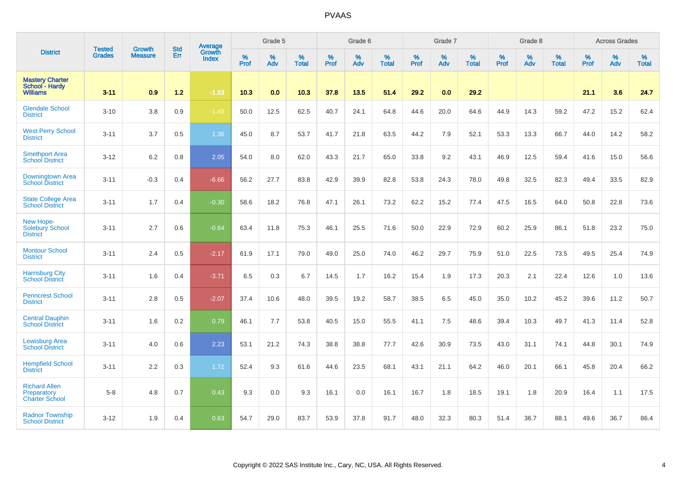| <b>District</b>                                              | <b>Tested</b> | <b>Growth</b>  | <b>Std</b> | Average                       |           | Grade 5  |                   |           | Grade 6  |                   |           | Grade 7  |                   |           | Grade 8  |                   |           | <b>Across Grades</b> |                   |
|--------------------------------------------------------------|---------------|----------------|------------|-------------------------------|-----------|----------|-------------------|-----------|----------|-------------------|-----------|----------|-------------------|-----------|----------|-------------------|-----------|----------------------|-------------------|
|                                                              | <b>Grades</b> | <b>Measure</b> | Err        | <b>Growth</b><br><b>Index</b> | %<br>Prof | %<br>Adv | %<br><b>Total</b> | %<br>Prof | %<br>Adv | %<br><b>Total</b> | %<br>Prof | %<br>Adv | %<br><b>Total</b> | %<br>Prof | %<br>Adv | %<br><b>Total</b> | %<br>Prof | %<br>Adv             | %<br><b>Total</b> |
| <b>Mastery Charter</b><br>School - Hardy<br><b>Williams</b>  | $3 - 11$      | 0.9            | 1.2        | $-1.53$                       | 10.3      | 0.0      | 10.3              | 37.8      | 13.5     | 51.4              | 29.2      | 0.0      | 29.2              |           |          |                   | 21.1      | 3.6                  | 24.7              |
| <b>Glendale School</b><br><b>District</b>                    | $3 - 10$      | 3.8            | 0.9        | $-1.43$                       | 50.0      | 12.5     | 62.5              | 40.7      | 24.1     | 64.8              | 44.6      | 20.0     | 64.6              | 44.9      | 14.3     | 59.2              | 47.2      | 15.2                 | 62.4              |
| <b>West Perry School</b><br><b>District</b>                  | $3 - 11$      | 3.7            | 0.5        | 1.36                          | 45.0      | 8.7      | 53.7              | 41.7      | 21.8     | 63.5              | 44.2      | 7.9      | 52.1              | 53.3      | 13.3     | 66.7              | 44.0      | 14.2                 | 58.2              |
| <b>Smethport Area</b><br><b>School District</b>              | $3 - 12$      | 6.2            | 0.8        | 2.05                          | 54.0      | 8.0      | 62.0              | 43.3      | 21.7     | 65.0              | 33.8      | 9.2      | 43.1              | 46.9      | 12.5     | 59.4              | 41.6      | 15.0                 | 56.6              |
| <b>Downingtown Area</b><br><b>School District</b>            | $3 - 11$      | $-0.3$         | 0.4        | $-6.66$                       | 56.2      | 27.7     | 83.8              | 42.9      | 39.9     | 82.8              | 53.8      | 24.3     | 78.0              | 49.8      | 32.5     | 82.3              | 49.4      | 33.5                 | 82.9              |
| <b>State College Area</b><br><b>School District</b>          | $3 - 11$      | 1.7            | 0.4        | $-0.30$                       | 58.6      | 18.2     | 76.8              | 47.1      | 26.1     | 73.2              | 62.2      | 15.2     | 77.4              | 47.5      | 16.5     | 64.0              | 50.8      | 22.8                 | 73.6              |
| New Hope-<br>Solebury School<br><b>District</b>              | $3 - 11$      | 2.7            | 0.6        | $-0.64$                       | 63.4      | 11.8     | 75.3              | 46.1      | 25.5     | 71.6              | 50.0      | 22.9     | 72.9              | 60.2      | 25.9     | 86.1              | 51.8      | 23.2                 | 75.0              |
| <b>Montour School</b><br><b>District</b>                     | $3 - 11$      | 2.4            | 0.5        | $-2.17$                       | 61.9      | 17.1     | 79.0              | 49.0      | 25.0     | 74.0              | 46.2      | 29.7     | 75.9              | 51.0      | 22.5     | 73.5              | 49.5      | 25.4                 | 74.9              |
| <b>Harrisburg City</b><br><b>School District</b>             | $3 - 11$      | 1.6            | 0.4        | $-3.71$                       | 6.5       | 0.3      | 6.7               | 14.5      | 1.7      | 16.2              | 15.4      | 1.9      | 17.3              | 20.3      | 2.1      | 22.4              | 12.6      | 1.0                  | 13.6              |
| <b>Penncrest School</b><br><b>District</b>                   | $3 - 11$      | 2.8            | 0.5        | $-2.07$                       | 37.4      | 10.6     | 48.0              | 39.5      | 19.2     | 58.7              | 38.5      | 6.5      | 45.0              | 35.0      | 10.2     | 45.2              | 39.6      | 11.2                 | 50.7              |
| <b>Central Dauphin</b><br><b>School District</b>             | $3 - 11$      | 1.6            | 0.2        | 0.79                          | 46.1      | 7.7      | 53.8              | 40.5      | 15.0     | 55.5              | 41.1      | 7.5      | 48.6              | 39.4      | 10.3     | 49.7              | 41.3      | 11.4                 | 52.8              |
| <b>Lewisburg Area</b><br><b>School District</b>              | $3 - 11$      | 4.0            | 0.6        | 2.23                          | 53.1      | 21.2     | 74.3              | 38.8      | 38.8     | 77.7              | 42.6      | 30.9     | 73.5              | 43.0      | 31.1     | 74.1              | 44.8      | 30.1                 | 74.9              |
| <b>Hempfield School</b><br><b>District</b>                   | $3 - 11$      | 2.2            | 0.3        | 1.72                          | 52.4      | 9.3      | 61.6              | 44.6      | 23.5     | 68.1              | 43.1      | 21.1     | 64.2              | 46.0      | 20.1     | 66.1              | 45.8      | 20.4                 | 66.2              |
| <b>Richard Allen</b><br>Preparatory<br><b>Charter School</b> | $5-8$         | 4.8            | 0.7        | 0.43                          | 9.3       | 0.0      | 9.3               | 16.1      | 0.0      | 16.1              | 16.7      | 1.8      | 18.5              | 19.1      | 1.8      | 20.9              | 16.4      | 1.1                  | 17.5              |
| <b>Radnor Township</b><br><b>School District</b>             | $3 - 12$      | 1.9            | 0.4        | 0.63                          | 54.7      | 29.0     | 83.7              | 53.9      | 37.8     | 91.7              | 48.0      | 32.3     | 80.3              | 51.4      | 36.7     | 88.1              | 49.6      | 36.7                 | 86.4              |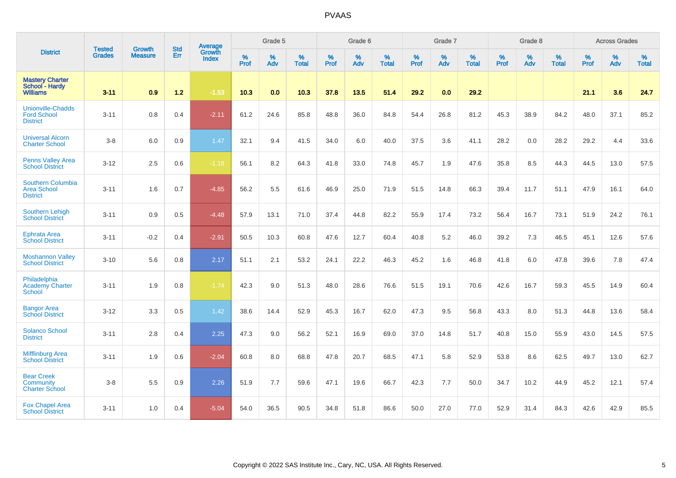|                                                                   |                                |                                 | <b>Std</b> | Average                |                     | Grade 5  |                   |                     | Grade 6  |                   |                     | Grade 7  |                   |                     | Grade 8  |                   |                     | <b>Across Grades</b> |                   |
|-------------------------------------------------------------------|--------------------------------|---------------------------------|------------|------------------------|---------------------|----------|-------------------|---------------------|----------|-------------------|---------------------|----------|-------------------|---------------------|----------|-------------------|---------------------|----------------------|-------------------|
| <b>District</b>                                                   | <b>Tested</b><br><b>Grades</b> | <b>Growth</b><br><b>Measure</b> | Err        | Growth<br><b>Index</b> | $\%$<br><b>Prof</b> | %<br>Adv | %<br><b>Total</b> | $\%$<br><b>Prof</b> | %<br>Adv | %<br><b>Total</b> | $\%$<br><b>Prof</b> | %<br>Adv | %<br><b>Total</b> | $\%$<br><b>Prof</b> | %<br>Adv | %<br><b>Total</b> | $\%$<br><b>Prof</b> | %<br>Adv             | %<br><b>Total</b> |
| <b>Mastery Charter</b><br>School - Hardy<br><b>Williams</b>       | $3 - 11$                       | 0.9                             | $1.2$      | $-1.53$                | 10.3                | 0.0      | 10.3              | 37.8                | 13.5     | 51.4              | 29.2                | 0.0      | 29.2              |                     |          |                   | 21.1                | 3.6                  | 24.7              |
| <b>Unionville-Chadds</b><br><b>Ford School</b><br><b>District</b> | $3 - 11$                       | 0.8                             | 0.4        | $-2.11$                | 61.2                | 24.6     | 85.8              | 48.8                | 36.0     | 84.8              | 54.4                | 26.8     | 81.2              | 45.3                | 38.9     | 84.2              | 48.0                | 37.1                 | 85.2              |
| <b>Universal Alcorn</b><br><b>Charter School</b>                  | $3 - 8$                        | 6.0                             | 0.9        | 1.47                   | 32.1                | 9.4      | 41.5              | 34.0                | 6.0      | 40.0              | 37.5                | 3.6      | 41.1              | 28.2                | 0.0      | 28.2              | 29.2                | 4.4                  | 33.6              |
| <b>Penns Valley Area</b><br><b>School District</b>                | $3 - 12$                       | 2.5                             | 0.6        | $-1.18$                | 56.1                | 8.2      | 64.3              | 41.8                | 33.0     | 74.8              | 45.7                | 1.9      | 47.6              | 35.8                | 8.5      | 44.3              | 44.5                | 13.0                 | 57.5              |
| <b>Southern Columbia</b><br><b>Area School</b><br><b>District</b> | $3 - 11$                       | 1.6                             | 0.7        | $-4.85$                | 56.2                | 5.5      | 61.6              | 46.9                | 25.0     | 71.9              | 51.5                | 14.8     | 66.3              | 39.4                | 11.7     | 51.1              | 47.9                | 16.1                 | 64.0              |
| <b>Southern Lehigh</b><br><b>School District</b>                  | $3 - 11$                       | 0.9                             | 0.5        | $-4.48$                | 57.9                | 13.1     | 71.0              | 37.4                | 44.8     | 82.2              | 55.9                | 17.4     | 73.2              | 56.4                | 16.7     | 73.1              | 51.9                | 24.2                 | 76.1              |
| <b>Ephrata Area</b><br><b>School District</b>                     | $3 - 11$                       | $-0.2$                          | 0.4        | $-2.91$                | 50.5                | 10.3     | 60.8              | 47.6                | 12.7     | 60.4              | 40.8                | 5.2      | 46.0              | 39.2                | 7.3      | 46.5              | 45.1                | 12.6                 | 57.6              |
| <b>Moshannon Valley</b><br><b>School District</b>                 | $3 - 10$                       | 5.6                             | 0.8        | 2.17                   | 51.1                | 2.1      | 53.2              | 24.1                | 22.2     | 46.3              | 45.2                | 1.6      | 46.8              | 41.8                | 6.0      | 47.8              | 39.6                | 7.8                  | 47.4              |
| Philadelphia<br>Academy Charter<br><b>School</b>                  | $3 - 11$                       | 1.9                             | 0.8        | $-1.74$                | 42.3                | 9.0      | 51.3              | 48.0                | 28.6     | 76.6              | 51.5                | 19.1     | 70.6              | 42.6                | 16.7     | 59.3              | 45.5                | 14.9                 | 60.4              |
| <b>Bangor Area</b><br><b>School District</b>                      | $3 - 12$                       | 3.3                             | 0.5        | 1.42                   | 38.6                | 14.4     | 52.9              | 45.3                | 16.7     | 62.0              | 47.3                | 9.5      | 56.8              | 43.3                | 8.0      | 51.3              | 44.8                | 13.6                 | 58.4              |
| <b>Solanco School</b><br><b>District</b>                          | $3 - 11$                       | 2.8                             | 0.4        | 2.25                   | 47.3                | 9.0      | 56.2              | 52.1                | 16.9     | 69.0              | 37.0                | 14.8     | 51.7              | 40.8                | 15.0     | 55.9              | 43.0                | 14.5                 | 57.5              |
| <b>Mifflinburg Area</b><br><b>School District</b>                 | $3 - 11$                       | 1.9                             | 0.6        | $-2.04$                | 60.8                | 8.0      | 68.8              | 47.8                | 20.7     | 68.5              | 47.1                | 5.8      | 52.9              | 53.8                | 8.6      | 62.5              | 49.7                | 13.0                 | 62.7              |
| <b>Bear Creek</b><br>Community<br><b>Charter School</b>           | $3-8$                          | 5.5                             | 0.9        | 2.26                   | 51.9                | 7.7      | 59.6              | 47.1                | 19.6     | 66.7              | 42.3                | 7.7      | 50.0              | 34.7                | 10.2     | 44.9              | 45.2                | 12.1                 | 57.4              |
| <b>Fox Chapel Area</b><br><b>School District</b>                  | $3 - 11$                       | 1.0                             | 0.4        | $-5.04$                | 54.0                | 36.5     | 90.5              | 34.8                | 51.8     | 86.6              | 50.0                | 27.0     | 77.0              | 52.9                | 31.4     | 84.3              | 42.6                | 42.9                 | 85.5              |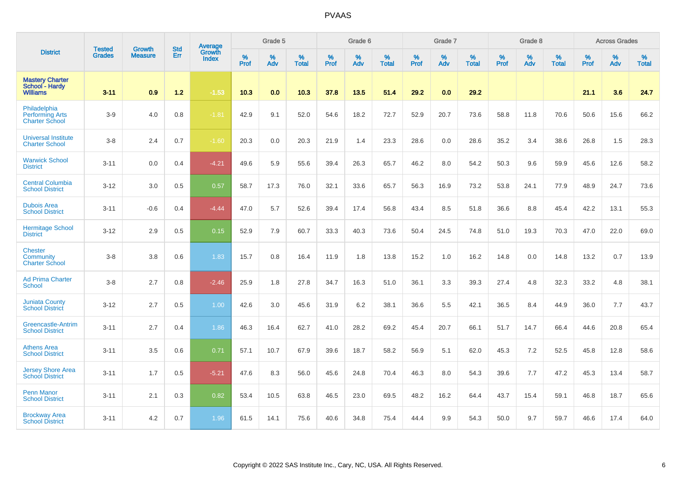| <b>District</b>                                                 |                                | <b>Growth</b>  | <b>Std</b> | Average                       |           | Grade 5  |                   |           | Grade 6  |                   |           | Grade 7  |                   |           | Grade 8  |                   |           | <b>Across Grades</b> |                   |
|-----------------------------------------------------------------|--------------------------------|----------------|------------|-------------------------------|-----------|----------|-------------------|-----------|----------|-------------------|-----------|----------|-------------------|-----------|----------|-------------------|-----------|----------------------|-------------------|
|                                                                 | <b>Tested</b><br><b>Grades</b> | <b>Measure</b> | Err        | <b>Growth</b><br><b>Index</b> | %<br>Prof | %<br>Adv | %<br><b>Total</b> | %<br>Prof | %<br>Adv | %<br><b>Total</b> | %<br>Prof | %<br>Adv | %<br><b>Total</b> | %<br>Prof | %<br>Adv | %<br><b>Total</b> | %<br>Prof | %<br>Adv             | %<br><b>Total</b> |
| <b>Mastery Charter</b><br>School - Hardy<br><b>Williams</b>     | $3 - 11$                       | 0.9            | 1.2        | $-1.53$                       | 10.3      | 0.0      | 10.3              | 37.8      | 13.5     | 51.4              | 29.2      | 0.0      | 29.2              |           |          |                   | 21.1      | 3.6                  | 24.7              |
| Philadelphia<br><b>Performing Arts</b><br><b>Charter School</b> | $3-9$                          | 4.0            | 0.8        | $-1.81$                       | 42.9      | 9.1      | 52.0              | 54.6      | 18.2     | 72.7              | 52.9      | 20.7     | 73.6              | 58.8      | 11.8     | 70.6              | 50.6      | 15.6                 | 66.2              |
| <b>Universal Institute</b><br><b>Charter School</b>             | $3-8$                          | 2.4            | 0.7        | $-1.60$                       | 20.3      | 0.0      | 20.3              | 21.9      | 1.4      | 23.3              | 28.6      | 0.0      | 28.6              | 35.2      | 3.4      | 38.6              | 26.8      | 1.5                  | 28.3              |
| <b>Warwick School</b><br><b>District</b>                        | $3 - 11$                       | 0.0            | 0.4        | $-4.21$                       | 49.6      | 5.9      | 55.6              | 39.4      | 26.3     | 65.7              | 46.2      | 8.0      | 54.2              | 50.3      | 9.6      | 59.9              | 45.6      | 12.6                 | 58.2              |
| <b>Central Columbia</b><br><b>School District</b>               | $3 - 12$                       | 3.0            | 0.5        | 0.57                          | 58.7      | 17.3     | 76.0              | 32.1      | 33.6     | 65.7              | 56.3      | 16.9     | 73.2              | 53.8      | 24.1     | 77.9              | 48.9      | 24.7                 | 73.6              |
| <b>Dubois Area</b><br><b>School District</b>                    | $3 - 11$                       | $-0.6$         | 0.4        | $-4.44$                       | 47.0      | 5.7      | 52.6              | 39.4      | 17.4     | 56.8              | 43.4      | 8.5      | 51.8              | 36.6      | 8.8      | 45.4              | 42.2      | 13.1                 | 55.3              |
| <b>Hermitage School</b><br><b>District</b>                      | $3 - 12$                       | 2.9            | 0.5        | 0.15                          | 52.9      | 7.9      | 60.7              | 33.3      | 40.3     | 73.6              | 50.4      | 24.5     | 74.8              | 51.0      | 19.3     | 70.3              | 47.0      | 22.0                 | 69.0              |
| <b>Chester</b><br>Community<br><b>Charter School</b>            | $3-8$                          | 3.8            | 0.6        | 1.83                          | 15.7      | 0.8      | 16.4              | 11.9      | 1.8      | 13.8              | 15.2      | 1.0      | 16.2              | 14.8      | 0.0      | 14.8              | 13.2      | 0.7                  | 13.9              |
| <b>Ad Prima Charter</b><br>School                               | $3-8$                          | 2.7            | 0.8        | $-2.46$                       | 25.9      | 1.8      | 27.8              | 34.7      | 16.3     | 51.0              | 36.1      | 3.3      | 39.3              | 27.4      | 4.8      | 32.3              | 33.2      | 4.8                  | 38.1              |
| <b>Juniata County</b><br><b>School District</b>                 | $3 - 12$                       | 2.7            | 0.5        | 1.00                          | 42.6      | 3.0      | 45.6              | 31.9      | 6.2      | 38.1              | 36.6      | 5.5      | 42.1              | 36.5      | 8.4      | 44.9              | 36.0      | 7.7                  | 43.7              |
| Greencastle-Antrim<br><b>School District</b>                    | $3 - 11$                       | 2.7            | 0.4        | 1.86                          | 46.3      | 16.4     | 62.7              | 41.0      | 28.2     | 69.2              | 45.4      | 20.7     | 66.1              | 51.7      | 14.7     | 66.4              | 44.6      | 20.8                 | 65.4              |
| <b>Athens Area</b><br><b>School District</b>                    | $3 - 11$                       | 3.5            | 0.6        | 0.71                          | 57.1      | 10.7     | 67.9              | 39.6      | 18.7     | 58.2              | 56.9      | 5.1      | 62.0              | 45.3      | 7.2      | 52.5              | 45.8      | 12.8                 | 58.6              |
| <b>Jersey Shore Area</b><br><b>School District</b>              | $3 - 11$                       | 1.7            | 0.5        | $-5.21$                       | 47.6      | 8.3      | 56.0              | 45.6      | 24.8     | 70.4              | 46.3      | 8.0      | 54.3              | 39.6      | 7.7      | 47.2              | 45.3      | 13.4                 | 58.7              |
| <b>Penn Manor</b><br><b>School District</b>                     | $3 - 11$                       | 2.1            | 0.3        | 0.82                          | 53.4      | 10.5     | 63.8              | 46.5      | 23.0     | 69.5              | 48.2      | 16.2     | 64.4              | 43.7      | 15.4     | 59.1              | 46.8      | 18.7                 | 65.6              |
| <b>Brockway Area</b><br><b>School District</b>                  | $3 - 11$                       | 4.2            | 0.7        | 1.96                          | 61.5      | 14.1     | 75.6              | 40.6      | 34.8     | 75.4              | 44.4      | 9.9      | 54.3              | 50.0      | 9.7      | 59.7              | 46.6      | 17.4                 | 64.0              |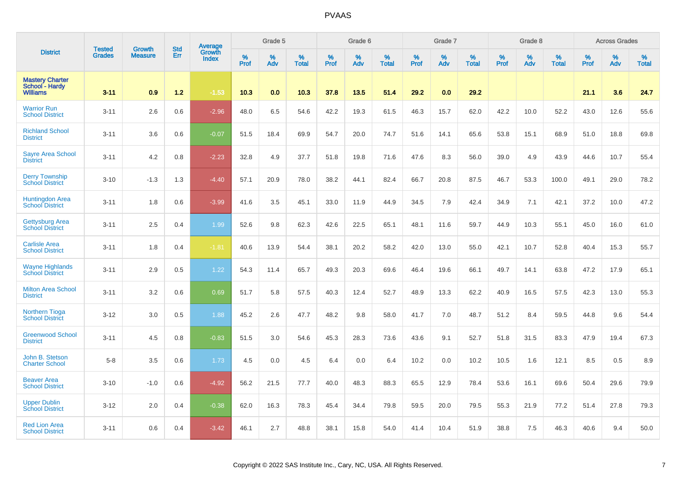| <b>District</b>                                             |                                | <b>Growth</b>  | <b>Std</b> | Average<br>Growth |              | Grade 5  |                   |              | Grade 6  |                   |              | Grade 7  |                      |              | Grade 8  |                      |                     | <b>Across Grades</b> |                      |
|-------------------------------------------------------------|--------------------------------|----------------|------------|-------------------|--------------|----------|-------------------|--------------|----------|-------------------|--------------|----------|----------------------|--------------|----------|----------------------|---------------------|----------------------|----------------------|
|                                                             | <b>Tested</b><br><b>Grades</b> | <b>Measure</b> | Err        | <b>Index</b>      | $\%$<br>Prof | %<br>Adv | %<br><b>Total</b> | $\%$<br>Prof | %<br>Adv | %<br><b>Total</b> | $\%$<br>Prof | %<br>Adv | $\%$<br><b>Total</b> | $\%$<br>Prof | %<br>Adv | $\%$<br><b>Total</b> | $\%$<br><b>Prof</b> | $\%$<br>Adv          | $\%$<br><b>Total</b> |
| <b>Mastery Charter</b><br>School - Hardy<br><b>Williams</b> | $3 - 11$                       | 0.9            | $1.2$      | $-1.53$           | 10.3         | 0.0      | 10.3              | 37.8         | 13.5     | 51.4              | 29.2         | 0.0      | 29.2                 |              |          |                      | 21.1                | 3.6                  | 24.7                 |
| <b>Warrior Run</b><br><b>School District</b>                | $3 - 11$                       | 2.6            | 0.6        | $-2.96$           | 48.0         | 6.5      | 54.6              | 42.2         | 19.3     | 61.5              | 46.3         | 15.7     | 62.0                 | 42.2         | 10.0     | 52.2                 | 43.0                | 12.6                 | 55.6                 |
| <b>Richland School</b><br><b>District</b>                   | $3 - 11$                       | 3.6            | 0.6        | $-0.07$           | 51.5         | 18.4     | 69.9              | 54.7         | 20.0     | 74.7              | 51.6         | 14.1     | 65.6                 | 53.8         | 15.1     | 68.9                 | 51.0                | 18.8                 | 69.8                 |
| <b>Sayre Area School</b><br><b>District</b>                 | $3 - 11$                       | 4.2            | 0.8        | $-2.23$           | 32.8         | 4.9      | 37.7              | 51.8         | 19.8     | 71.6              | 47.6         | 8.3      | 56.0                 | 39.0         | 4.9      | 43.9                 | 44.6                | 10.7                 | 55.4                 |
| <b>Derry Township</b><br><b>School District</b>             | $3 - 10$                       | $-1.3$         | 1.3        | $-4.40$           | 57.1         | 20.9     | 78.0              | 38.2         | 44.1     | 82.4              | 66.7         | 20.8     | 87.5                 | 46.7         | 53.3     | 100.0                | 49.1                | 29.0                 | 78.2                 |
| <b>Huntingdon Area</b><br><b>School District</b>            | $3 - 11$                       | 1.8            | 0.6        | $-3.99$           | 41.6         | 3.5      | 45.1              | 33.0         | 11.9     | 44.9              | 34.5         | 7.9      | 42.4                 | 34.9         | 7.1      | 42.1                 | 37.2                | 10.0                 | 47.2                 |
| <b>Gettysburg Area</b><br><b>School District</b>            | $3 - 11$                       | 2.5            | 0.4        | 1.99              | 52.6         | 9.8      | 62.3              | 42.6         | 22.5     | 65.1              | 48.1         | 11.6     | 59.7                 | 44.9         | 10.3     | 55.1                 | 45.0                | 16.0                 | 61.0                 |
| <b>Carlisle Area</b><br><b>School District</b>              | $3 - 11$                       | 1.8            | 0.4        | $-1.81$           | 40.6         | 13.9     | 54.4              | 38.1         | 20.2     | 58.2              | 42.0         | 13.0     | 55.0                 | 42.1         | 10.7     | 52.8                 | 40.4                | 15.3                 | 55.7                 |
| <b>Wayne Highlands</b><br><b>School District</b>            | $3 - 11$                       | 2.9            | 0.5        | 1.22              | 54.3         | 11.4     | 65.7              | 49.3         | 20.3     | 69.6              | 46.4         | 19.6     | 66.1                 | 49.7         | 14.1     | 63.8                 | 47.2                | 17.9                 | 65.1                 |
| <b>Milton Area School</b><br><b>District</b>                | $3 - 11$                       | 3.2            | 0.6        | 0.69              | 51.7         | 5.8      | 57.5              | 40.3         | 12.4     | 52.7              | 48.9         | 13.3     | 62.2                 | 40.9         | 16.5     | 57.5                 | 42.3                | 13.0                 | 55.3                 |
| <b>Northern Tioga</b><br><b>School District</b>             | $3 - 12$                       | 3.0            | 0.5        | 1.88              | 45.2         | 2.6      | 47.7              | 48.2         | 9.8      | 58.0              | 41.7         | 7.0      | 48.7                 | 51.2         | 8.4      | 59.5                 | 44.8                | 9.6                  | 54.4                 |
| <b>Greenwood School</b><br><b>District</b>                  | $3 - 11$                       | 4.5            | 0.8        | $-0.83$           | 51.5         | 3.0      | 54.6              | 45.3         | 28.3     | 73.6              | 43.6         | 9.1      | 52.7                 | 51.8         | 31.5     | 83.3                 | 47.9                | 19.4                 | 67.3                 |
| John B. Stetson<br><b>Charter School</b>                    | $5-8$                          | 3.5            | 0.6        | 1.73              | 4.5          | 0.0      | 4.5               | 6.4          | 0.0      | 6.4               | 10.2         | 0.0      | 10.2                 | 10.5         | 1.6      | 12.1                 | 8.5                 | 0.5                  | 8.9                  |
| <b>Beaver Area</b><br><b>School District</b>                | $3 - 10$                       | $-1.0$         | 0.6        | $-4.92$           | 56.2         | 21.5     | 77.7              | 40.0         | 48.3     | 88.3              | 65.5         | 12.9     | 78.4                 | 53.6         | 16.1     | 69.6                 | 50.4                | 29.6                 | 79.9                 |
| <b>Upper Dublin</b><br><b>School District</b>               | $3 - 12$                       | 2.0            | 0.4        | $-0.38$           | 62.0         | 16.3     | 78.3              | 45.4         | 34.4     | 79.8              | 59.5         | 20.0     | 79.5                 | 55.3         | 21.9     | 77.2                 | 51.4                | 27.8                 | 79.3                 |
| <b>Red Lion Area</b><br><b>School District</b>              | $3 - 11$                       | 0.6            | 0.4        | $-3.42$           | 46.1         | 2.7      | 48.8              | 38.1         | 15.8     | 54.0              | 41.4         | 10.4     | 51.9                 | 38.8         | 7.5      | 46.3                 | 40.6                | 9.4                  | 50.0                 |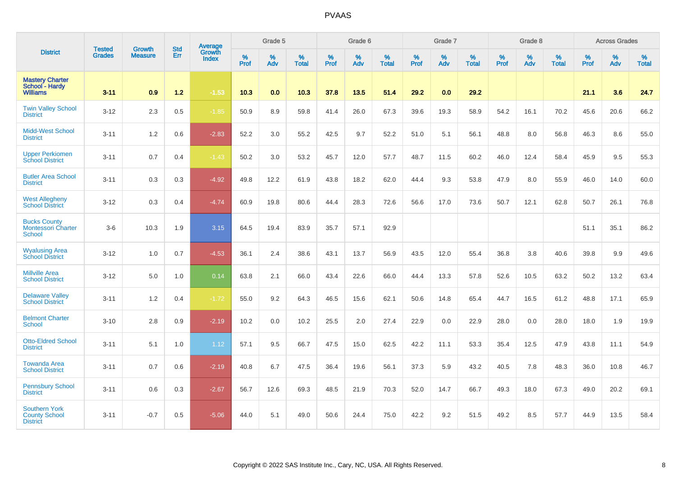| <b>District</b>                                                   |                                |                                 | <b>Std</b> | Average                |           | Grade 5  |                   |           | Grade 6  |                   |           | Grade 7  |                   |           | Grade 8  |                   |           | <b>Across Grades</b> |                   |
|-------------------------------------------------------------------|--------------------------------|---------------------------------|------------|------------------------|-----------|----------|-------------------|-----------|----------|-------------------|-----------|----------|-------------------|-----------|----------|-------------------|-----------|----------------------|-------------------|
|                                                                   | <b>Tested</b><br><b>Grades</b> | <b>Growth</b><br><b>Measure</b> | Err        | Growth<br><b>Index</b> | %<br>Prof | %<br>Adv | %<br><b>Total</b> | %<br>Prof | %<br>Adv | %<br><b>Total</b> | %<br>Prof | %<br>Adv | %<br><b>Total</b> | %<br>Prof | %<br>Adv | %<br><b>Total</b> | %<br>Prof | %<br>Adv             | %<br><b>Total</b> |
| <b>Mastery Charter</b><br>School - Hardy<br><b>Williams</b>       | $3 - 11$                       | 0.9                             | 1.2        | $-1.53$                | 10.3      | 0.0      | 10.3              | 37.8      | 13.5     | 51.4              | 29.2      | 0.0      | 29.2              |           |          |                   | 21.1      | 3.6                  | 24.7              |
| <b>Twin Valley School</b><br><b>District</b>                      | $3 - 12$                       | 2.3                             | 0.5        | $-1.85$                | 50.9      | 8.9      | 59.8              | 41.4      | 26.0     | 67.3              | 39.6      | 19.3     | 58.9              | 54.2      | 16.1     | 70.2              | 45.6      | 20.6                 | 66.2              |
| <b>Midd-West School</b><br><b>District</b>                        | $3 - 11$                       | 1.2                             | 0.6        | $-2.83$                | 52.2      | 3.0      | 55.2              | 42.5      | 9.7      | 52.2              | 51.0      | 5.1      | 56.1              | 48.8      | 8.0      | 56.8              | 46.3      | 8.6                  | 55.0              |
| <b>Upper Perkiomen</b><br><b>School District</b>                  | $3 - 11$                       | 0.7                             | 0.4        | $-1.43$                | 50.2      | 3.0      | 53.2              | 45.7      | 12.0     | 57.7              | 48.7      | 11.5     | 60.2              | 46.0      | 12.4     | 58.4              | 45.9      | 9.5                  | 55.3              |
| <b>Butler Area School</b><br><b>District</b>                      | $3 - 11$                       | 0.3                             | 0.3        | $-4.92$                | 49.8      | 12.2     | 61.9              | 43.8      | 18.2     | 62.0              | 44.4      | 9.3      | 53.8              | 47.9      | 8.0      | 55.9              | 46.0      | 14.0                 | 60.0              |
| <b>West Allegheny</b><br><b>School District</b>                   | $3 - 12$                       | 0.3                             | 0.4        | $-4.74$                | 60.9      | 19.8     | 80.6              | 44.4      | 28.3     | 72.6              | 56.6      | 17.0     | 73.6              | 50.7      | 12.1     | 62.8              | 50.7      | 26.1                 | 76.8              |
| <b>Bucks County</b><br><b>Montessori Charter</b><br><b>School</b> | $3-6$                          | 10.3                            | 1.9        | 3.15                   | 64.5      | 19.4     | 83.9              | 35.7      | 57.1     | 92.9              |           |          |                   |           |          |                   | 51.1      | 35.1                 | 86.2              |
| <b>Wyalusing Area</b><br><b>School District</b>                   | $3 - 12$                       | 1.0                             | 0.7        | $-4.53$                | 36.1      | 2.4      | 38.6              | 43.1      | 13.7     | 56.9              | 43.5      | 12.0     | 55.4              | 36.8      | 3.8      | 40.6              | 39.8      | 9.9                  | 49.6              |
| <b>Millville Area</b><br><b>School District</b>                   | $3 - 12$                       | 5.0                             | 1.0        | 0.14                   | 63.8      | 2.1      | 66.0              | 43.4      | 22.6     | 66.0              | 44.4      | 13.3     | 57.8              | 52.6      | 10.5     | 63.2              | 50.2      | 13.2                 | 63.4              |
| <b>Delaware Valley</b><br><b>School District</b>                  | $3 - 11$                       | 1.2                             | 0.4        | $-1.72$                | 55.0      | 9.2      | 64.3              | 46.5      | 15.6     | 62.1              | 50.6      | 14.8     | 65.4              | 44.7      | 16.5     | 61.2              | 48.8      | 17.1                 | 65.9              |
| <b>Belmont Charter</b><br><b>School</b>                           | $3 - 10$                       | 2.8                             | 0.9        | $-2.19$                | 10.2      | 0.0      | 10.2              | 25.5      | 2.0      | 27.4              | 22.9      | 0.0      | 22.9              | 28.0      | 0.0      | 28.0              | 18.0      | 1.9                  | 19.9              |
| <b>Otto-Eldred School</b><br><b>District</b>                      | $3 - 11$                       | 5.1                             | 1.0        | 1.12                   | 57.1      | 9.5      | 66.7              | 47.5      | 15.0     | 62.5              | 42.2      | 11.1     | 53.3              | 35.4      | 12.5     | 47.9              | 43.8      | 11.1                 | 54.9              |
| <b>Towanda Area</b><br><b>School District</b>                     | $3 - 11$                       | 0.7                             | 0.6        | $-2.19$                | 40.8      | 6.7      | 47.5              | 36.4      | 19.6     | 56.1              | 37.3      | 5.9      | 43.2              | 40.5      | 7.8      | 48.3              | 36.0      | 10.8                 | 46.7              |
| <b>Pennsbury School</b><br><b>District</b>                        | $3 - 11$                       | 0.6                             | 0.3        | $-2.67$                | 56.7      | 12.6     | 69.3              | 48.5      | 21.9     | 70.3              | 52.0      | 14.7     | 66.7              | 49.3      | 18.0     | 67.3              | 49.0      | 20.2                 | 69.1              |
| <b>Southern York</b><br><b>County School</b><br><b>District</b>   | $3 - 11$                       | $-0.7$                          | 0.5        | $-5.06$                | 44.0      | 5.1      | 49.0              | 50.6      | 24.4     | 75.0              | 42.2      | 9.2      | 51.5              | 49.2      | 8.5      | 57.7              | 44.9      | 13.5                 | 58.4              |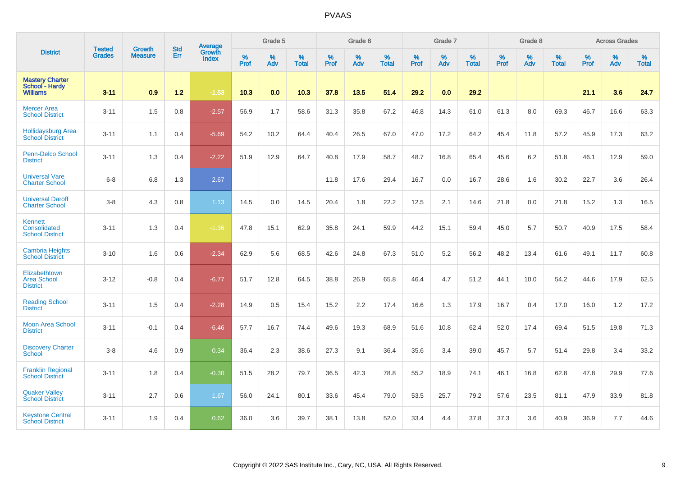| <b>District</b>                                             | <b>Tested</b> | <b>Growth</b>  | <b>Std</b> | Average                       |              | Grade 5  |                   |           | Grade 6  |                   |           | Grade 7  |                   |           | Grade 8  |                   |           | <b>Across Grades</b> |                   |
|-------------------------------------------------------------|---------------|----------------|------------|-------------------------------|--------------|----------|-------------------|-----------|----------|-------------------|-----------|----------|-------------------|-----------|----------|-------------------|-----------|----------------------|-------------------|
|                                                             | <b>Grades</b> | <b>Measure</b> | Err        | <b>Growth</b><br><b>Index</b> | $\%$<br>Prof | %<br>Adv | %<br><b>Total</b> | %<br>Prof | %<br>Adv | %<br><b>Total</b> | %<br>Prof | %<br>Adv | %<br><b>Total</b> | %<br>Prof | %<br>Adv | %<br><b>Total</b> | %<br>Prof | %<br>Adv             | %<br><b>Total</b> |
| <b>Mastery Charter</b><br>School - Hardy<br><b>Williams</b> | $3 - 11$      | 0.9            | $1.2$      | $-1.53$                       | 10.3         | 0.0      | 10.3              | 37.8      | 13.5     | 51.4              | 29.2      | 0.0      | 29.2              |           |          |                   | 21.1      | 3.6                  | 24.7              |
| <b>Mercer Area</b><br><b>School District</b>                | $3 - 11$      | 1.5            | 0.8        | $-2.57$                       | 56.9         | 1.7      | 58.6              | 31.3      | 35.8     | 67.2              | 46.8      | 14.3     | 61.0              | 61.3      | 8.0      | 69.3              | 46.7      | 16.6                 | 63.3              |
| <b>Hollidaysburg Area</b><br><b>School District</b>         | $3 - 11$      | 1.1            | 0.4        | $-5.69$                       | 54.2         | 10.2     | 64.4              | 40.4      | 26.5     | 67.0              | 47.0      | 17.2     | 64.2              | 45.4      | 11.8     | 57.2              | 45.9      | 17.3                 | 63.2              |
| <b>Penn-Delco School</b><br><b>District</b>                 | $3 - 11$      | 1.3            | 0.4        | $-2.22$                       | 51.9         | 12.9     | 64.7              | 40.8      | 17.9     | 58.7              | 48.7      | 16.8     | 65.4              | 45.6      | 6.2      | 51.8              | 46.1      | 12.9                 | 59.0              |
| <b>Universal Vare</b><br><b>Charter School</b>              | $6 - 8$       | 6.8            | 1.3        | 2.67                          |              |          |                   | 11.8      | 17.6     | 29.4              | 16.7      | 0.0      | 16.7              | 28.6      | 1.6      | 30.2              | 22.7      | 3.6                  | 26.4              |
| <b>Universal Daroff</b><br><b>Charter School</b>            | $3-8$         | 4.3            | 0.8        | 1.13                          | 14.5         | 0.0      | 14.5              | 20.4      | 1.8      | 22.2              | 12.5      | 2.1      | 14.6              | 21.8      | 0.0      | 21.8              | 15.2      | 1.3                  | 16.5              |
| Kennett<br>Consolidated<br><b>School District</b>           | $3 - 11$      | 1.3            | 0.4        | $-1.36$                       | 47.8         | 15.1     | 62.9              | 35.8      | 24.1     | 59.9              | 44.2      | 15.1     | 59.4              | 45.0      | 5.7      | 50.7              | 40.9      | 17.5                 | 58.4              |
| <b>Cambria Heights</b><br><b>School District</b>            | $3 - 10$      | 1.6            | 0.6        | $-2.34$                       | 62.9         | 5.6      | 68.5              | 42.6      | 24.8     | 67.3              | 51.0      | 5.2      | 56.2              | 48.2      | 13.4     | 61.6              | 49.1      | 11.7                 | 60.8              |
| Elizabethtown<br><b>Area School</b><br><b>District</b>      | $3 - 12$      | $-0.8$         | 0.4        | $-6.77$                       | 51.7         | 12.8     | 64.5              | 38.8      | 26.9     | 65.8              | 46.4      | 4.7      | 51.2              | 44.1      | 10.0     | 54.2              | 44.6      | 17.9                 | 62.5              |
| <b>Reading School</b><br><b>District</b>                    | $3 - 11$      | 1.5            | 0.4        | $-2.28$                       | 14.9         | 0.5      | 15.4              | 15.2      | 2.2      | 17.4              | 16.6      | 1.3      | 17.9              | 16.7      | 0.4      | 17.0              | 16.0      | 1.2                  | 17.2              |
| <b>Moon Area School</b><br><b>District</b>                  | $3 - 11$      | $-0.1$         | 0.4        | $-6.46$                       | 57.7         | 16.7     | 74.4              | 49.6      | 19.3     | 68.9              | 51.6      | 10.8     | 62.4              | 52.0      | 17.4     | 69.4              | 51.5      | 19.8                 | 71.3              |
| <b>Discovery Charter</b><br><b>School</b>                   | $3-8$         | 4.6            | 0.9        | 0.34                          | 36.4         | 2.3      | 38.6              | 27.3      | 9.1      | 36.4              | 35.6      | 3.4      | 39.0              | 45.7      | 5.7      | 51.4              | 29.8      | 3.4                  | 33.2              |
| <b>Franklin Regional</b><br><b>School District</b>          | $3 - 11$      | 1.8            | 0.4        | $-0.30$                       | 51.5         | 28.2     | 79.7              | 36.5      | 42.3     | 78.8              | 55.2      | 18.9     | 74.1              | 46.1      | 16.8     | 62.8              | 47.8      | 29.9                 | 77.6              |
| <b>Quaker Valley</b><br><b>School District</b>              | $3 - 11$      | 2.7            | 0.6        | 1.67                          | 56.0         | 24.1     | 80.1              | 33.6      | 45.4     | 79.0              | 53.5      | 25.7     | 79.2              | 57.6      | 23.5     | 81.1              | 47.9      | 33.9                 | 81.8              |
| <b>Keystone Central</b><br><b>School District</b>           | $3 - 11$      | 1.9            | 0.4        | 0.62                          | 36.0         | 3.6      | 39.7              | 38.1      | 13.8     | 52.0              | 33.4      | 4.4      | 37.8              | 37.3      | 3.6      | 40.9              | 36.9      | 7.7                  | 44.6              |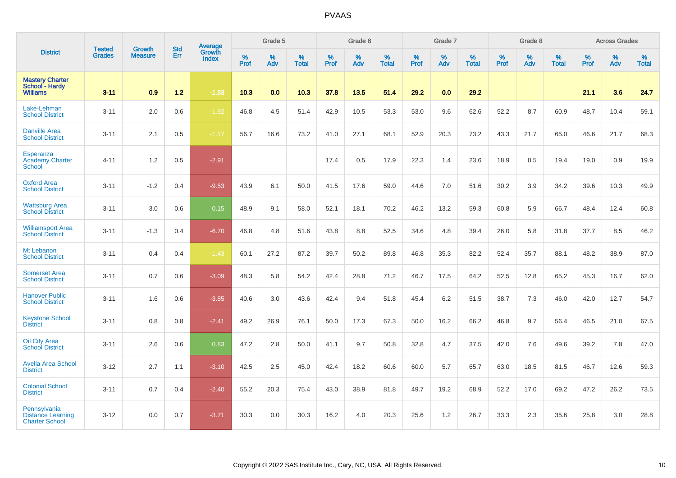| <b>District</b>                                                   |                                |                                 | <b>Std</b> | Average                       |           | Grade 5  |                   |           | Grade 6  |                   |           | Grade 7  |                   |           | Grade 8  |                   |           | <b>Across Grades</b> |                   |
|-------------------------------------------------------------------|--------------------------------|---------------------------------|------------|-------------------------------|-----------|----------|-------------------|-----------|----------|-------------------|-----------|----------|-------------------|-----------|----------|-------------------|-----------|----------------------|-------------------|
|                                                                   | <b>Tested</b><br><b>Grades</b> | <b>Growth</b><br><b>Measure</b> | Err        | <b>Growth</b><br><b>Index</b> | %<br>Prof | %<br>Adv | %<br><b>Total</b> | %<br>Prof | %<br>Adv | %<br><b>Total</b> | %<br>Prof | %<br>Adv | %<br><b>Total</b> | %<br>Prof | %<br>Adv | %<br><b>Total</b> | %<br>Prof | %<br>Adv             | %<br><b>Total</b> |
| <b>Mastery Charter</b><br>School - Hardy<br><b>Williams</b>       | $3 - 11$                       | 0.9                             | $1.2$      | $-1.53$                       | 10.3      | 0.0      | 10.3              | 37.8      | 13.5     | 51.4              | 29.2      | 0.0      | 29.2              |           |          |                   | 21.1      | 3.6                  | 24.7              |
| Lake-Lehman<br><b>School District</b>                             | $3 - 11$                       | 2.0                             | 0.6        | $-1.92$                       | 46.8      | 4.5      | 51.4              | 42.9      | 10.5     | 53.3              | 53.0      | 9.6      | 62.6              | 52.2      | 8.7      | 60.9              | 48.7      | 10.4                 | 59.1              |
| <b>Danville Area</b><br><b>School District</b>                    | $3 - 11$                       | 2.1                             | 0.5        | $-1.17$                       | 56.7      | 16.6     | 73.2              | 41.0      | 27.1     | 68.1              | 52.9      | 20.3     | 73.2              | 43.3      | 21.7     | 65.0              | 46.6      | 21.7                 | 68.3              |
| Esperanza<br><b>Academy Charter</b><br><b>School</b>              | $4 - 11$                       | 1.2                             | 0.5        | $-2.91$                       |           |          |                   | 17.4      | 0.5      | 17.9              | 22.3      | 1.4      | 23.6              | 18.9      | $0.5\,$  | 19.4              | 19.0      | 0.9                  | 19.9              |
| <b>Oxford Area</b><br><b>School District</b>                      | $3 - 11$                       | $-1.2$                          | 0.4        | $-9.53$                       | 43.9      | 6.1      | 50.0              | 41.5      | 17.6     | 59.0              | 44.6      | 7.0      | 51.6              | 30.2      | 3.9      | 34.2              | 39.6      | 10.3                 | 49.9              |
| <b>Wattsburg Area</b><br><b>School District</b>                   | $3 - 11$                       | 3.0                             | 0.6        | 0.15                          | 48.9      | 9.1      | 58.0              | 52.1      | 18.1     | 70.2              | 46.2      | 13.2     | 59.3              | 60.8      | 5.9      | 66.7              | 48.4      | 12.4                 | 60.8              |
| <b>Williamsport Area</b><br><b>School District</b>                | $3 - 11$                       | $-1.3$                          | 0.4        | $-6.70$                       | 46.8      | 4.8      | 51.6              | 43.8      | 8.8      | 52.5              | 34.6      | 4.8      | 39.4              | 26.0      | 5.8      | 31.8              | 37.7      | 8.5                  | 46.2              |
| Mt Lebanon<br><b>School District</b>                              | $3 - 11$                       | 0.4                             | 0.4        | $-1.43$                       | 60.1      | 27.2     | 87.2              | 39.7      | 50.2     | 89.8              | 46.8      | 35.3     | 82.2              | 52.4      | 35.7     | 88.1              | 48.2      | 38.9                 | 87.0              |
| <b>Somerset Area</b><br><b>School District</b>                    | $3 - 11$                       | 0.7                             | 0.6        | $-3.09$                       | 48.3      | 5.8      | 54.2              | 42.4      | 28.8     | 71.2              | 46.7      | 17.5     | 64.2              | 52.5      | 12.8     | 65.2              | 45.3      | 16.7                 | 62.0              |
| <b>Hanover Public</b><br><b>School District</b>                   | $3 - 11$                       | 1.6                             | 0.6        | $-3.85$                       | 40.6      | 3.0      | 43.6              | 42.4      | 9.4      | 51.8              | 45.4      | 6.2      | 51.5              | 38.7      | 7.3      | 46.0              | 42.0      | 12.7                 | 54.7              |
| <b>Keystone School</b><br><b>District</b>                         | $3 - 11$                       | 0.8                             | 0.8        | $-2.41$                       | 49.2      | 26.9     | 76.1              | 50.0      | 17.3     | 67.3              | 50.0      | 16.2     | 66.2              | 46.8      | 9.7      | 56.4              | 46.5      | 21.0                 | 67.5              |
| <b>Oil City Area</b><br><b>School District</b>                    | $3 - 11$                       | 2.6                             | 0.6        | 0.83                          | 47.2      | 2.8      | 50.0              | 41.1      | 9.7      | 50.8              | 32.8      | 4.7      | 37.5              | 42.0      | 7.6      | 49.6              | 39.2      | 7.8                  | 47.0              |
| <b>Avella Area School</b><br><b>District</b>                      | $3 - 12$                       | 2.7                             | 1.1        | $-3.10$                       | 42.5      | 2.5      | 45.0              | 42.4      | 18.2     | 60.6              | 60.0      | 5.7      | 65.7              | 63.0      | 18.5     | 81.5              | 46.7      | 12.6                 | 59.3              |
| <b>Colonial School</b><br><b>District</b>                         | $3 - 11$                       | 0.7                             | 0.4        | $-2.40$                       | 55.2      | 20.3     | 75.4              | 43.0      | 38.9     | 81.8              | 49.7      | 19.2     | 68.9              | 52.2      | 17.0     | 69.2              | 47.2      | 26.2                 | 73.5              |
| Pennsylvania<br><b>Distance Learning</b><br><b>Charter School</b> | $3 - 12$                       | 0.0                             | 0.7        | $-3.71$                       | 30.3      | 0.0      | 30.3              | 16.2      | 4.0      | 20.3              | 25.6      | 1.2      | 26.7              | 33.3      | 2.3      | 35.6              | 25.8      | 3.0                  | 28.8              |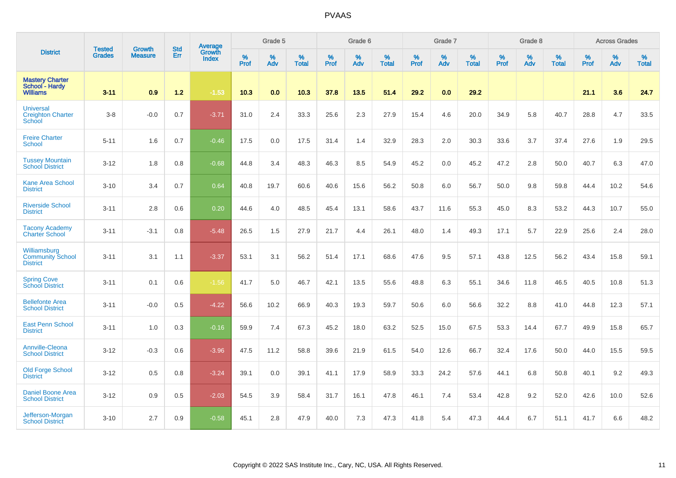| <b>District</b>                                               |                                |                                 | <b>Std</b> | Average                       |           | Grade 5  |                   |           | Grade 6  |                   |           | Grade 7  |                   |           | Grade 8  |                   |           | <b>Across Grades</b> |                   |
|---------------------------------------------------------------|--------------------------------|---------------------------------|------------|-------------------------------|-----------|----------|-------------------|-----------|----------|-------------------|-----------|----------|-------------------|-----------|----------|-------------------|-----------|----------------------|-------------------|
|                                                               | <b>Tested</b><br><b>Grades</b> | <b>Growth</b><br><b>Measure</b> | Err        | <b>Growth</b><br><b>Index</b> | %<br>Prof | %<br>Adv | %<br><b>Total</b> | %<br>Prof | %<br>Adv | %<br><b>Total</b> | %<br>Prof | %<br>Adv | %<br><b>Total</b> | %<br>Prof | %<br>Adv | %<br><b>Total</b> | %<br>Prof | %<br>Adv             | %<br><b>Total</b> |
| <b>Mastery Charter</b><br>School - Hardy<br><b>Williams</b>   | $3 - 11$                       | 0.9                             | 1.2        | $-1.53$                       | 10.3      | 0.0      | 10.3              | 37.8      | 13.5     | 51.4              | 29.2      | 0.0      | 29.2              |           |          |                   | 21.1      | 3.6                  | 24.7              |
| <b>Universal</b><br><b>Creighton Charter</b><br><b>School</b> | $3-8$                          | $-0.0$                          | 0.7        | $-3.71$                       | 31.0      | 2.4      | 33.3              | 25.6      | 2.3      | 27.9              | 15.4      | 4.6      | 20.0              | 34.9      | 5.8      | 40.7              | 28.8      | 4.7                  | 33.5              |
| <b>Freire Charter</b><br><b>School</b>                        | $5 - 11$                       | 1.6                             | 0.7        | $-0.46$                       | 17.5      | 0.0      | 17.5              | 31.4      | 1.4      | 32.9              | 28.3      | 2.0      | 30.3              | 33.6      | 3.7      | 37.4              | 27.6      | 1.9                  | 29.5              |
| <b>Tussey Mountain</b><br><b>School District</b>              | $3 - 12$                       | 1.8                             | 0.8        | $-0.68$                       | 44.8      | 3.4      | 48.3              | 46.3      | 8.5      | 54.9              | 45.2      | 0.0      | 45.2              | 47.2      | 2.8      | 50.0              | 40.7      | 6.3                  | 47.0              |
| <b>Kane Area School</b><br><b>District</b>                    | $3 - 10$                       | 3.4                             | 0.7        | 0.64                          | 40.8      | 19.7     | 60.6              | 40.6      | 15.6     | 56.2              | 50.8      | 6.0      | 56.7              | 50.0      | 9.8      | 59.8              | 44.4      | 10.2                 | 54.6              |
| <b>Riverside School</b><br><b>District</b>                    | $3 - 11$                       | 2.8                             | 0.6        | 0.20                          | 44.6      | 4.0      | 48.5              | 45.4      | 13.1     | 58.6              | 43.7      | 11.6     | 55.3              | 45.0      | 8.3      | 53.2              | 44.3      | 10.7                 | 55.0              |
| <b>Tacony Academy</b><br><b>Charter School</b>                | $3 - 11$                       | $-3.1$                          | 0.8        | $-5.48$                       | 26.5      | 1.5      | 27.9              | 21.7      | 4.4      | 26.1              | 48.0      | 1.4      | 49.3              | 17.1      | 5.7      | 22.9              | 25.6      | 2.4                  | 28.0              |
| Williamsburg<br><b>Community School</b><br><b>District</b>    | $3 - 11$                       | 3.1                             | 1.1        | $-3.37$                       | 53.1      | 3.1      | 56.2              | 51.4      | 17.1     | 68.6              | 47.6      | 9.5      | 57.1              | 43.8      | 12.5     | 56.2              | 43.4      | 15.8                 | 59.1              |
| <b>Spring Cove</b><br><b>School District</b>                  | $3 - 11$                       | 0.1                             | 0.6        | $-1.56$                       | 41.7      | 5.0      | 46.7              | 42.1      | 13.5     | 55.6              | 48.8      | 6.3      | 55.1              | 34.6      | 11.8     | 46.5              | 40.5      | 10.8                 | 51.3              |
| <b>Bellefonte Area</b><br><b>School District</b>              | $3 - 11$                       | $-0.0$                          | 0.5        | $-4.22$                       | 56.6      | 10.2     | 66.9              | 40.3      | 19.3     | 59.7              | 50.6      | 6.0      | 56.6              | 32.2      | 8.8      | 41.0              | 44.8      | 12.3                 | 57.1              |
| <b>East Penn School</b><br><b>District</b>                    | $3 - 11$                       | 1.0                             | 0.3        | $-0.16$                       | 59.9      | 7.4      | 67.3              | 45.2      | 18.0     | 63.2              | 52.5      | 15.0     | 67.5              | 53.3      | 14.4     | 67.7              | 49.9      | 15.8                 | 65.7              |
| Annville-Cleona<br><b>School District</b>                     | $3 - 12$                       | $-0.3$                          | 0.6        | $-3.96$                       | 47.5      | 11.2     | 58.8              | 39.6      | 21.9     | 61.5              | 54.0      | 12.6     | 66.7              | 32.4      | 17.6     | 50.0              | 44.0      | 15.5                 | 59.5              |
| <b>Old Forge School</b><br><b>District</b>                    | $3 - 12$                       | 0.5                             | 0.8        | $-3.24$                       | 39.1      | 0.0      | 39.1              | 41.1      | 17.9     | 58.9              | 33.3      | 24.2     | 57.6              | 44.1      | 6.8      | 50.8              | 40.1      | 9.2                  | 49.3              |
| <b>Daniel Boone Area</b><br><b>School District</b>            | $3 - 12$                       | 0.9                             | 0.5        | $-2.03$                       | 54.5      | 3.9      | 58.4              | 31.7      | 16.1     | 47.8              | 46.1      | 7.4      | 53.4              | 42.8      | 9.2      | 52.0              | 42.6      | 10.0                 | 52.6              |
| Jefferson-Morgan<br><b>School District</b>                    | $3 - 10$                       | 2.7                             | 0.9        | $-0.58$                       | 45.1      | 2.8      | 47.9              | 40.0      | 7.3      | 47.3              | 41.8      | 5.4      | 47.3              | 44.4      | 6.7      | 51.1              | 41.7      | 6.6                  | 48.2              |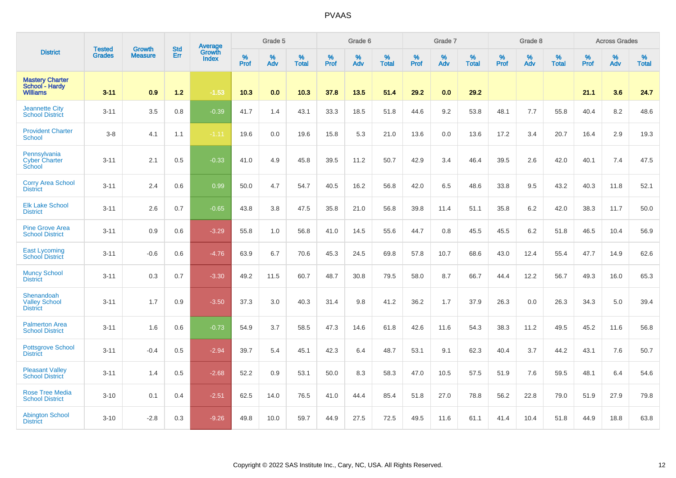|                                                             |                                |                                 | <b>Std</b> | Average                       |           | Grade 5  |                   |           | Grade 6  |                   |           | Grade 7  |                   |           | Grade 8  |                   |           | <b>Across Grades</b> |                   |
|-------------------------------------------------------------|--------------------------------|---------------------------------|------------|-------------------------------|-----------|----------|-------------------|-----------|----------|-------------------|-----------|----------|-------------------|-----------|----------|-------------------|-----------|----------------------|-------------------|
| <b>District</b>                                             | <b>Tested</b><br><b>Grades</b> | <b>Growth</b><br><b>Measure</b> | Err        | <b>Growth</b><br><b>Index</b> | %<br>Prof | %<br>Adv | %<br><b>Total</b> | %<br>Prof | %<br>Adv | %<br><b>Total</b> | %<br>Prof | %<br>Adv | %<br><b>Total</b> | %<br>Prof | %<br>Adv | %<br><b>Total</b> | %<br>Prof | %<br>Adv             | %<br><b>Total</b> |
| <b>Mastery Charter</b><br>School - Hardy<br><b>Williams</b> | $3 - 11$                       | 0.9                             | 1.2        | $-1.53$                       | 10.3      | 0.0      | 10.3              | 37.8      | 13.5     | 51.4              | 29.2      | 0.0      | 29.2              |           |          |                   | 21.1      | 3.6                  | 24.7              |
| <b>Jeannette City</b><br><b>School District</b>             | $3 - 11$                       | 3.5                             | 0.8        | $-0.39$                       | 41.7      | 1.4      | 43.1              | 33.3      | 18.5     | 51.8              | 44.6      | 9.2      | 53.8              | 48.1      | 7.7      | 55.8              | 40.4      | 8.2                  | 48.6              |
| <b>Provident Charter</b><br><b>School</b>                   | $3-8$                          | 4.1                             | 1.1        | $-1.11$                       | 19.6      | 0.0      | 19.6              | 15.8      | 5.3      | 21.0              | 13.6      | 0.0      | 13.6              | 17.2      | 3.4      | 20.7              | 16.4      | 2.9                  | 19.3              |
| Pennsylvania<br><b>Cyber Charter</b><br>School              | $3 - 11$                       | 2.1                             | 0.5        | $-0.33$                       | 41.0      | 4.9      | 45.8              | 39.5      | 11.2     | 50.7              | 42.9      | 3.4      | 46.4              | 39.5      | 2.6      | 42.0              | 40.1      | 7.4                  | 47.5              |
| <b>Corry Area School</b><br><b>District</b>                 | $3 - 11$                       | 2.4                             | 0.6        | 0.99                          | 50.0      | 4.7      | 54.7              | 40.5      | 16.2     | 56.8              | 42.0      | 6.5      | 48.6              | 33.8      | 9.5      | 43.2              | 40.3      | 11.8                 | 52.1              |
| <b>Elk Lake School</b><br><b>District</b>                   | $3 - 11$                       | 2.6                             | 0.7        | $-0.65$                       | 43.8      | 3.8      | 47.5              | 35.8      | 21.0     | 56.8              | 39.8      | 11.4     | 51.1              | 35.8      | 6.2      | 42.0              | 38.3      | 11.7                 | 50.0              |
| <b>Pine Grove Area</b><br><b>School District</b>            | $3 - 11$                       | 0.9                             | 0.6        | $-3.29$                       | 55.8      | 1.0      | 56.8              | 41.0      | 14.5     | 55.6              | 44.7      | 0.8      | 45.5              | 45.5      | 6.2      | 51.8              | 46.5      | 10.4                 | 56.9              |
| <b>East Lycoming</b><br><b>School District</b>              | $3 - 11$                       | $-0.6$                          | 0.6        | $-4.76$                       | 63.9      | 6.7      | 70.6              | 45.3      | 24.5     | 69.8              | 57.8      | 10.7     | 68.6              | 43.0      | 12.4     | 55.4              | 47.7      | 14.9                 | 62.6              |
| <b>Muncy School</b><br><b>District</b>                      | $3 - 11$                       | 0.3                             | 0.7        | $-3.30$                       | 49.2      | 11.5     | 60.7              | 48.7      | 30.8     | 79.5              | 58.0      | 8.7      | 66.7              | 44.4      | 12.2     | 56.7              | 49.3      | 16.0                 | 65.3              |
| Shenandoah<br>Valley School<br><b>District</b>              | $3 - 11$                       | 1.7                             | 0.9        | $-3.50$                       | 37.3      | 3.0      | 40.3              | 31.4      | 9.8      | 41.2              | 36.2      | 1.7      | 37.9              | 26.3      | 0.0      | 26.3              | 34.3      | 5.0                  | 39.4              |
| <b>Palmerton Area</b><br><b>School District</b>             | $3 - 11$                       | 1.6                             | 0.6        | $-0.73$                       | 54.9      | 3.7      | 58.5              | 47.3      | 14.6     | 61.8              | 42.6      | 11.6     | 54.3              | 38.3      | 11.2     | 49.5              | 45.2      | 11.6                 | 56.8              |
| <b>Pottsgrove School</b><br><b>District</b>                 | $3 - 11$                       | $-0.4$                          | 0.5        | $-2.94$                       | 39.7      | 5.4      | 45.1              | 42.3      | 6.4      | 48.7              | 53.1      | 9.1      | 62.3              | 40.4      | 3.7      | 44.2              | 43.1      | 7.6                  | 50.7              |
| <b>Pleasant Valley</b><br><b>School District</b>            | $3 - 11$                       | 1.4                             | 0.5        | $-2.68$                       | 52.2      | 0.9      | 53.1              | 50.0      | 8.3      | 58.3              | 47.0      | 10.5     | 57.5              | 51.9      | 7.6      | 59.5              | 48.1      | 6.4                  | 54.6              |
| <b>Rose Tree Media</b><br><b>School District</b>            | $3 - 10$                       | 0.1                             | 0.4        | $-2.51$                       | 62.5      | 14.0     | 76.5              | 41.0      | 44.4     | 85.4              | 51.8      | 27.0     | 78.8              | 56.2      | 22.8     | 79.0              | 51.9      | 27.9                 | 79.8              |
| <b>Abington School</b><br><b>District</b>                   | $3 - 10$                       | $-2.8$                          | 0.3        | $-9.26$                       | 49.8      | 10.0     | 59.7              | 44.9      | 27.5     | 72.5              | 49.5      | 11.6     | 61.1              | 41.4      | 10.4     | 51.8              | 44.9      | 18.8                 | 63.8              |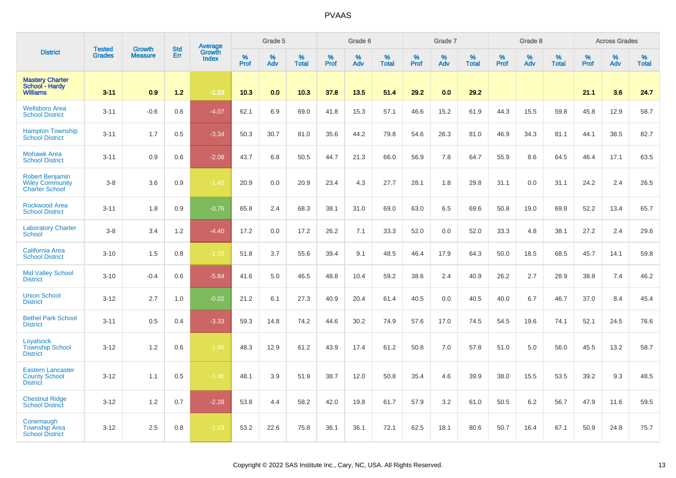|                                                                           |                                |                                 | <b>Std</b> |                                          |                  | Grade 5  |                   |           | Grade 6  |                   |           | Grade 7  |                   |                  | Grade 8  |                   |           | <b>Across Grades</b> |                   |
|---------------------------------------------------------------------------|--------------------------------|---------------------------------|------------|------------------------------------------|------------------|----------|-------------------|-----------|----------|-------------------|-----------|----------|-------------------|------------------|----------|-------------------|-----------|----------------------|-------------------|
| <b>District</b>                                                           | <b>Tested</b><br><b>Grades</b> | <b>Growth</b><br><b>Measure</b> | Err        | <b>Average</b><br>Growth<br><b>Index</b> | %<br><b>Prof</b> | %<br>Adv | %<br><b>Total</b> | %<br>Prof | %<br>Adv | %<br><b>Total</b> | %<br>Prof | %<br>Adv | %<br><b>Total</b> | %<br><b>Prof</b> | %<br>Adv | %<br><b>Total</b> | %<br>Prof | %<br>Adv             | %<br><b>Total</b> |
| <b>Mastery Charter</b><br>School - Hardy<br><b>Williams</b>               | $3 - 11$                       | 0.9                             | 1.2        | $-1.53$                                  | 10.3             | 0.0      | 10.3              | 37.8      | 13.5     | 51.4              | 29.2      | 0.0      | 29.2              |                  |          |                   | 21.1      | 3.6                  | 24.7              |
| <b>Wellsboro Area</b><br><b>School District</b>                           | $3 - 11$                       | $-0.6$                          | 0.6        | $-4.07$                                  | 62.1             | 6.9      | 69.0              | 41.8      | 15.3     | 57.1              | 46.6      | 15.2     | 61.9              | 44.3             | 15.5     | 59.8              | 45.8      | 12.9                 | 58.7              |
| <b>Hampton Township</b><br><b>School District</b>                         | $3 - 11$                       | 1.7                             | 0.5        | $-3.34$                                  | 50.3             | 30.7     | 81.0              | 35.6      | 44.2     | 79.8              | 54.6      | 26.3     | 81.0              | 46.9             | 34.3     | 81.1              | 44.1      | 38.5                 | 82.7              |
| <b>Mohawk Area</b><br><b>School District</b>                              | $3 - 11$                       | 0.9                             | 0.6        | $-2.08$                                  | 43.7             | 6.8      | 50.5              | 44.7      | 21.3     | 66.0              | 56.9      | 7.8      | 64.7              | 55.9             | 8.6      | 64.5              | 46.4      | 17.1                 | 63.5              |
| <b>Robert Benjamin</b><br><b>Wiley Community</b><br><b>Charter School</b> | $3-8$                          | 3.6                             | 0.9        | $-1.43$                                  | 20.9             | 0.0      | 20.9              | 23.4      | 4.3      | 27.7              | 28.1      | 1.8      | 29.8              | 31.1             | 0.0      | 31.1              | 24.2      | 2.4                  | 26.5              |
| <b>Rockwood Area</b><br><b>School District</b>                            | $3 - 11$                       | 1.8                             | 0.9        | $-0.76$                                  | 65.8             | 2.4      | 68.3              | 38.1      | 31.0     | 69.0              | 63.0      | 6.5      | 69.6              | 50.8             | 19.0     | 69.8              | 52.2      | 13.4                 | 65.7              |
| <b>Laboratory Charter</b><br><b>School</b>                                | $3-8$                          | 3.4                             | 1.2        | $-4.40$                                  | 17.2             | 0.0      | 17.2              | 26.2      | 7.1      | 33.3              | 52.0      | $0.0\,$  | 52.0              | 33.3             | 4.8      | 38.1              | 27.2      | 2.4                  | 29.6              |
| <b>California Area</b><br><b>School District</b>                          | $3 - 10$                       | 1.5                             | 0.8        | $-1.20$                                  | 51.8             | 3.7      | 55.6              | 39.4      | 9.1      | 48.5              | 46.4      | 17.9     | 64.3              | 50.0             | 18.5     | 68.5              | 45.7      | 14.1                 | 59.8              |
| <b>Mid Valley School</b><br><b>District</b>                               | $3 - 10$                       | $-0.4$                          | 0.6        | $-5.84$                                  | 41.6             | 5.0      | 46.5              | 48.8      | 10.4     | 59.2              | 38.6      | 2.4      | 40.9              | 26.2             | 2.7      | 28.9              | 38.8      | 7.4                  | 46.2              |
| <b>Union School</b><br><b>District</b>                                    | $3 - 12$                       | 2.7                             | 1.0        | $-0.02$                                  | 21.2             | 6.1      | 27.3              | 40.9      | 20.4     | 61.4              | 40.5      | 0.0      | 40.5              | 40.0             | 6.7      | 46.7              | 37.0      | 8.4                  | 45.4              |
| <b>Bethel Park School</b><br><b>District</b>                              | $3 - 11$                       | 0.5                             | 0.4        | $-3.33$                                  | 59.3             | 14.8     | 74.2              | 44.6      | 30.2     | 74.9              | 57.6      | 17.0     | 74.5              | 54.5             | 19.6     | 74.1              | 52.1      | 24.5                 | 76.6              |
| Loyalsock<br><b>Township School</b><br><b>District</b>                    | $3 - 12$                       | 1.2                             | 0.6        | $-1.86$                                  | 48.3             | 12.9     | 61.2              | 43.9      | 17.4     | 61.2              | 50.8      | 7.0      | 57.8              | 51.0             | 5.0      | 56.0              | 45.5      | 13.2                 | 58.7              |
| <b>Eastern Lancaster</b><br><b>County School</b><br><b>District</b>       | $3 - 12$                       | 1.1                             | 0.5        | $-1.40$                                  | 48.1             | 3.9      | 51.9              | 38.7      | 12.0     | 50.8              | 35.4      | 4.6      | 39.9              | 38.0             | 15.5     | 53.5              | 39.2      | 9.3                  | 48.5              |
| <b>Chestnut Ridge</b><br><b>School District</b>                           | $3 - 12$                       | 1.2                             | 0.7        | $-2.28$                                  | 53.8             | 4.4      | 58.2              | 42.0      | 19.8     | 61.7              | 57.9      | 3.2      | 61.0              | 50.5             | 6.2      | 56.7              | 47.9      | 11.6                 | 59.5              |
| Conemaugh<br><b>Township Area</b><br><b>School District</b>               | $3 - 12$                       | 2.5                             | 0.8        | $-1.19$                                  | 53.2             | 22.6     | 75.8              | 36.1      | 36.1     | 72.1              | 62.5      | 18.1     | 80.6              | 50.7             | 16.4     | 67.1              | 50.9      | 24.8                 | 75.7              |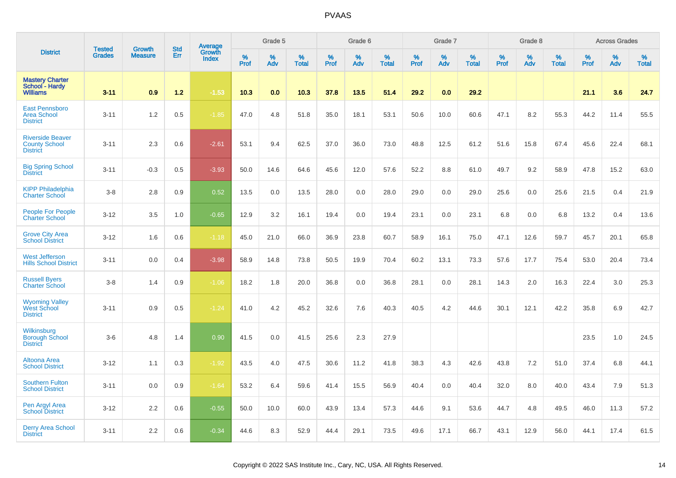|                                                                    | <b>Tested</b> | <b>Growth</b>  | <b>Std</b> | <b>Average</b><br>Growth |                     | Grade 5  |                   |                  | Grade 6  |                   |                  | Grade 7  |                   |           | Grade 8  |                   |           | <b>Across Grades</b> |                   |
|--------------------------------------------------------------------|---------------|----------------|------------|--------------------------|---------------------|----------|-------------------|------------------|----------|-------------------|------------------|----------|-------------------|-----------|----------|-------------------|-----------|----------------------|-------------------|
| <b>District</b>                                                    | <b>Grades</b> | <b>Measure</b> | Err        | <b>Index</b>             | $\%$<br><b>Prof</b> | %<br>Adv | %<br><b>Total</b> | %<br><b>Prof</b> | %<br>Adv | %<br><b>Total</b> | %<br><b>Prof</b> | %<br>Adv | %<br><b>Total</b> | %<br>Prof | %<br>Adv | %<br><b>Total</b> | %<br>Prof | %<br>Adv             | %<br><b>Total</b> |
| <b>Mastery Charter</b><br><b>School - Hardy</b><br><b>Williams</b> | $3 - 11$      | 0.9            | $1.2$      | $-1.53$                  | 10.3                | 0.0      | 10.3              | 37.8             | 13.5     | 51.4              | 29.2             | 0.0      | 29.2              |           |          |                   | 21.1      | 3.6                  | 24.7              |
| <b>East Pennsboro</b><br><b>Area School</b><br><b>District</b>     | $3 - 11$      | 1.2            | $0.5\,$    | $-1.85$                  | 47.0                | 4.8      | 51.8              | 35.0             | 18.1     | 53.1              | 50.6             | 10.0     | 60.6              | 47.1      | 8.2      | 55.3              | 44.2      | 11.4                 | 55.5              |
| <b>Riverside Beaver</b><br><b>County School</b><br><b>District</b> | $3 - 11$      | 2.3            | 0.6        | $-2.61$                  | 53.1                | 9.4      | 62.5              | 37.0             | 36.0     | 73.0              | 48.8             | 12.5     | 61.2              | 51.6      | 15.8     | 67.4              | 45.6      | 22.4                 | 68.1              |
| <b>Big Spring School</b><br><b>District</b>                        | $3 - 11$      | $-0.3$         | 0.5        | $-3.93$                  | 50.0                | 14.6     | 64.6              | 45.6             | 12.0     | 57.6              | 52.2             | 8.8      | 61.0              | 49.7      | 9.2      | 58.9              | 47.8      | 15.2                 | 63.0              |
| <b>KIPP Philadelphia</b><br><b>Charter School</b>                  | $3 - 8$       | 2.8            | 0.9        | 0.52                     | 13.5                | 0.0      | 13.5              | 28.0             | 0.0      | 28.0              | 29.0             | 0.0      | 29.0              | 25.6      | 0.0      | 25.6              | 21.5      | 0.4                  | 21.9              |
| People For People<br><b>Charter School</b>                         | $3 - 12$      | 3.5            | 1.0        | $-0.65$                  | 12.9                | 3.2      | 16.1              | 19.4             | 0.0      | 19.4              | 23.1             | 0.0      | 23.1              | 6.8       | 0.0      | 6.8               | 13.2      | 0.4                  | 13.6              |
| <b>Grove City Area</b><br><b>School District</b>                   | $3 - 12$      | 1.6            | 0.6        | $-1.18$                  | 45.0                | 21.0     | 66.0              | 36.9             | 23.8     | 60.7              | 58.9             | 16.1     | 75.0              | 47.1      | 12.6     | 59.7              | 45.7      | 20.1                 | 65.8              |
| <b>West Jefferson</b><br><b>Hills School District</b>              | $3 - 11$      | 0.0            | 0.4        | $-3.98$                  | 58.9                | 14.8     | 73.8              | 50.5             | 19.9     | 70.4              | 60.2             | 13.1     | 73.3              | 57.6      | 17.7     | 75.4              | 53.0      | 20.4                 | 73.4              |
| <b>Russell Byers</b><br><b>Charter School</b>                      | $3-8$         | 1.4            | 0.9        | $-1.06$                  | 18.2                | 1.8      | 20.0              | 36.8             | 0.0      | 36.8              | 28.1             | 0.0      | 28.1              | 14.3      | 2.0      | 16.3              | 22.4      | 3.0                  | 25.3              |
| <b>Wyoming Valley<br/>West School</b><br><b>District</b>           | $3 - 11$      | 0.9            | 0.5        | $-1.24$                  | 41.0                | 4.2      | 45.2              | 32.6             | 7.6      | 40.3              | 40.5             | 4.2      | 44.6              | 30.1      | 12.1     | 42.2              | 35.8      | 6.9                  | 42.7              |
| Wilkinsburg<br><b>Borough School</b><br><b>District</b>            | $3-6$         | 4.8            | 1.4        | 0.90                     | 41.5                | 0.0      | 41.5              | 25.6             | 2.3      | 27.9              |                  |          |                   |           |          |                   | 23.5      | 1.0                  | 24.5              |
| Altoona Area<br><b>School District</b>                             | $3 - 12$      | 1.1            | 0.3        | $-1.92$                  | 43.5                | 4.0      | 47.5              | 30.6             | 11.2     | 41.8              | 38.3             | 4.3      | 42.6              | 43.8      | 7.2      | 51.0              | 37.4      | 6.8                  | 44.1              |
| <b>Southern Fulton</b><br><b>School District</b>                   | $3 - 11$      | 0.0            | 0.9        | $-1.64$                  | 53.2                | 6.4      | 59.6              | 41.4             | 15.5     | 56.9              | 40.4             | 0.0      | 40.4              | 32.0      | 8.0      | 40.0              | 43.4      | 7.9                  | 51.3              |
| Pen Argyl Area<br><b>School District</b>                           | $3 - 12$      | 2.2            | 0.6        | $-0.55$                  | 50.0                | 10.0     | 60.0              | 43.9             | 13.4     | 57.3              | 44.6             | 9.1      | 53.6              | 44.7      | 4.8      | 49.5              | 46.0      | 11.3                 | 57.2              |
| <b>Derry Area School</b><br><b>District</b>                        | $3 - 11$      | 2.2            | 0.6        | $-0.34$                  | 44.6                | 8.3      | 52.9              | 44.4             | 29.1     | 73.5              | 49.6             | 17.1     | 66.7              | 43.1      | 12.9     | 56.0              | 44.1      | 17.4                 | 61.5              |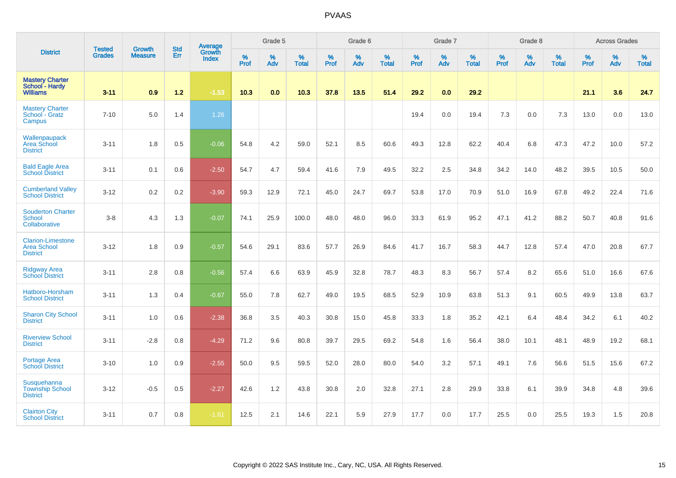|                                                                   | <b>Tested</b> | <b>Growth</b>  | <b>Std</b> | Average                |              | Grade 5  |                   |                  | Grade 6  |                   |                  | Grade 7  |                   |           | Grade 8  |                   |           | <b>Across Grades</b> |                   |
|-------------------------------------------------------------------|---------------|----------------|------------|------------------------|--------------|----------|-------------------|------------------|----------|-------------------|------------------|----------|-------------------|-----------|----------|-------------------|-----------|----------------------|-------------------|
| <b>District</b>                                                   | <b>Grades</b> | <b>Measure</b> | Err        | Growth<br><b>Index</b> | $\%$<br>Prof | %<br>Adv | %<br><b>Total</b> | %<br><b>Prof</b> | %<br>Adv | %<br><b>Total</b> | %<br><b>Prof</b> | %<br>Adv | %<br><b>Total</b> | %<br>Prof | %<br>Adv | %<br><b>Total</b> | %<br>Prof | %<br>Adv             | %<br><b>Total</b> |
| <b>Mastery Charter</b><br>School - Hardy<br><b>Williams</b>       | $3 - 11$      | 0.9            | $1.2$      | $-1.53$                | 10.3         | 0.0      | 10.3              | 37.8             | 13.5     | 51.4              | 29.2             | 0.0      | 29.2              |           |          |                   | 21.1      | 3.6                  | 24.7              |
| <b>Mastery Charter</b><br>School - Gratz<br>Campus                | $7 - 10$      | 5.0            | 1.4        | 1.26                   |              |          |                   |                  |          |                   | 19.4             | 0.0      | 19.4              | 7.3       | 0.0      | 7.3               | 13.0      | 0.0                  | 13.0              |
| Wallenpaupack<br>Area School<br><b>District</b>                   | $3 - 11$      | 1.8            | 0.5        | $-0.06$                | 54.8         | 4.2      | 59.0              | 52.1             | 8.5      | 60.6              | 49.3             | 12.8     | 62.2              | 40.4      | 6.8      | 47.3              | 47.2      | 10.0                 | 57.2              |
| <b>Bald Eagle Area</b><br><b>School District</b>                  | $3 - 11$      | 0.1            | 0.6        | $-2.50$                | 54.7         | 4.7      | 59.4              | 41.6             | 7.9      | 49.5              | 32.2             | 2.5      | 34.8              | 34.2      | 14.0     | 48.2              | 39.5      | 10.5                 | 50.0              |
| <b>Cumberland Valley</b><br><b>School District</b>                | $3 - 12$      | 0.2            | 0.2        | $-3.90$                | 59.3         | 12.9     | 72.1              | 45.0             | 24.7     | 69.7              | 53.8             | 17.0     | 70.9              | 51.0      | 16.9     | 67.8              | 49.2      | 22.4                 | 71.6              |
| <b>Souderton Charter</b><br>School<br>Collaborative               | $3-8$         | 4.3            | 1.3        | $-0.07$                | 74.1         | 25.9     | 100.0             | 48.0             | 48.0     | 96.0              | 33.3             | 61.9     | 95.2              | 47.1      | 41.2     | 88.2              | 50.7      | 40.8                 | 91.6              |
| <b>Clarion-Limestone</b><br><b>Area School</b><br><b>District</b> | $3 - 12$      | 1.8            | 0.9        | $-0.57$                | 54.6         | 29.1     | 83.6              | 57.7             | 26.9     | 84.6              | 41.7             | 16.7     | 58.3              | 44.7      | 12.8     | 57.4              | 47.0      | 20.8                 | 67.7              |
| <b>Ridgway Area</b><br><b>School District</b>                     | $3 - 11$      | 2.8            | 0.8        | $-0.56$                | 57.4         | 6.6      | 63.9              | 45.9             | 32.8     | 78.7              | 48.3             | 8.3      | 56.7              | 57.4      | 8.2      | 65.6              | 51.0      | 16.6                 | 67.6              |
| Hatboro-Horsham<br><b>School District</b>                         | $3 - 11$      | 1.3            | 0.4        | $-0.67$                | 55.0         | 7.8      | 62.7              | 49.0             | 19.5     | 68.5              | 52.9             | 10.9     | 63.8              | 51.3      | 9.1      | 60.5              | 49.9      | 13.8                 | 63.7              |
| <b>Sharon City School</b><br><b>District</b>                      | $3 - 11$      | 1.0            | 0.6        | $-2.38$                | 36.8         | 3.5      | 40.3              | 30.8             | 15.0     | 45.8              | 33.3             | 1.8      | 35.2              | 42.1      | 6.4      | 48.4              | 34.2      | 6.1                  | 40.2              |
| <b>Riverview School</b><br><b>District</b>                        | $3 - 11$      | $-2.8$         | 0.8        | $-4.29$                | 71.2         | 9.6      | 80.8              | 39.7             | 29.5     | 69.2              | 54.8             | 1.6      | 56.4              | 38.0      | 10.1     | 48.1              | 48.9      | 19.2                 | 68.1              |
| <b>Portage Area</b><br><b>School District</b>                     | $3 - 10$      | 1.0            | 0.9        | $-2.55$                | 50.0         | 9.5      | 59.5              | 52.0             | 28.0     | 80.0              | 54.0             | 3.2      | 57.1              | 49.1      | 7.6      | 56.6              | 51.5      | 15.6                 | 67.2              |
| Susquehanna<br><b>Township School</b><br><b>District</b>          | $3 - 12$      | $-0.5$         | 0.5        | $-2.27$                | 42.6         | 1.2      | 43.8              | 30.8             | 2.0      | 32.8              | 27.1             | 2.8      | 29.9              | 33.8      | 6.1      | 39.9              | 34.8      | 4.8                  | 39.6              |
| <b>Clairton City</b><br><b>School District</b>                    | $3 - 11$      | 0.7            | 0.8        | $-1.61$                | 12.5         | 2.1      | 14.6              | 22.1             | 5.9      | 27.9              | 17.7             | 0.0      | 17.7              | 25.5      | 0.0      | 25.5              | 19.3      | 1.5                  | 20.8              |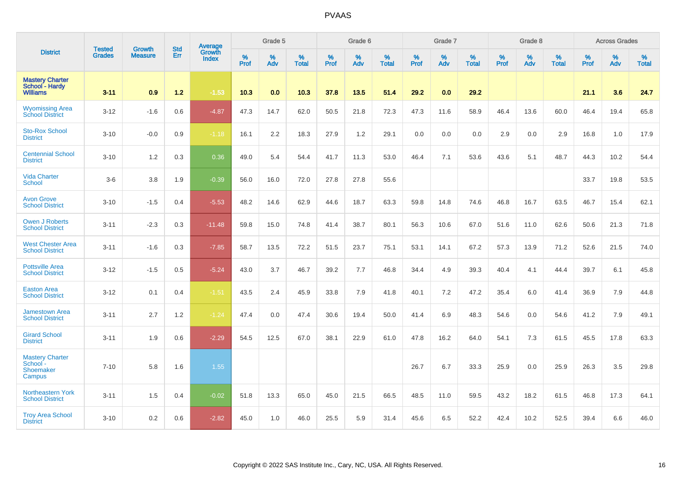|                                                             | <b>Tested</b> | <b>Growth</b>  | <b>Std</b> | Average                |           | Grade 5  |                   |           | Grade 6  |                   |           | Grade 7  |                   |           | Grade 8  |                   |           | <b>Across Grades</b> |                   |
|-------------------------------------------------------------|---------------|----------------|------------|------------------------|-----------|----------|-------------------|-----------|----------|-------------------|-----------|----------|-------------------|-----------|----------|-------------------|-----------|----------------------|-------------------|
| <b>District</b>                                             | <b>Grades</b> | <b>Measure</b> | Err        | Growth<br><b>Index</b> | %<br>Prof | %<br>Adv | %<br><b>Total</b> | %<br>Prof | %<br>Adv | %<br><b>Total</b> | %<br>Prof | %<br>Adv | %<br><b>Total</b> | %<br>Prof | %<br>Adv | %<br><b>Total</b> | %<br>Prof | %<br>Adv             | %<br><b>Total</b> |
| <b>Mastery Charter</b><br>School - Hardy<br><b>Williams</b> | $3 - 11$      | 0.9            | $1.2$      | $-1.53$                | 10.3      | 0.0      | 10.3              | 37.8      | 13.5     | 51.4              | 29.2      | 0.0      | 29.2              |           |          |                   | 21.1      | 3.6                  | 24.7              |
| <b>Wyomissing Area</b><br><b>School District</b>            | $3 - 12$      | $-1.6$         | 0.6        | $-4.87$                | 47.3      | 14.7     | 62.0              | 50.5      | 21.8     | 72.3              | 47.3      | 11.6     | 58.9              | 46.4      | 13.6     | 60.0              | 46.4      | 19.4                 | 65.8              |
| <b>Sto-Rox School</b><br><b>District</b>                    | $3 - 10$      | $-0.0$         | 0.9        | $-1.18$                | 16.1      | 2.2      | 18.3              | 27.9      | 1.2      | 29.1              | 0.0       | 0.0      | 0.0               | 2.9       | 0.0      | 2.9               | 16.8      | 1.0                  | 17.9              |
| <b>Centennial School</b><br><b>District</b>                 | $3 - 10$      | 1.2            | 0.3        | 0.36                   | 49.0      | 5.4      | 54.4              | 41.7      | 11.3     | 53.0              | 46.4      | 7.1      | 53.6              | 43.6      | 5.1      | 48.7              | 44.3      | 10.2                 | 54.4              |
| <b>Vida Charter</b><br><b>School</b>                        | $3-6$         | 3.8            | 1.9        | $-0.39$                | 56.0      | 16.0     | 72.0              | 27.8      | 27.8     | 55.6              |           |          |                   |           |          |                   | 33.7      | 19.8                 | 53.5              |
| <b>Avon Grove</b><br><b>School District</b>                 | $3 - 10$      | $-1.5$         | 0.4        | $-5.53$                | 48.2      | 14.6     | 62.9              | 44.6      | 18.7     | 63.3              | 59.8      | 14.8     | 74.6              | 46.8      | 16.7     | 63.5              | 46.7      | 15.4                 | 62.1              |
| <b>Owen J Roberts</b><br><b>School District</b>             | $3 - 11$      | $-2.3$         | 0.3        | $-11.48$               | 59.8      | 15.0     | 74.8              | 41.4      | 38.7     | 80.1              | 56.3      | 10.6     | 67.0              | 51.6      | 11.0     | 62.6              | 50.6      | 21.3                 | 71.8              |
| <b>West Chester Area</b><br><b>School District</b>          | $3 - 11$      | $-1.6$         | 0.3        | $-7.85$                | 58.7      | 13.5     | 72.2              | 51.5      | 23.7     | 75.1              | 53.1      | 14.1     | 67.2              | 57.3      | 13.9     | 71.2              | 52.6      | 21.5                 | 74.0              |
| <b>Pottsville Area</b><br><b>School District</b>            | $3 - 12$      | $-1.5$         | 0.5        | $-5.24$                | 43.0      | 3.7      | 46.7              | 39.2      | 7.7      | 46.8              | 34.4      | 4.9      | 39.3              | 40.4      | 4.1      | 44.4              | 39.7      | 6.1                  | 45.8              |
| <b>Easton Area</b><br><b>School District</b>                | $3 - 12$      | 0.1            | 0.4        | $-1.51$                | 43.5      | 2.4      | 45.9              | 33.8      | 7.9      | 41.8              | 40.1      | 7.2      | 47.2              | 35.4      | 6.0      | 41.4              | 36.9      | 7.9                  | 44.8              |
| <b>Jamestown Area</b><br><b>School District</b>             | $3 - 11$      | 2.7            | 1.2        | $-1.24$                | 47.4      | 0.0      | 47.4              | 30.6      | 19.4     | 50.0              | 41.4      | 6.9      | 48.3              | 54.6      | 0.0      | 54.6              | 41.2      | 7.9                  | 49.1              |
| <b>Girard School</b><br><b>District</b>                     | $3 - 11$      | 1.9            | 0.6        | $-2.29$                | 54.5      | 12.5     | 67.0              | 38.1      | 22.9     | 61.0              | 47.8      | 16.2     | 64.0              | 54.1      | 7.3      | 61.5              | 45.5      | 17.8                 | 63.3              |
| <b>Mastery Charter</b><br>School -<br>Shoemaker<br>Campus   | $7 - 10$      | 5.8            | 1.6        | 1.55                   |           |          |                   |           |          |                   | 26.7      | 6.7      | 33.3              | 25.9      | 0.0      | 25.9              | 26.3      | 3.5                  | 29.8              |
| <b>Northeastern York</b><br><b>School District</b>          | $3 - 11$      | 1.5            | 0.4        | $-0.02$                | 51.8      | 13.3     | 65.0              | 45.0      | 21.5     | 66.5              | 48.5      | 11.0     | 59.5              | 43.2      | 18.2     | 61.5              | 46.8      | 17.3                 | 64.1              |
| <b>Troy Area School</b><br><b>District</b>                  | $3 - 10$      | 0.2            | 0.6        | $-2.82$                | 45.0      | 1.0      | 46.0              | 25.5      | 5.9      | 31.4              | 45.6      | 6.5      | 52.2              | 42.4      | 10.2     | 52.5              | 39.4      | 6.6                  | 46.0              |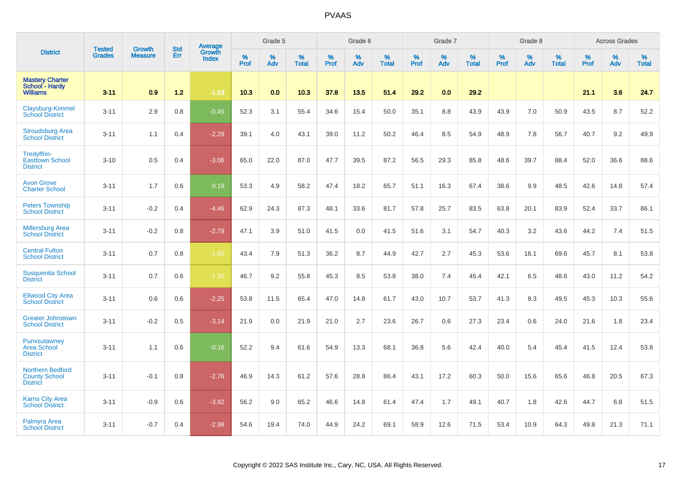|                                                             |                                | <b>Growth</b>  | <b>Std</b> | Average         |                     | Grade 5  |                   |           | Grade 6  |                   |              | Grade 7  |                   |           | Grade 8  |                   |           | <b>Across Grades</b> |                   |
|-------------------------------------------------------------|--------------------------------|----------------|------------|-----------------|---------------------|----------|-------------------|-----------|----------|-------------------|--------------|----------|-------------------|-----------|----------|-------------------|-----------|----------------------|-------------------|
| <b>District</b>                                             | <b>Tested</b><br><b>Grades</b> | <b>Measure</b> | Err        | Growth<br>Index | $\%$<br><b>Prof</b> | %<br>Adv | %<br><b>Total</b> | %<br>Prof | %<br>Adv | %<br><b>Total</b> | $\%$<br>Prof | %<br>Adv | %<br><b>Total</b> | %<br>Prof | %<br>Adv | %<br><b>Total</b> | %<br>Prof | %<br>Adv             | %<br><b>Total</b> |
| <b>Mastery Charter</b><br>School - Hardy<br><b>Williams</b> | $3 - 11$                       | 0.9            | 1.2        | $-1.53$         | 10.3                | 0.0      | 10.3              | 37.8      | 13.5     | 51.4              | 29.2         | 0.0      | 29.2              |           |          |                   | 21.1      | 3.6                  | 24.7              |
| Claysburg-Kimmel<br><b>School District</b>                  | $3 - 11$                       | 2.9            | 0.8        | $-0.45$         | 52.3                | 3.1      | 55.4              | 34.6      | 15.4     | 50.0              | 35.1         | 8.8      | 43.9              | 43.9      | 7.0      | 50.9              | 43.5      | 8.7                  | 52.2              |
| <b>Stroudsburg Area</b><br><b>School District</b>           | $3 - 11$                       | 1.1            | 0.4        | $-2.29$         | 39.1                | 4.0      | 43.1              | 39.0      | 11.2     | 50.2              | 46.4         | 8.5      | 54.9              | 48.9      | 7.8      | 56.7              | 40.7      | 9.2                  | 49.9              |
| Tredyffrin-<br><b>Easttown School</b><br><b>District</b>    | $3 - 10$                       | 0.5            | 0.4        | $-3.06$         | 65.0                | 22.0     | 87.0              | 47.7      | 39.5     | 87.2              | 56.5         | 29.3     | 85.8              | 48.6      | 39.7     | 88.4              | 52.0      | 36.6                 | 88.6              |
| <b>Avon Grove</b><br><b>Charter School</b>                  | $3 - 11$                       | 1.7            | 0.6        | 0.18            | 53.3                | 4.9      | 58.2              | 47.4      | 18.2     | 65.7              | 51.1         | 16.3     | 67.4              | 38.6      | 9.9      | 48.5              | 42.6      | 14.8                 | 57.4              |
| <b>Peters Township</b><br><b>School District</b>            | $3 - 11$                       | $-0.2$         | 0.4        | $-4.46$         | 62.9                | 24.3     | 87.3              | 48.1      | 33.6     | 81.7              | 57.8         | 25.7     | 83.5              | 63.8      | 20.1     | 83.9              | 52.4      | 33.7                 | 86.1              |
| <b>Millersburg Area</b><br><b>School District</b>           | $3 - 11$                       | $-0.2$         | 0.8        | $-2.79$         | 47.1                | 3.9      | 51.0              | 41.5      | 0.0      | 41.5              | 51.6         | 3.1      | 54.7              | 40.3      | 3.2      | 43.6              | 44.2      | 7.4                  | 51.5              |
| <b>Central Fulton</b><br><b>School District</b>             | $3 - 11$                       | 0.7            | 0.8        | $-1.60$         | 43.4                | 7.9      | 51.3              | 36.2      | 8.7      | 44.9              | 42.7         | 2.7      | 45.3              | 53.6      | 16.1     | 69.6              | 45.7      | 8.1                  | 53.8              |
| <b>Susquenita School</b><br><b>District</b>                 | $3 - 11$                       | 0.7            | 0.6        | $-1.50$         | 46.7                | 9.2      | 55.8              | 45.3      | 8.5      | 53.8              | 38.0         | 7.4      | 45.4              | 42.1      | 6.5      | 48.6              | 43.0      | 11.2                 | 54.2              |
| <b>Ellwood City Area</b><br><b>School District</b>          | $3 - 11$                       | 0.6            | 0.6        | $-2.25$         | 53.8                | 11.5     | 65.4              | 47.0      | 14.8     | 61.7              | 43.0         | 10.7     | 53.7              | 41.3      | 8.3      | 49.5              | 45.3      | 10.3                 | 55.6              |
| <b>Greater Johnstown</b><br><b>School District</b>          | $3 - 11$                       | $-0.2$         | 0.5        | $-3.14$         | 21.9                | 0.0      | 21.9              | 21.0      | 2.7      | 23.6              | 26.7         | 0.6      | 27.3              | 23.4      | 0.6      | 24.0              | 21.6      | 1.8                  | 23.4              |
| Punxsutawney<br>Area School<br><b>District</b>              | $3 - 11$                       | 1.1            | 0.6        | $-0.16$         | 52.2                | 9.4      | 61.6              | 54.9      | 13.3     | 68.1              | 36.8         | 5.6      | 42.4              | 40.0      | 5.4      | 45.4              | 41.5      | 12.4                 | 53.8              |
| Northern Bedford<br><b>County School</b><br><b>District</b> | $3 - 11$                       | $-0.1$         | 0.8        | $-2.76$         | 46.9                | 14.3     | 61.2              | 57.6      | 28.8     | 86.4              | 43.1         | 17.2     | 60.3              | 50.0      | 15.6     | 65.6              | 46.8      | 20.5                 | 67.3              |
| <b>Karns City Area</b><br><b>School District</b>            | $3 - 11$                       | $-0.9$         | 0.6        | $-3.82$         | 56.2                | 9.0      | 65.2              | 46.6      | 14.8     | 61.4              | 47.4         | 1.7      | 49.1              | 40.7      | 1.8      | 42.6              | 44.7      | 6.8                  | 51.5              |
| Palmyra Area<br><b>School District</b>                      | $3 - 11$                       | $-0.7$         | 0.4        | $-2.98$         | 54.6                | 19.4     | 74.0              | 44.9      | 24.2     | 69.1              | 58.9         | 12.6     | 71.5              | 53.4      | 10.9     | 64.3              | 49.8      | 21.3                 | 71.1              |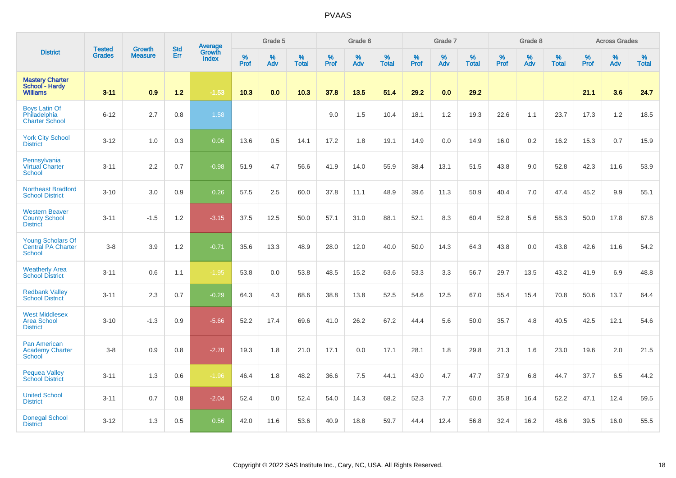|                                                                        |                                |                                 | <b>Std</b> | Average                |           | Grade 5  |                   |           | Grade 6  |                   |           | Grade 7  |                   |           | Grade 8  |                   |           | <b>Across Grades</b> |                   |
|------------------------------------------------------------------------|--------------------------------|---------------------------------|------------|------------------------|-----------|----------|-------------------|-----------|----------|-------------------|-----------|----------|-------------------|-----------|----------|-------------------|-----------|----------------------|-------------------|
| <b>District</b>                                                        | <b>Tested</b><br><b>Grades</b> | <b>Growth</b><br><b>Measure</b> | Err        | Growth<br><b>Index</b> | %<br>Prof | %<br>Adv | %<br><b>Total</b> | %<br>Prof | %<br>Adv | %<br><b>Total</b> | %<br>Prof | %<br>Adv | %<br><b>Total</b> | %<br>Prof | %<br>Adv | %<br><b>Total</b> | %<br>Prof | %<br>Adv             | %<br><b>Total</b> |
| <b>Mastery Charter</b><br>School - Hardy<br><b>Williams</b>            | $3 - 11$                       | 0.9                             | $1.2$      | $-1.53$                | 10.3      | 0.0      | 10.3              | 37.8      | 13.5     | 51.4              | 29.2      | 0.0      | 29.2              |           |          |                   | 21.1      | 3.6                  | 24.7              |
| <b>Boys Latin Of</b><br>Philadelphia<br><b>Charter School</b>          | $6 - 12$                       | 2.7                             | 0.8        | 1.58                   |           |          |                   | 9.0       | 1.5      | 10.4              | 18.1      | 1.2      | 19.3              | 22.6      | 1.1      | 23.7              | 17.3      | 1.2                  | 18.5              |
| <b>York City School</b><br><b>District</b>                             | $3 - 12$                       | 1.0                             | 0.3        | 0.06                   | 13.6      | 0.5      | 14.1              | 17.2      | 1.8      | 19.1              | 14.9      | 0.0      | 14.9              | 16.0      | 0.2      | 16.2              | 15.3      | 0.7                  | 15.9              |
| Pennsylvania<br>Virtual Charter<br><b>School</b>                       | $3 - 11$                       | 2.2                             | 0.7        | $-0.98$                | 51.9      | 4.7      | 56.6              | 41.9      | 14.0     | 55.9              | 38.4      | 13.1     | 51.5              | 43.8      | 9.0      | 52.8              | 42.3      | 11.6                 | 53.9              |
| <b>Northeast Bradford</b><br><b>School District</b>                    | $3 - 10$                       | 3.0                             | 0.9        | 0.26                   | 57.5      | 2.5      | 60.0              | 37.8      | 11.1     | 48.9              | 39.6      | 11.3     | 50.9              | 40.4      | 7.0      | 47.4              | 45.2      | 9.9                  | 55.1              |
| <b>Western Beaver</b><br><b>County School</b><br><b>District</b>       | $3 - 11$                       | $-1.5$                          | 1.2        | $-3.15$                | 37.5      | 12.5     | 50.0              | 57.1      | 31.0     | 88.1              | 52.1      | 8.3      | 60.4              | 52.8      | 5.6      | 58.3              | 50.0      | 17.8                 | 67.8              |
| <b>Young Scholars Of</b><br><b>Central PA Charter</b><br><b>School</b> | $3 - 8$                        | 3.9                             | 1.2        | $-0.71$                | 35.6      | 13.3     | 48.9              | 28.0      | 12.0     | 40.0              | 50.0      | 14.3     | 64.3              | 43.8      | 0.0      | 43.8              | 42.6      | 11.6                 | 54.2              |
| <b>Weatherly Area</b><br><b>School District</b>                        | $3 - 11$                       | 0.6                             | 1.1        | $-1.95$                | 53.8      | 0.0      | 53.8              | 48.5      | 15.2     | 63.6              | 53.3      | 3.3      | 56.7              | 29.7      | 13.5     | 43.2              | 41.9      | 6.9                  | 48.8              |
| <b>Redbank Valley</b><br><b>School District</b>                        | $3 - 11$                       | 2.3                             | 0.7        | $-0.29$                | 64.3      | 4.3      | 68.6              | 38.8      | 13.8     | 52.5              | 54.6      | 12.5     | 67.0              | 55.4      | 15.4     | 70.8              | 50.6      | 13.7                 | 64.4              |
| <b>West Middlesex</b><br><b>Area School</b><br><b>District</b>         | $3 - 10$                       | $-1.3$                          | 0.9        | $-5.66$                | 52.2      | 17.4     | 69.6              | 41.0      | 26.2     | 67.2              | 44.4      | 5.6      | 50.0              | 35.7      | 4.8      | 40.5              | 42.5      | 12.1                 | 54.6              |
| <b>Pan American</b><br><b>Academy Charter</b><br><b>School</b>         | $3 - 8$                        | 0.9                             | 0.8        | $-2.78$                | 19.3      | 1.8      | 21.0              | 17.1      | 0.0      | 17.1              | 28.1      | 1.8      | 29.8              | 21.3      | 1.6      | 23.0              | 19.6      | 2.0                  | 21.5              |
| <b>Pequea Valley</b><br><b>School District</b>                         | $3 - 11$                       | 1.3                             | 0.6        | $-1.96$                | 46.4      | 1.8      | 48.2              | 36.6      | 7.5      | 44.1              | 43.0      | 4.7      | 47.7              | 37.9      | 6.8      | 44.7              | 37.7      | 6.5                  | 44.2              |
| <b>United School</b><br><b>District</b>                                | $3 - 11$                       | 0.7                             | 0.8        | $-2.04$                | 52.4      | 0.0      | 52.4              | 54.0      | 14.3     | 68.2              | 52.3      | 7.7      | 60.0              | 35.8      | 16.4     | 52.2              | 47.1      | 12.4                 | 59.5              |
| <b>Donegal School</b><br><b>District</b>                               | $3 - 12$                       | 1.3                             | 0.5        | 0.56                   | 42.0      | 11.6     | 53.6              | 40.9      | 18.8     | 59.7              | 44.4      | 12.4     | 56.8              | 32.4      | 16.2     | 48.6              | 39.5      | 16.0                 | 55.5              |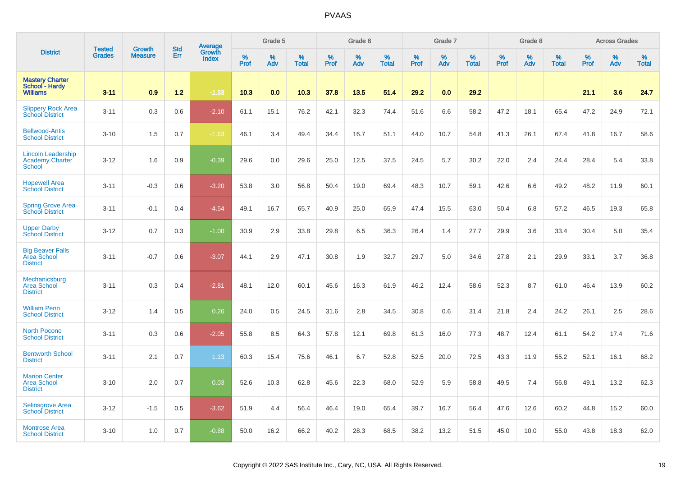|                                                                      | <b>Tested</b> | <b>Growth</b>  | <b>Std</b> | Average                |              | Grade 5  |                   |                  | Grade 6  |                   |                  | Grade 7  |                   |           | Grade 8  |                   |           | <b>Across Grades</b> |                   |
|----------------------------------------------------------------------|---------------|----------------|------------|------------------------|--------------|----------|-------------------|------------------|----------|-------------------|------------------|----------|-------------------|-----------|----------|-------------------|-----------|----------------------|-------------------|
| <b>District</b>                                                      | <b>Grades</b> | <b>Measure</b> | Err        | Growth<br><b>Index</b> | $\%$<br>Prof | %<br>Adv | %<br><b>Total</b> | %<br><b>Prof</b> | %<br>Adv | %<br><b>Total</b> | %<br><b>Prof</b> | %<br>Adv | %<br><b>Total</b> | %<br>Prof | %<br>Adv | %<br><b>Total</b> | %<br>Prof | %<br>Adv             | %<br><b>Total</b> |
| <b>Mastery Charter</b><br>School - Hardy<br><b>Williams</b>          | $3 - 11$      | 0.9            | $1.2$      | $-1.53$                | 10.3         | 0.0      | 10.3              | 37.8             | 13.5     | 51.4              | 29.2             | 0.0      | 29.2              |           |          |                   | 21.1      | 3.6                  | 24.7              |
| <b>Slippery Rock Area</b><br><b>School District</b>                  | $3 - 11$      | 0.3            | 0.6        | $-2.10$                | 61.1         | 15.1     | 76.2              | 42.1             | 32.3     | 74.4              | 51.6             | 6.6      | 58.2              | 47.2      | 18.1     | 65.4              | 47.2      | 24.9                 | 72.1              |
| <b>Bellwood-Antis</b><br><b>School District</b>                      | $3 - 10$      | 1.5            | 0.7        | $-1.63$                | 46.1         | 3.4      | 49.4              | 34.4             | 16.7     | 51.1              | 44.0             | 10.7     | 54.8              | 41.3      | 26.1     | 67.4              | 41.8      | 16.7                 | 58.6              |
| <b>Lincoln Leadership</b><br><b>Academy Charter</b><br><b>School</b> | $3 - 12$      | 1.6            | 0.9        | $-0.39$                | 29.6         | 0.0      | 29.6              | 25.0             | 12.5     | 37.5              | 24.5             | 5.7      | 30.2              | 22.0      | 2.4      | 24.4              | 28.4      | 5.4                  | 33.8              |
| <b>Hopewell Area</b><br><b>School District</b>                       | $3 - 11$      | $-0.3$         | 0.6        | $-3.20$                | 53.8         | 3.0      | 56.8              | 50.4             | 19.0     | 69.4              | 48.3             | 10.7     | 59.1              | 42.6      | 6.6      | 49.2              | 48.2      | 11.9                 | 60.1              |
| <b>Spring Grove Area</b><br><b>School District</b>                   | $3 - 11$      | $-0.1$         | 0.4        | $-4.54$                | 49.1         | 16.7     | 65.7              | 40.9             | 25.0     | 65.9              | 47.4             | 15.5     | 63.0              | 50.4      | 6.8      | 57.2              | 46.5      | 19.3                 | 65.8              |
| <b>Upper Darby</b><br><b>School District</b>                         | $3 - 12$      | 0.7            | 0.3        | $-1.00$                | 30.9         | 2.9      | 33.8              | 29.8             | 6.5      | 36.3              | 26.4             | 1.4      | 27.7              | 29.9      | 3.6      | 33.4              | 30.4      | 5.0                  | 35.4              |
| <b>Big Beaver Falls</b><br>Area School<br><b>District</b>            | $3 - 11$      | $-0.7$         | 0.6        | $-3.07$                | 44.1         | 2.9      | 47.1              | 30.8             | 1.9      | 32.7              | 29.7             | 5.0      | 34.6              | 27.8      | 2.1      | 29.9              | 33.1      | 3.7                  | 36.8              |
| Mechanicsburg<br><b>Area School</b><br><b>District</b>               | $3 - 11$      | 0.3            | 0.4        | $-2.81$                | 48.1         | 12.0     | 60.1              | 45.6             | 16.3     | 61.9              | 46.2             | 12.4     | 58.6              | 52.3      | 8.7      | 61.0              | 46.4      | 13.9                 | 60.2              |
| <b>William Penn</b><br><b>School District</b>                        | $3 - 12$      | 1.4            | 0.5        | 0.26                   | 24.0         | 0.5      | 24.5              | 31.6             | 2.8      | 34.5              | 30.8             | 0.6      | 31.4              | 21.8      | 2.4      | 24.2              | 26.1      | 2.5                  | 28.6              |
| <b>North Pocono</b><br><b>School District</b>                        | $3 - 11$      | 0.3            | 0.6        | $-2.05$                | 55.8         | 8.5      | 64.3              | 57.8             | 12.1     | 69.8              | 61.3             | 16.0     | 77.3              | 48.7      | 12.4     | 61.1              | 54.2      | 17.4                 | 71.6              |
| <b>Bentworth School</b><br><b>District</b>                           | $3 - 11$      | 2.1            | 0.7        | 1.13                   | 60.3         | 15.4     | 75.6              | 46.1             | 6.7      | 52.8              | 52.5             | 20.0     | 72.5              | 43.3      | 11.9     | 55.2              | 52.1      | 16.1                 | 68.2              |
| <b>Marion Center</b><br><b>Area School</b><br><b>District</b>        | $3 - 10$      | 2.0            | 0.7        | 0.03                   | 52.6         | 10.3     | 62.8              | 45.6             | 22.3     | 68.0              | 52.9             | 5.9      | 58.8              | 49.5      | 7.4      | 56.8              | 49.1      | 13.2                 | 62.3              |
| <b>Selinsgrove Area</b><br><b>School District</b>                    | $3 - 12$      | $-1.5$         | 0.5        | $-3.62$                | 51.9         | 4.4      | 56.4              | 46.4             | 19.0     | 65.4              | 39.7             | 16.7     | 56.4              | 47.6      | 12.6     | 60.2              | 44.8      | 15.2                 | 60.0              |
| <b>Montrose Area</b><br><b>School District</b>                       | $3 - 10$      | 1.0            | 0.7        | $-0.88$                | 50.0         | 16.2     | 66.2              | 40.2             | 28.3     | 68.5              | 38.2             | 13.2     | 51.5              | 45.0      | 10.0     | 55.0              | 43.8      | 18.3                 | 62.0              |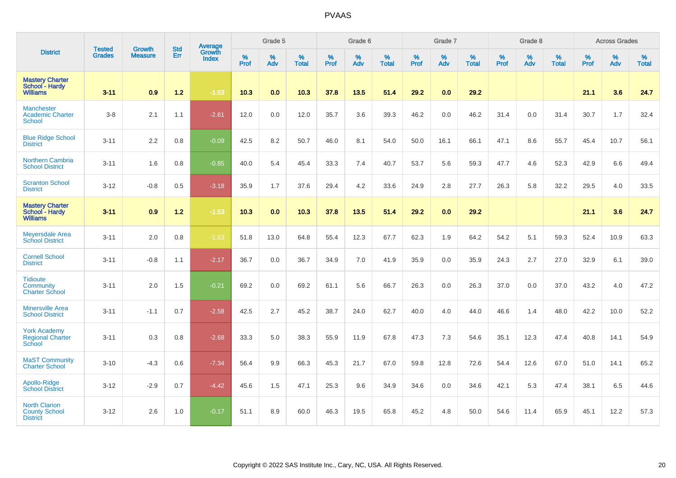|                                                                    |                                |                                 | <b>Std</b> | Average                |           | Grade 5  |                   |           | Grade 6  |                   |           | Grade 7  |                   |           | Grade 8  |                   |           | <b>Across Grades</b> |                   |
|--------------------------------------------------------------------|--------------------------------|---------------------------------|------------|------------------------|-----------|----------|-------------------|-----------|----------|-------------------|-----------|----------|-------------------|-----------|----------|-------------------|-----------|----------------------|-------------------|
| <b>District</b>                                                    | <b>Tested</b><br><b>Grades</b> | <b>Growth</b><br><b>Measure</b> | Err        | Growth<br><b>Index</b> | %<br>Prof | %<br>Adv | %<br><b>Total</b> | %<br>Prof | %<br>Adv | %<br><b>Total</b> | %<br>Prof | %<br>Adv | %<br><b>Total</b> | %<br>Prof | %<br>Adv | %<br><b>Total</b> | %<br>Prof | %<br>Adv             | %<br><b>Total</b> |
| <b>Mastery Charter</b><br>School - Hardy<br><b>Williams</b>        | $3 - 11$                       | 0.9                             | 1.2        | $-1.53$                | 10.3      | 0.0      | 10.3              | 37.8      | 13.5     | 51.4              | 29.2      | 0.0      | 29.2              |           |          |                   | 21.1      | 3.6                  | 24.7              |
| <b>Manchester</b><br><b>Academic Charter</b><br><b>School</b>      | $3 - 8$                        | 2.1                             | 1.1        | $-2.61$                | 12.0      | 0.0      | 12.0              | 35.7      | 3.6      | 39.3              | 46.2      | 0.0      | 46.2              | 31.4      | 0.0      | 31.4              | 30.7      | 1.7                  | 32.4              |
| <b>Blue Ridge School</b><br><b>District</b>                        | $3 - 11$                       | 2.2                             | 0.8        | $-0.09$                | 42.5      | 8.2      | 50.7              | 46.0      | 8.1      | 54.0              | 50.0      | 16.1     | 66.1              | 47.1      | 8.6      | 55.7              | 45.4      | 10.7                 | 56.1              |
| Northern Cambria<br><b>School District</b>                         | $3 - 11$                       | 1.6                             | 0.8        | $-0.85$                | 40.0      | 5.4      | 45.4              | 33.3      | 7.4      | 40.7              | 53.7      | 5.6      | 59.3              | 47.7      | 4.6      | 52.3              | 42.9      | 6.6                  | 49.4              |
| <b>Scranton School</b><br><b>District</b>                          | $3 - 12$                       | $-0.8$                          | 0.5        | $-3.18$                | 35.9      | 1.7      | 37.6              | 29.4      | 4.2      | 33.6              | 24.9      | 2.8      | 27.7              | 26.3      | 5.8      | 32.2              | 29.5      | 4.0                  | 33.5              |
| <b>Mastery Charter</b><br><b>School - Hardy</b><br><b>Williams</b> | $3 - 11$                       | 0.9                             | 1.2        | $-1.53$                | 10.3      | 0.0      | 10.3              | 37.8      | 13.5     | 51.4              | 29.2      | 0.0      | 29.2              |           |          |                   | 21.1      | 3.6                  | 24.7              |
| <b>Meyersdale Area</b><br><b>School District</b>                   | $3 - 11$                       | 2.0                             | 0.8        | $-1.63$                | 51.8      | 13.0     | 64.8              | 55.4      | 12.3     | 67.7              | 62.3      | 1.9      | 64.2              | 54.2      | 5.1      | 59.3              | 52.4      | 10.9                 | 63.3              |
| <b>Cornell School</b><br><b>District</b>                           | $3 - 11$                       | $-0.8$                          | 1.1        | $-2.17$                | 36.7      | 0.0      | 36.7              | 34.9      | 7.0      | 41.9              | 35.9      | 0.0      | 35.9              | 24.3      | 2.7      | 27.0              | 32.9      | 6.1                  | 39.0              |
| <b>Tidioute</b><br><b>Community</b><br><b>Charter School</b>       | $3 - 11$                       | 2.0                             | 1.5        | $-0.21$                | 69.2      | 0.0      | 69.2              | 61.1      | 5.6      | 66.7              | 26.3      | 0.0      | 26.3              | 37.0      | $0.0\,$  | 37.0              | 43.2      | 4.0                  | 47.2              |
| <b>Minersville Area</b><br><b>School District</b>                  | $3 - 11$                       | $-1.1$                          | 0.7        | $-2.58$                | 42.5      | 2.7      | 45.2              | 38.7      | 24.0     | 62.7              | 40.0      | 4.0      | 44.0              | 46.6      | 1.4      | 48.0              | 42.2      | 10.0                 | 52.2              |
| <b>York Academy</b><br><b>Regional Charter</b><br>School           | $3 - 11$                       | 0.3                             | 0.8        | $-2.68$                | 33.3      | 5.0      | 38.3              | 55.9      | 11.9     | 67.8              | 47.3      | 7.3      | 54.6              | 35.1      | 12.3     | 47.4              | 40.8      | 14.1                 | 54.9              |
| <b>MaST Community</b><br><b>Charter School</b>                     | $3 - 10$                       | $-4.3$                          | 0.6        | $-7.34$                | 56.4      | 9.9      | 66.3              | 45.3      | 21.7     | 67.0              | 59.8      | 12.8     | 72.6              | 54.4      | 12.6     | 67.0              | 51.0      | 14.1                 | 65.2              |
| Apollo-Ridge<br><b>School District</b>                             | $3 - 12$                       | $-2.9$                          | 0.7        | $-4.42$                | 45.6      | 1.5      | 47.1              | 25.3      | 9.6      | 34.9              | 34.6      | 0.0      | 34.6              | 42.1      | 5.3      | 47.4              | 38.1      | 6.5                  | 44.6              |
| <b>North Clarion</b><br><b>County School</b><br><b>District</b>    | $3 - 12$                       | 2.6                             | 1.0        | $-0.17$                | 51.1      | 8.9      | 60.0              | 46.3      | 19.5     | 65.8              | 45.2      | 4.8      | 50.0              | 54.6      | 11.4     | 65.9              | 45.1      | 12.2                 | 57.3              |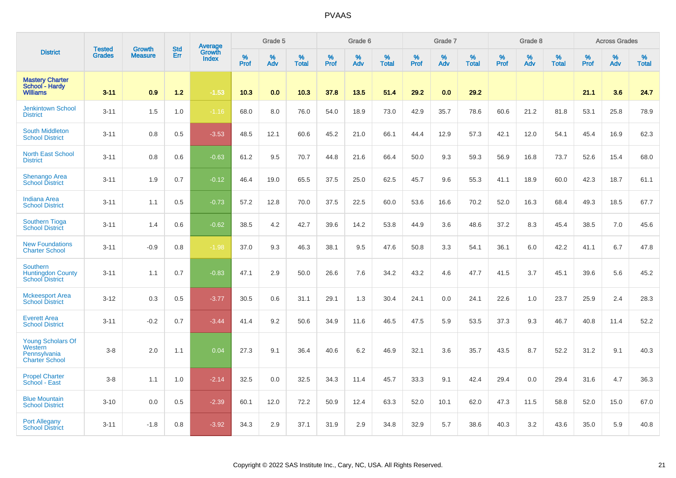|                                                                              |                                | <b>Growth</b>  | <b>Std</b> | Average         |              | Grade 5  |                   |           | Grade 6  |                   |              | Grade 7  |                   |           | Grade 8  |                   |           | <b>Across Grades</b> |                   |
|------------------------------------------------------------------------------|--------------------------------|----------------|------------|-----------------|--------------|----------|-------------------|-----------|----------|-------------------|--------------|----------|-------------------|-----------|----------|-------------------|-----------|----------------------|-------------------|
| <b>District</b>                                                              | <b>Tested</b><br><b>Grades</b> | <b>Measure</b> | Err        | Growth<br>Index | $\%$<br>Prof | %<br>Adv | %<br><b>Total</b> | %<br>Prof | %<br>Adv | %<br><b>Total</b> | $\%$<br>Prof | %<br>Adv | %<br><b>Total</b> | %<br>Prof | %<br>Adv | %<br><b>Total</b> | %<br>Prof | %<br>Adv             | %<br><b>Total</b> |
| <b>Mastery Charter</b><br>School - Hardy<br><b>Williams</b>                  | $3 - 11$                       | 0.9            | 1.2        | $-1.53$         | 10.3         | 0.0      | 10.3              | 37.8      | 13.5     | 51.4              | 29.2         | 0.0      | 29.2              |           |          |                   | 21.1      | 3.6                  | 24.7              |
| <b>Jenkintown School</b><br><b>District</b>                                  | $3 - 11$                       | 1.5            | 1.0        | $-1.16$         | 68.0         | 8.0      | 76.0              | 54.0      | 18.9     | 73.0              | 42.9         | 35.7     | 78.6              | 60.6      | 21.2     | 81.8              | 53.1      | 25.8                 | 78.9              |
| <b>South Middleton</b><br><b>School District</b>                             | $3 - 11$                       | 0.8            | 0.5        | $-3.53$         | 48.5         | 12.1     | 60.6              | 45.2      | 21.0     | 66.1              | 44.4         | 12.9     | 57.3              | 42.1      | 12.0     | 54.1              | 45.4      | 16.9                 | 62.3              |
| <b>North East School</b><br><b>District</b>                                  | $3 - 11$                       | 0.8            | 0.6        | $-0.63$         | 61.2         | 9.5      | 70.7              | 44.8      | 21.6     | 66.4              | 50.0         | 9.3      | 59.3              | 56.9      | 16.8     | 73.7              | 52.6      | 15.4                 | 68.0              |
| <b>Shenango Area</b><br><b>School District</b>                               | $3 - 11$                       | 1.9            | 0.7        | $-0.12$         | 46.4         | 19.0     | 65.5              | 37.5      | 25.0     | 62.5              | 45.7         | 9.6      | 55.3              | 41.1      | 18.9     | 60.0              | 42.3      | 18.7                 | 61.1              |
| <b>Indiana Area</b><br><b>School District</b>                                | $3 - 11$                       | 1.1            | 0.5        | $-0.73$         | 57.2         | 12.8     | 70.0              | 37.5      | 22.5     | 60.0              | 53.6         | 16.6     | 70.2              | 52.0      | 16.3     | 68.4              | 49.3      | 18.5                 | 67.7              |
| <b>Southern Tioga</b><br><b>School District</b>                              | $3 - 11$                       | 1.4            | 0.6        | $-0.62$         | 38.5         | 4.2      | 42.7              | 39.6      | 14.2     | 53.8              | 44.9         | 3.6      | 48.6              | 37.2      | 8.3      | 45.4              | 38.5      | 7.0                  | 45.6              |
| <b>New Foundations</b><br><b>Charter School</b>                              | $3 - 11$                       | $-0.9$         | 0.8        | $-1.98$         | 37.0         | 9.3      | 46.3              | 38.1      | 9.5      | 47.6              | 50.8         | 3.3      | 54.1              | 36.1      | 6.0      | 42.2              | 41.1      | 6.7                  | 47.8              |
| <b>Southern</b><br><b>Huntingdon County</b><br><b>School District</b>        | $3 - 11$                       | 1.1            | 0.7        | $-0.83$         | 47.1         | 2.9      | 50.0              | 26.6      | 7.6      | 34.2              | 43.2         | 4.6      | 47.7              | 41.5      | 3.7      | 45.1              | 39.6      | 5.6                  | 45.2              |
| <b>Mckeesport Area</b><br><b>School District</b>                             | $3 - 12$                       | 0.3            | 0.5        | $-3.77$         | 30.5         | 0.6      | 31.1              | 29.1      | 1.3      | 30.4              | 24.1         | 0.0      | 24.1              | 22.6      | 1.0      | 23.7              | 25.9      | 2.4                  | 28.3              |
| <b>Everett Area</b><br><b>School District</b>                                | $3 - 11$                       | $-0.2$         | 0.7        | $-3.44$         | 41.4         | 9.2      | 50.6              | 34.9      | 11.6     | 46.5              | 47.5         | 5.9      | 53.5              | 37.3      | 9.3      | 46.7              | 40.8      | 11.4                 | 52.2              |
| <b>Young Scholars Of</b><br>Western<br>Pennsylvania<br><b>Charter School</b> | $3-8$                          | 2.0            | 1.1        | 0.04            | 27.3         | 9.1      | 36.4              | 40.6      | 6.2      | 46.9              | 32.1         | 3.6      | 35.7              | 43.5      | 8.7      | 52.2              | 31.2      | 9.1                  | 40.3              |
| <b>Propel Charter</b><br>School - East                                       | $3-8$                          | 1.1            | 1.0        | $-2.14$         | 32.5         | 0.0      | 32.5              | 34.3      | 11.4     | 45.7              | 33.3         | 9.1      | 42.4              | 29.4      | 0.0      | 29.4              | 31.6      | 4.7                  | 36.3              |
| <b>Blue Mountain</b><br><b>School District</b>                               | $3 - 10$                       | 0.0            | 0.5        | $-2.39$         | 60.1         | 12.0     | 72.2              | 50.9      | 12.4     | 63.3              | 52.0         | 10.1     | 62.0              | 47.3      | 11.5     | 58.8              | 52.0      | 15.0                 | 67.0              |
| <b>Port Allegany</b><br><b>School District</b>                               | $3 - 11$                       | $-1.8$         | 0.8        | $-3.92$         | 34.3         | 2.9      | 37.1              | 31.9      | 2.9      | 34.8              | 32.9         | 5.7      | 38.6              | 40.3      | 3.2      | 43.6              | 35.0      | 5.9                  | 40.8              |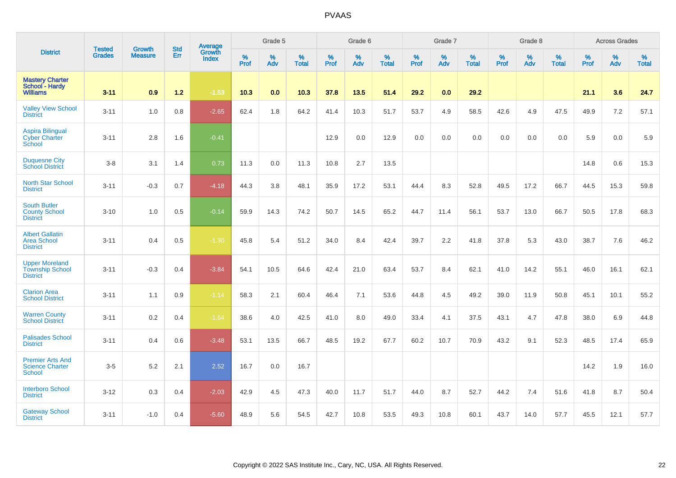|                                                                    | <b>Tested</b> | <b>Growth</b>  | <b>Std</b> | Average                |                     | Grade 5  |                   |              | Grade 6  |                   |              | Grade 7  |                   |              | Grade 8  |                   |              | <b>Across Grades</b> |                   |
|--------------------------------------------------------------------|---------------|----------------|------------|------------------------|---------------------|----------|-------------------|--------------|----------|-------------------|--------------|----------|-------------------|--------------|----------|-------------------|--------------|----------------------|-------------------|
| <b>District</b>                                                    | <b>Grades</b> | <b>Measure</b> | <b>Err</b> | Growth<br><b>Index</b> | $\%$<br><b>Prof</b> | %<br>Adv | %<br><b>Total</b> | $\%$<br>Prof | %<br>Adv | %<br><b>Total</b> | $\%$<br>Prof | %<br>Adv | %<br><b>Total</b> | $\%$<br>Prof | %<br>Adv | %<br><b>Total</b> | $\%$<br>Prof | %<br>Adv             | %<br><b>Total</b> |
| <b>Mastery Charter</b><br>School - Hardy<br><b>Williams</b>        | $3 - 11$      | 0.9            | $1.2$      | $-1.53$                | 10.3                | 0.0      | 10.3              | 37.8         | 13.5     | 51.4              | 29.2         | 0.0      | 29.2              |              |          |                   | 21.1         | 3.6                  | 24.7              |
| <b>Valley View School</b><br><b>District</b>                       | $3 - 11$      | 1.0            | 0.8        | $-2.65$                | 62.4                | 1.8      | 64.2              | 41.4         | 10.3     | 51.7              | 53.7         | 4.9      | 58.5              | 42.6         | 4.9      | 47.5              | 49.9         | 7.2                  | 57.1              |
| <b>Aspira Bilingual</b><br><b>Cyber Charter</b><br>School          | $3 - 11$      | 2.8            | 1.6        | $-0.41$                |                     |          |                   | 12.9         | 0.0      | 12.9              | 0.0          | $0.0\,$  | 0.0               | 0.0          | 0.0      | 0.0               | 5.9          | 0.0                  | 5.9               |
| <b>Duquesne City</b><br><b>School District</b>                     | $3-8$         | 3.1            | 1.4        | 0.73                   | 11.3                | 0.0      | 11.3              | 10.8         | 2.7      | 13.5              |              |          |                   |              |          |                   | 14.8         | 0.6                  | 15.3              |
| <b>North Star School</b><br><b>District</b>                        | $3 - 11$      | $-0.3$         | 0.7        | $-4.18$                | 44.3                | 3.8      | 48.1              | 35.9         | 17.2     | 53.1              | 44.4         | 8.3      | 52.8              | 49.5         | 17.2     | 66.7              | 44.5         | 15.3                 | 59.8              |
| <b>South Butler</b><br><b>County School</b><br><b>District</b>     | $3 - 10$      | 1.0            | 0.5        | $-0.14$                | 59.9                | 14.3     | 74.2              | 50.7         | 14.5     | 65.2              | 44.7         | 11.4     | 56.1              | 53.7         | 13.0     | 66.7              | 50.5         | 17.8                 | 68.3              |
| <b>Albert Gallatin</b><br><b>Area School</b><br><b>District</b>    | $3 - 11$      | 0.4            | 0.5        | $-1.30$                | 45.8                | 5.4      | 51.2              | 34.0         | 8.4      | 42.4              | 39.7         | 2.2      | 41.8              | 37.8         | 5.3      | 43.0              | 38.7         | 7.6                  | 46.2              |
| <b>Upper Moreland</b><br><b>Township School</b><br><b>District</b> | $3 - 11$      | $-0.3$         | 0.4        | $-3.84$                | 54.1                | 10.5     | 64.6              | 42.4         | 21.0     | 63.4              | 53.7         | 8.4      | 62.1              | 41.0         | 14.2     | 55.1              | 46.0         | 16.1                 | 62.1              |
| <b>Clarion Area</b><br><b>School District</b>                      | $3 - 11$      | 1.1            | 0.9        | $-1.14$                | 58.3                | 2.1      | 60.4              | 46.4         | 7.1      | 53.6              | 44.8         | 4.5      | 49.2              | 39.0         | 11.9     | 50.8              | 45.1         | 10.1                 | 55.2              |
| <b>Warren County</b><br><b>School District</b>                     | $3 - 11$      | 0.2            | 0.4        | $-1.64$                | 38.6                | 4.0      | 42.5              | 41.0         | 8.0      | 49.0              | 33.4         | 4.1      | 37.5              | 43.1         | 4.7      | 47.8              | 38.0         | 6.9                  | 44.8              |
| <b>Palisades School</b><br><b>District</b>                         | $3 - 11$      | 0.4            | 0.6        | $-3.48$                | 53.1                | 13.5     | 66.7              | 48.5         | 19.2     | 67.7              | 60.2         | 10.7     | 70.9              | 43.2         | 9.1      | 52.3              | 48.5         | 17.4                 | 65.9              |
| <b>Premier Arts And</b><br><b>Science Charter</b><br>School        | $3-5$         | 5.2            | 2.1        | 2.52                   | 16.7                | 0.0      | 16.7              |              |          |                   |              |          |                   |              |          |                   | 14.2         | 1.9                  | 16.0              |
| <b>Interboro School</b><br><b>District</b>                         | $3 - 12$      | 0.3            | 0.4        | $-2.03$                | 42.9                | 4.5      | 47.3              | 40.0         | 11.7     | 51.7              | 44.0         | 8.7      | 52.7              | 44.2         | 7.4      | 51.6              | 41.8         | 8.7                  | 50.4              |
| <b>Gateway School</b><br><b>District</b>                           | $3 - 11$      | $-1.0$         | 0.4        | $-5.60$                | 48.9                | 5.6      | 54.5              | 42.7         | 10.8     | 53.5              | 49.3         | 10.8     | 60.1              | 43.7         | 14.0     | 57.7              | 45.5         | 12.1                 | 57.7              |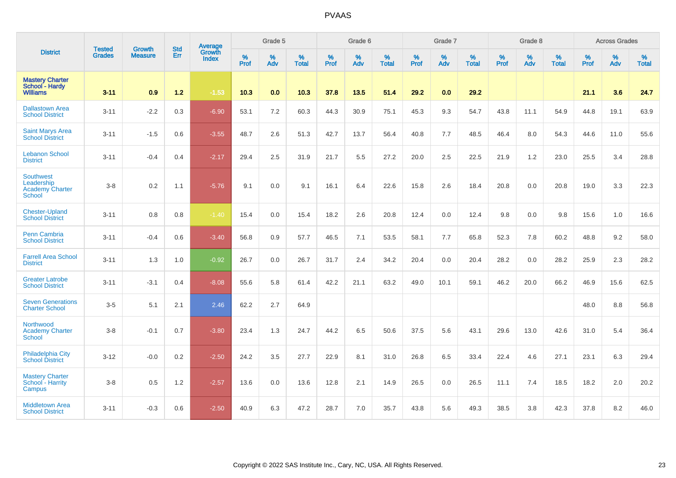|                                                                    |                                |                                 | <b>Std</b> | Average                |                     | Grade 5  |                   |                     | Grade 6  |                   |                     | Grade 7  |                   |                     | Grade 8  |                   |                     | <b>Across Grades</b> |                   |
|--------------------------------------------------------------------|--------------------------------|---------------------------------|------------|------------------------|---------------------|----------|-------------------|---------------------|----------|-------------------|---------------------|----------|-------------------|---------------------|----------|-------------------|---------------------|----------------------|-------------------|
| <b>District</b>                                                    | <b>Tested</b><br><b>Grades</b> | <b>Growth</b><br><b>Measure</b> | Err        | Growth<br><b>Index</b> | $\%$<br><b>Prof</b> | %<br>Adv | %<br><b>Total</b> | $\%$<br><b>Prof</b> | %<br>Adv | %<br><b>Total</b> | $\%$<br><b>Prof</b> | %<br>Adv | %<br><b>Total</b> | $\%$<br><b>Prof</b> | %<br>Adv | %<br><b>Total</b> | $\%$<br><b>Prof</b> | %<br>Adv             | %<br><b>Total</b> |
| <b>Mastery Charter</b><br>School - Hardy<br><b>Williams</b>        | $3 - 11$                       | 0.9                             | $1.2$      | $-1.53$                | 10.3                | 0.0      | 10.3              | 37.8                | 13.5     | 51.4              | 29.2                | 0.0      | 29.2              |                     |          |                   | 21.1                | 3.6                  | 24.7              |
| <b>Dallastown Area</b><br><b>School District</b>                   | $3 - 11$                       | $-2.2$                          | 0.3        | $-6.90$                | 53.1                | 7.2      | 60.3              | 44.3                | 30.9     | 75.1              | 45.3                | 9.3      | 54.7              | 43.8                | 11.1     | 54.9              | 44.8                | 19.1                 | 63.9              |
| <b>Saint Marys Area</b><br><b>School District</b>                  | $3 - 11$                       | $-1.5$                          | 0.6        | $-3.55$                | 48.7                | 2.6      | 51.3              | 42.7                | 13.7     | 56.4              | 40.8                | 7.7      | 48.5              | 46.4                | 8.0      | 54.3              | 44.6                | 11.0                 | 55.6              |
| <b>Lebanon School</b><br><b>District</b>                           | $3 - 11$                       | $-0.4$                          | 0.4        | $-2.17$                | 29.4                | 2.5      | 31.9              | 21.7                | 5.5      | 27.2              | 20.0                | 2.5      | 22.5              | 21.9                | 1.2      | 23.0              | 25.5                | 3.4                  | 28.8              |
| Southwest<br>Leadership<br><b>Academy Charter</b><br><b>School</b> | $3 - 8$                        | 0.2                             | 1.1        | $-5.76$                | 9.1                 | 0.0      | 9.1               | 16.1                | 6.4      | 22.6              | 15.8                | 2.6      | 18.4              | 20.8                | 0.0      | 20.8              | 19.0                | 3.3                  | 22.3              |
| <b>Chester-Upland</b><br><b>School District</b>                    | $3 - 11$                       | 0.8                             | 0.8        | $-1.40$                | 15.4                | 0.0      | 15.4              | 18.2                | 2.6      | 20.8              | 12.4                | 0.0      | 12.4              | 9.8                 | 0.0      | 9.8               | 15.6                | 1.0                  | 16.6              |
| <b>Penn Cambria</b><br><b>School District</b>                      | $3 - 11$                       | $-0.4$                          | 0.6        | $-3.40$                | 56.8                | 0.9      | 57.7              | 46.5                | 7.1      | 53.5              | 58.1                | 7.7      | 65.8              | 52.3                | 7.8      | 60.2              | 48.8                | 9.2                  | 58.0              |
| <b>Farrell Area School</b><br><b>District</b>                      | $3 - 11$                       | 1.3                             | 1.0        | $-0.92$                | 26.7                | 0.0      | 26.7              | 31.7                | 2.4      | 34.2              | 20.4                | 0.0      | 20.4              | 28.2                | 0.0      | 28.2              | 25.9                | 2.3                  | 28.2              |
| <b>Greater Latrobe</b><br><b>School District</b>                   | $3 - 11$                       | $-3.1$                          | 0.4        | $-8.08$                | 55.6                | 5.8      | 61.4              | 42.2                | 21.1     | 63.2              | 49.0                | 10.1     | 59.1              | 46.2                | 20.0     | 66.2              | 46.9                | 15.6                 | 62.5              |
| <b>Seven Generations</b><br><b>Charter School</b>                  | $3-5$                          | 5.1                             | 2.1        | 2.46                   | 62.2                | 2.7      | 64.9              |                     |          |                   |                     |          |                   |                     |          |                   | 48.0                | 8.8                  | 56.8              |
| Northwood<br><b>Academy Charter</b><br>School                      | $3 - 8$                        | $-0.1$                          | 0.7        | $-3.80$                | 23.4                | 1.3      | 24.7              | 44.2                | 6.5      | 50.6              | 37.5                | 5.6      | 43.1              | 29.6                | 13.0     | 42.6              | 31.0                | 5.4                  | 36.4              |
| <b>Philadelphia City</b><br><b>School District</b>                 | $3 - 12$                       | $-0.0$                          | 0.2        | $-2.50$                | 24.2                | 3.5      | 27.7              | 22.9                | 8.1      | 31.0              | 26.8                | 6.5      | 33.4              | 22.4                | 4.6      | 27.1              | 23.1                | 6.3                  | 29.4              |
| <b>Mastery Charter</b><br>School - Harrity<br>Campus               | $3-8$                          | 0.5                             | 1.2        | $-2.57$                | 13.6                | 0.0      | 13.6              | 12.8                | 2.1      | 14.9              | 26.5                | 0.0      | 26.5              | 11.1                | 7.4      | 18.5              | 18.2                | 2.0                  | 20.2              |
| <b>Middletown Area</b><br><b>School District</b>                   | $3 - 11$                       | $-0.3$                          | 0.6        | $-2.50$                | 40.9                | 6.3      | 47.2              | 28.7                | 7.0      | 35.7              | 43.8                | 5.6      | 49.3              | 38.5                | 3.8      | 42.3              | 37.8                | 8.2                  | 46.0              |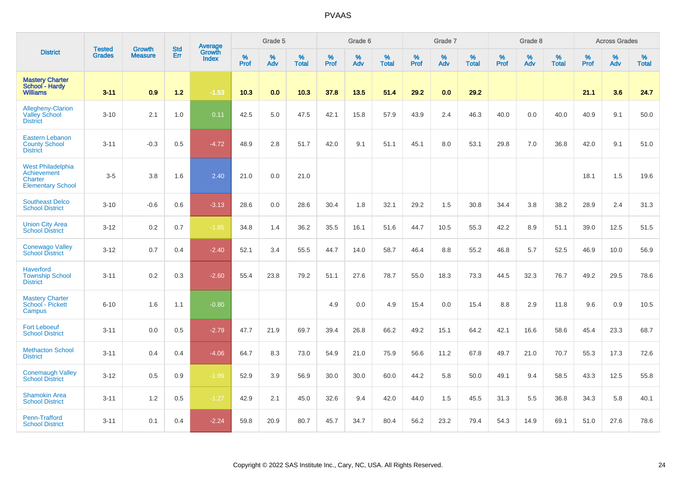|                                                                                |                                |                                 | <b>Std</b> | Average                |           | Grade 5  |                   |           | Grade 6  |                   |           | Grade 7  |                   |           | Grade 8  |                   |           | <b>Across Grades</b> |                   |
|--------------------------------------------------------------------------------|--------------------------------|---------------------------------|------------|------------------------|-----------|----------|-------------------|-----------|----------|-------------------|-----------|----------|-------------------|-----------|----------|-------------------|-----------|----------------------|-------------------|
| <b>District</b>                                                                | <b>Tested</b><br><b>Grades</b> | <b>Growth</b><br><b>Measure</b> | Err        | Growth<br><b>Index</b> | %<br>Prof | %<br>Adv | %<br><b>Total</b> | %<br>Prof | %<br>Adv | %<br><b>Total</b> | %<br>Prof | %<br>Adv | %<br><b>Total</b> | %<br>Prof | %<br>Adv | %<br><b>Total</b> | %<br>Prof | %<br>Adv             | %<br><b>Total</b> |
| <b>Mastery Charter</b><br>School - Hardy<br><b>Williams</b>                    | $3 - 11$                       | 0.9                             | $1.2$      | $-1.53$                | 10.3      | 0.0      | 10.3              | 37.8      | 13.5     | 51.4              | 29.2      | 0.0      | 29.2              |           |          |                   | 21.1      | 3.6                  | 24.7              |
| <b>Allegheny-Clarion</b><br><b>Valley School</b><br><b>District</b>            | $3 - 10$                       | 2.1                             | 1.0        | 0.11                   | 42.5      | 5.0      | 47.5              | 42.1      | 15.8     | 57.9              | 43.9      | 2.4      | 46.3              | 40.0      | 0.0      | 40.0              | 40.9      | 9.1                  | 50.0              |
| <b>Eastern Lebanon</b><br><b>County School</b><br><b>District</b>              | $3 - 11$                       | $-0.3$                          | 0.5        | $-4.72$                | 48.9      | 2.8      | 51.7              | 42.0      | 9.1      | 51.1              | 45.1      | 8.0      | 53.1              | 29.8      | 7.0      | 36.8              | 42.0      | 9.1                  | 51.0              |
| <b>West Philadelphia</b><br>Achievement<br>Charter<br><b>Elementary School</b> | $3-5$                          | 3.8                             | 1.6        | 2.40                   | 21.0      | 0.0      | 21.0              |           |          |                   |           |          |                   |           |          |                   | 18.1      | 1.5                  | 19.6              |
| <b>Southeast Delco</b><br><b>School District</b>                               | $3 - 10$                       | $-0.6$                          | 0.6        | $-3.13$                | 28.6      | 0.0      | 28.6              | 30.4      | 1.8      | 32.1              | 29.2      | 1.5      | 30.8              | 34.4      | 3.8      | 38.2              | 28.9      | 2.4                  | 31.3              |
| <b>Union City Area</b><br><b>School District</b>                               | $3 - 12$                       | 0.2                             | 0.7        | $-1.85$                | 34.8      | 1.4      | 36.2              | 35.5      | 16.1     | 51.6              | 44.7      | 10.5     | 55.3              | 42.2      | 8.9      | 51.1              | 39.0      | 12.5                 | 51.5              |
| <b>Conewago Valley</b><br><b>School District</b>                               | $3 - 12$                       | 0.7                             | 0.4        | $-2.40$                | 52.1      | 3.4      | 55.5              | 44.7      | 14.0     | 58.7              | 46.4      | 8.8      | 55.2              | 46.8      | 5.7      | 52.5              | 46.9      | 10.0                 | 56.9              |
| <b>Haverford</b><br><b>Township School</b><br><b>District</b>                  | $3 - 11$                       | 0.2                             | 0.3        | $-2.60$                | 55.4      | 23.8     | 79.2              | 51.1      | 27.6     | 78.7              | 55.0      | 18.3     | 73.3              | 44.5      | 32.3     | 76.7              | 49.2      | 29.5                 | 78.6              |
| <b>Mastery Charter</b><br>School - Pickett<br>Campus                           | $6 - 10$                       | 1.6                             | 1.1        | $-0.80$                |           |          |                   | 4.9       | 0.0      | 4.9               | 15.4      | 0.0      | 15.4              | 8.8       | 2.9      | 11.8              | 9.6       | 0.9                  | 10.5              |
| <b>Fort Leboeuf</b><br><b>School District</b>                                  | $3 - 11$                       | 0.0                             | 0.5        | $-2.79$                | 47.7      | 21.9     | 69.7              | 39.4      | 26.8     | 66.2              | 49.2      | 15.1     | 64.2              | 42.1      | 16.6     | 58.6              | 45.4      | 23.3                 | 68.7              |
| <b>Methacton School</b><br><b>District</b>                                     | $3 - 11$                       | 0.4                             | 0.4        | $-4.06$                | 64.7      | 8.3      | 73.0              | 54.9      | 21.0     | 75.9              | 56.6      | 11.2     | 67.8              | 49.7      | 21.0     | 70.7              | 55.3      | 17.3                 | 72.6              |
| <b>Conemaugh Valley</b><br><b>School District</b>                              | $3 - 12$                       | 0.5                             | 0.9        | $-1.99$                | 52.9      | 3.9      | 56.9              | 30.0      | 30.0     | 60.0              | 44.2      | 5.8      | 50.0              | 49.1      | 9.4      | 58.5              | 43.3      | 12.5                 | 55.8              |
| <b>Shamokin Area</b><br><b>School District</b>                                 | $3 - 11$                       | 1.2                             | 0.5        | $-1.27$                | 42.9      | 2.1      | 45.0              | 32.6      | 9.4      | 42.0              | 44.0      | 1.5      | 45.5              | 31.3      | 5.5      | 36.8              | 34.3      | 5.8                  | 40.1              |
| Penn-Trafford<br><b>School District</b>                                        | $3 - 11$                       | 0.1                             | 0.4        | $-2.24$                | 59.8      | 20.9     | 80.7              | 45.7      | 34.7     | 80.4              | 56.2      | 23.2     | 79.4              | 54.3      | 14.9     | 69.1              | 51.0      | 27.6                 | 78.6              |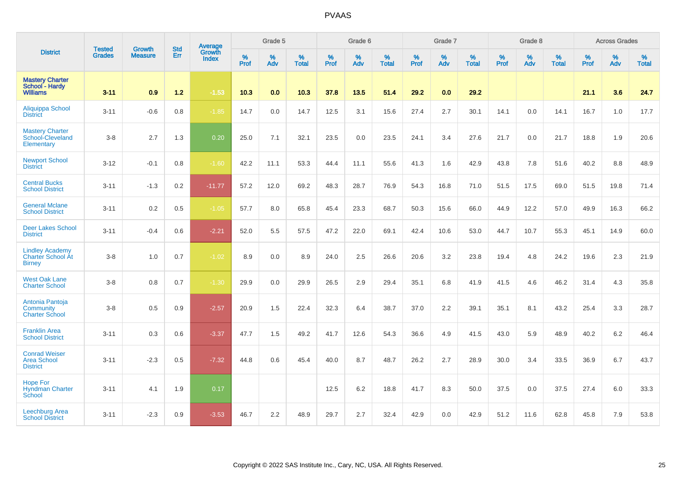|                                                                     |                                |                                 | <b>Std</b> | Average                |           | Grade 5  |                   |           | Grade 6  |                   |           | Grade 7  |                   |           | Grade 8  |                   |           | <b>Across Grades</b> |                   |
|---------------------------------------------------------------------|--------------------------------|---------------------------------|------------|------------------------|-----------|----------|-------------------|-----------|----------|-------------------|-----------|----------|-------------------|-----------|----------|-------------------|-----------|----------------------|-------------------|
| <b>District</b>                                                     | <b>Tested</b><br><b>Grades</b> | <b>Growth</b><br><b>Measure</b> | Err        | Growth<br><b>Index</b> | %<br>Prof | %<br>Adv | %<br><b>Total</b> | %<br>Prof | %<br>Adv | %<br><b>Total</b> | %<br>Prof | %<br>Adv | %<br><b>Total</b> | %<br>Prof | %<br>Adv | %<br><b>Total</b> | %<br>Prof | %<br>Adv             | %<br><b>Total</b> |
| <b>Mastery Charter</b><br>School - Hardy<br><b>Williams</b>         | $3 - 11$                       | 0.9                             | $1.2$      | $-1.53$                | 10.3      | 0.0      | 10.3              | 37.8      | 13.5     | 51.4              | 29.2      | 0.0      | 29.2              |           |          |                   | 21.1      | 3.6                  | 24.7              |
| Aliquippa School<br><b>District</b>                                 | $3 - 11$                       | $-0.6$                          | 0.8        | $-1.85$                | 14.7      | 0.0      | 14.7              | 12.5      | 3.1      | 15.6              | 27.4      | 2.7      | 30.1              | 14.1      | 0.0      | 14.1              | 16.7      | 1.0                  | 17.7              |
| <b>Mastery Charter</b><br>School-Cleveland<br>Elementary            | $3-8$                          | 2.7                             | 1.3        | 0.20                   | 25.0      | 7.1      | 32.1              | 23.5      | 0.0      | 23.5              | 24.1      | 3.4      | 27.6              | 21.7      | 0.0      | 21.7              | 18.8      | 1.9                  | 20.6              |
| <b>Newport School</b><br><b>District</b>                            | $3 - 12$                       | $-0.1$                          | 0.8        | $-1.60$                | 42.2      | 11.1     | 53.3              | 44.4      | 11.1     | 55.6              | 41.3      | 1.6      | 42.9              | 43.8      | 7.8      | 51.6              | 40.2      | 8.8                  | 48.9              |
| <b>Central Bucks</b><br><b>School District</b>                      | $3 - 11$                       | $-1.3$                          | 0.2        | $-11.77$               | 57.2      | 12.0     | 69.2              | 48.3      | 28.7     | 76.9              | 54.3      | 16.8     | 71.0              | 51.5      | 17.5     | 69.0              | 51.5      | 19.8                 | 71.4              |
| <b>General Mclane</b><br><b>School District</b>                     | $3 - 11$                       | 0.2                             | 0.5        | $-1.05$                | 57.7      | 8.0      | 65.8              | 45.4      | 23.3     | 68.7              | 50.3      | 15.6     | 66.0              | 44.9      | 12.2     | 57.0              | 49.9      | 16.3                 | 66.2              |
| <b>Deer Lakes School</b><br><b>District</b>                         | $3 - 11$                       | $-0.4$                          | 0.6        | $-2.21$                | 52.0      | 5.5      | 57.5              | 47.2      | 22.0     | 69.1              | 42.4      | 10.6     | 53.0              | 44.7      | 10.7     | 55.3              | 45.1      | 14.9                 | 60.0              |
| <b>Lindley Academy</b><br><b>Charter School At</b><br><b>Birney</b> | $3-8$                          | 1.0                             | 0.7        | $-1.02$                | 8.9       | 0.0      | 8.9               | 24.0      | 2.5      | 26.6              | 20.6      | 3.2      | 23.8              | 19.4      | 4.8      | 24.2              | 19.6      | 2.3                  | 21.9              |
| <b>West Oak Lane</b><br><b>Charter School</b>                       | $3-8$                          | 0.8                             | 0.7        | $-1.30$                | 29.9      | 0.0      | 29.9              | 26.5      | 2.9      | 29.4              | 35.1      | 6.8      | 41.9              | 41.5      | 4.6      | 46.2              | 31.4      | 4.3                  | 35.8              |
| Antonia Pantoja<br>Community<br><b>Charter School</b>               | $3-8$                          | 0.5                             | 0.9        | $-2.57$                | 20.9      | 1.5      | 22.4              | 32.3      | 6.4      | 38.7              | 37.0      | 2.2      | 39.1              | 35.1      | 8.1      | 43.2              | 25.4      | 3.3                  | 28.7              |
| <b>Franklin Area</b><br><b>School District</b>                      | $3 - 11$                       | 0.3                             | 0.6        | $-3.37$                | 47.7      | 1.5      | 49.2              | 41.7      | 12.6     | 54.3              | 36.6      | 4.9      | 41.5              | 43.0      | 5.9      | 48.9              | 40.2      | 6.2                  | 46.4              |
| <b>Conrad Weiser</b><br><b>Area School</b><br><b>District</b>       | $3 - 11$                       | $-2.3$                          | 0.5        | $-7.32$                | 44.8      | 0.6      | 45.4              | 40.0      | 8.7      | 48.7              | 26.2      | 2.7      | 28.9              | 30.0      | 3.4      | 33.5              | 36.9      | 6.7                  | 43.7              |
| <b>Hope For</b><br><b>Hyndman Charter</b><br>School                 | $3 - 11$                       | 4.1                             | 1.9        | 0.17                   |           |          |                   | 12.5      | 6.2      | 18.8              | 41.7      | 8.3      | 50.0              | 37.5      | 0.0      | 37.5              | 27.4      | 6.0                  | 33.3              |
| <b>Leechburg Area</b><br><b>School District</b>                     | $3 - 11$                       | $-2.3$                          | 0.9        | $-3.53$                | 46.7      | 2.2      | 48.9              | 29.7      | 2.7      | 32.4              | 42.9      | 0.0      | 42.9              | 51.2      | 11.6     | 62.8              | 45.8      | 7.9                  | 53.8              |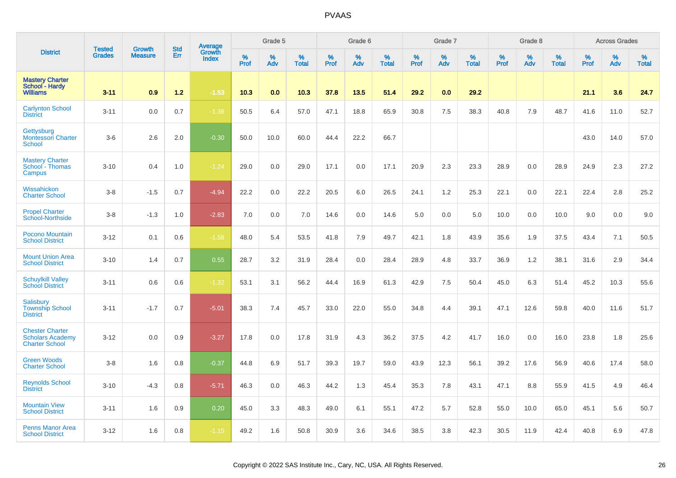|                                                                            | <b>Tested</b> | <b>Growth</b>  | <b>Std</b> | <b>Average</b><br>Growth |                     | Grade 5  |                   |                  | Grade 6  |                   |                  | Grade 7  |                   |                  | Grade 8  |                   |           | <b>Across Grades</b> |                   |
|----------------------------------------------------------------------------|---------------|----------------|------------|--------------------------|---------------------|----------|-------------------|------------------|----------|-------------------|------------------|----------|-------------------|------------------|----------|-------------------|-----------|----------------------|-------------------|
| <b>District</b>                                                            | <b>Grades</b> | <b>Measure</b> | Err        | <b>Index</b>             | $\%$<br><b>Prof</b> | %<br>Adv | %<br><b>Total</b> | %<br><b>Prof</b> | %<br>Adv | %<br><b>Total</b> | %<br><b>Prof</b> | %<br>Adv | %<br><b>Total</b> | %<br><b>Prof</b> | %<br>Adv | %<br><b>Total</b> | %<br>Prof | %<br>Adv             | %<br><b>Total</b> |
| <b>Mastery Charter</b><br>School - Hardy<br><b>Williams</b>                | $3 - 11$      | 0.9            | $1.2$      | $-1.53$                  | 10.3                | 0.0      | 10.3              | 37.8             | 13.5     | 51.4              | 29.2             | 0.0      | 29.2              |                  |          |                   | 21.1      | 3.6                  | 24.7              |
| <b>Carlynton School</b><br><b>District</b>                                 | $3 - 11$      | 0.0            | 0.7        | $-1.38$                  | 50.5                | 6.4      | 57.0              | 47.1             | 18.8     | 65.9              | 30.8             | 7.5      | 38.3              | 40.8             | 7.9      | 48.7              | 41.6      | 11.0                 | 52.7              |
| Gettysburg<br><b>Montessori Charter</b><br><b>School</b>                   | $3-6$         | 2.6            | 2.0        | $-0.30$                  | 50.0                | 10.0     | 60.0              | 44.4             | 22.2     | 66.7              |                  |          |                   |                  |          |                   | 43.0      | 14.0                 | 57.0              |
| <b>Mastery Charter</b><br>School - Thomas<br>Campus                        | $3 - 10$      | 0.4            | 1.0        | $-1.24$                  | 29.0                | 0.0      | 29.0              | 17.1             | 0.0      | 17.1              | 20.9             | 2.3      | 23.3              | 28.9             | $0.0\,$  | 28.9              | 24.9      | 2.3                  | 27.2              |
| Wissahickon<br><b>Charter School</b>                                       | $3 - 8$       | $-1.5$         | 0.7        | $-4.94$                  | 22.2                | 0.0      | 22.2              | 20.5             | 6.0      | 26.5              | 24.1             | 1.2      | 25.3              | 22.1             | 0.0      | 22.1              | 22.4      | 2.8                  | 25.2              |
| <b>Propel Charter</b><br>School-Northside                                  | $3 - 8$       | $-1.3$         | 1.0        | $-2.83$                  | 7.0                 | 0.0      | 7.0               | 14.6             | 0.0      | 14.6              | 5.0              | 0.0      | 5.0               | 10.0             | 0.0      | 10.0              | 9.0       | 0.0                  | 9.0               |
| <b>Pocono Mountain</b><br><b>School District</b>                           | $3 - 12$      | 0.1            | 0.6        | $-1.58$                  | 48.0                | 5.4      | 53.5              | 41.8             | 7.9      | 49.7              | 42.1             | 1.8      | 43.9              | 35.6             | 1.9      | 37.5              | 43.4      | 7.1                  | 50.5              |
| <b>Mount Union Area</b><br><b>School District</b>                          | $3 - 10$      | 1.4            | 0.7        | 0.55                     | 28.7                | 3.2      | 31.9              | 28.4             | 0.0      | 28.4              | 28.9             | 4.8      | 33.7              | 36.9             | 1.2      | 38.1              | 31.6      | 2.9                  | 34.4              |
| <b>Schuylkill Valley</b><br><b>School District</b>                         | $3 - 11$      | 0.6            | 0.6        | $-1.32$                  | 53.1                | 3.1      | 56.2              | 44.4             | 16.9     | 61.3              | 42.9             | 7.5      | 50.4              | 45.0             | 6.3      | 51.4              | 45.2      | 10.3                 | 55.6              |
| <b>Salisbury</b><br><b>Township School</b><br><b>District</b>              | $3 - 11$      | $-1.7$         | 0.7        | $-5.01$                  | 38.3                | 7.4      | 45.7              | 33.0             | 22.0     | 55.0              | 34.8             | 4.4      | 39.1              | 47.1             | 12.6     | 59.8              | 40.0      | 11.6                 | 51.7              |
| <b>Chester Charter</b><br><b>Scholars Academy</b><br><b>Charter School</b> | $3 - 12$      | 0.0            | 0.9        | $-3.27$                  | 17.8                | 0.0      | 17.8              | 31.9             | 4.3      | 36.2              | 37.5             | 4.2      | 41.7              | 16.0             | 0.0      | 16.0              | 23.8      | 1.8                  | 25.6              |
| <b>Green Woods</b><br><b>Charter School</b>                                | $3 - 8$       | 1.6            | 0.8        | $-0.37$                  | 44.8                | 6.9      | 51.7              | 39.3             | 19.7     | 59.0              | 43.9             | 12.3     | 56.1              | 39.2             | 17.6     | 56.9              | 40.6      | 17.4                 | 58.0              |
| <b>Reynolds School</b><br><b>District</b>                                  | $3 - 10$      | $-4.3$         | 0.8        | $-5.71$                  | 46.3                | 0.0      | 46.3              | 44.2             | 1.3      | 45.4              | 35.3             | 7.8      | 43.1              | 47.1             | 8.8      | 55.9              | 41.5      | 4.9                  | 46.4              |
| <b>Mountain View</b><br><b>School District</b>                             | $3 - 11$      | 1.6            | 0.9        | 0.20                     | 45.0                | 3.3      | 48.3              | 49.0             | 6.1      | 55.1              | 47.2             | 5.7      | 52.8              | 55.0             | 10.0     | 65.0              | 45.1      | 5.6                  | 50.7              |
| <b>Penns Manor Area</b><br><b>School District</b>                          | $3 - 12$      | 1.6            | 0.8        | $-1.15$                  | 49.2                | 1.6      | 50.8              | 30.9             | 3.6      | 34.6              | 38.5             | 3.8      | 42.3              | 30.5             | 11.9     | 42.4              | 40.8      | 6.9                  | 47.8              |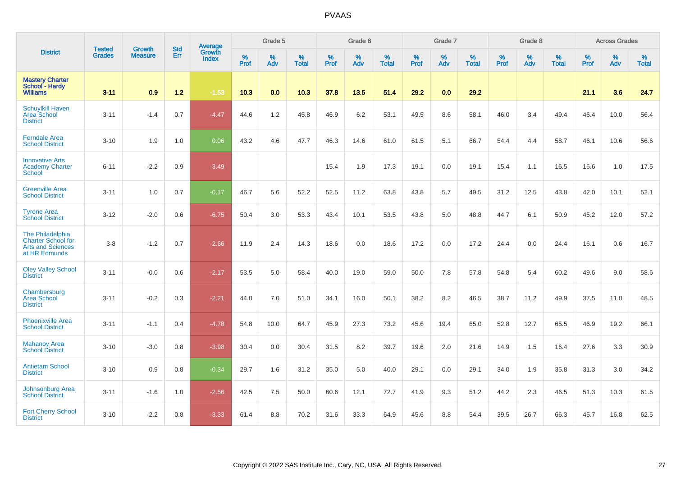|                                                                                            |                                |                                 | <b>Std</b> | Average                |           | Grade 5  |                   |           | Grade 6  |                   |           | Grade 7  |                   |           | Grade 8  |                   |           | <b>Across Grades</b> |                   |
|--------------------------------------------------------------------------------------------|--------------------------------|---------------------------------|------------|------------------------|-----------|----------|-------------------|-----------|----------|-------------------|-----------|----------|-------------------|-----------|----------|-------------------|-----------|----------------------|-------------------|
| <b>District</b>                                                                            | <b>Tested</b><br><b>Grades</b> | <b>Growth</b><br><b>Measure</b> | Err        | Growth<br><b>Index</b> | %<br>Prof | %<br>Adv | %<br><b>Total</b> | %<br>Prof | %<br>Adv | %<br><b>Total</b> | %<br>Prof | %<br>Adv | %<br><b>Total</b> | %<br>Prof | %<br>Adv | %<br><b>Total</b> | %<br>Prof | %<br>Adv             | %<br><b>Total</b> |
| <b>Mastery Charter</b><br>School - Hardy<br><b>Williams</b>                                | $3 - 11$                       | 0.9                             | $1.2$      | $-1.53$                | 10.3      | 0.0      | 10.3              | 37.8      | 13.5     | 51.4              | 29.2      | 0.0      | 29.2              |           |          |                   | 21.1      | 3.6                  | 24.7              |
| <b>Schuylkill Haven</b><br>Area School<br><b>District</b>                                  | $3 - 11$                       | $-1.4$                          | 0.7        | $-4.47$                | 44.6      | 1.2      | 45.8              | 46.9      | 6.2      | 53.1              | 49.5      | 8.6      | 58.1              | 46.0      | 3.4      | 49.4              | 46.4      | 10.0                 | 56.4              |
| <b>Ferndale Area</b><br><b>School District</b>                                             | $3 - 10$                       | 1.9                             | 1.0        | 0.06                   | 43.2      | 4.6      | 47.7              | 46.3      | 14.6     | 61.0              | 61.5      | 5.1      | 66.7              | 54.4      | 4.4      | 58.7              | 46.1      | 10.6                 | 56.6              |
| <b>Innovative Arts</b><br><b>Academy Charter</b><br><b>School</b>                          | $6 - 11$                       | $-2.2$                          | 0.9        | $-3.49$                |           |          |                   | 15.4      | 1.9      | 17.3              | 19.1      | 0.0      | 19.1              | 15.4      | 1.1      | 16.5              | 16.6      | 1.0                  | 17.5              |
| <b>Greenville Area</b><br><b>School District</b>                                           | $3 - 11$                       | 1.0                             | 0.7        | $-0.17$                | 46.7      | 5.6      | 52.2              | 52.5      | 11.2     | 63.8              | 43.8      | 5.7      | 49.5              | 31.2      | 12.5     | 43.8              | 42.0      | 10.1                 | 52.1              |
| <b>Tyrone Area</b><br><b>School District</b>                                               | $3 - 12$                       | $-2.0$                          | 0.6        | $-6.75$                | 50.4      | 3.0      | 53.3              | 43.4      | 10.1     | 53.5              | 43.8      | 5.0      | 48.8              | 44.7      | 6.1      | 50.9              | 45.2      | 12.0                 | 57.2              |
| The Philadelphia<br><b>Charter School for</b><br><b>Arts and Sciences</b><br>at HR Edmunds | $3-8$                          | $-1.2$                          | 0.7        | $-2.66$                | 11.9      | 2.4      | 14.3              | 18.6      | 0.0      | 18.6              | 17.2      | 0.0      | 17.2              | 24.4      | 0.0      | 24.4              | 16.1      | 0.6                  | 16.7              |
| <b>Oley Valley School</b><br><b>District</b>                                               | $3 - 11$                       | $-0.0$                          | 0.6        | $-2.17$                | 53.5      | 5.0      | 58.4              | 40.0      | 19.0     | 59.0              | 50.0      | 7.8      | 57.8              | 54.8      | 5.4      | 60.2              | 49.6      | 9.0                  | 58.6              |
| Chambersburg<br>Area School<br><b>District</b>                                             | $3 - 11$                       | $-0.2$                          | 0.3        | $-2.21$                | 44.0      | 7.0      | 51.0              | 34.1      | 16.0     | 50.1              | 38.2      | 8.2      | 46.5              | 38.7      | 11.2     | 49.9              | 37.5      | 11.0                 | 48.5              |
| <b>Phoenixville Area</b><br><b>School District</b>                                         | $3 - 11$                       | $-1.1$                          | 0.4        | $-4.78$                | 54.8      | 10.0     | 64.7              | 45.9      | 27.3     | 73.2              | 45.6      | 19.4     | 65.0              | 52.8      | 12.7     | 65.5              | 46.9      | 19.2                 | 66.1              |
| <b>Mahanoy Area</b><br><b>School District</b>                                              | $3 - 10$                       | $-3.0$                          | 0.8        | $-3.98$                | 30.4      | 0.0      | 30.4              | 31.5      | 8.2      | 39.7              | 19.6      | 2.0      | 21.6              | 14.9      | 1.5      | 16.4              | 27.6      | 3.3                  | 30.9              |
| <b>Antietam School</b><br><b>District</b>                                                  | $3 - 10$                       | 0.9                             | 0.8        | $-0.34$                | 29.7      | 1.6      | 31.2              | 35.0      | 5.0      | 40.0              | 29.1      | 0.0      | 29.1              | 34.0      | 1.9      | 35.8              | 31.3      | 3.0                  | 34.2              |
| Johnsonburg Area<br><b>School District</b>                                                 | $3 - 11$                       | $-1.6$                          | 1.0        | $-2.56$                | 42.5      | 7.5      | 50.0              | 60.6      | 12.1     | 72.7              | 41.9      | 9.3      | 51.2              | 44.2      | 2.3      | 46.5              | 51.3      | 10.3                 | 61.5              |
| <b>Fort Cherry School</b><br><b>District</b>                                               | $3 - 10$                       | $-2.2$                          | 0.8        | $-3.33$                | 61.4      | 8.8      | 70.2              | 31.6      | 33.3     | 64.9              | 45.6      | 8.8      | 54.4              | 39.5      | 26.7     | 66.3              | 45.7      | 16.8                 | 62.5              |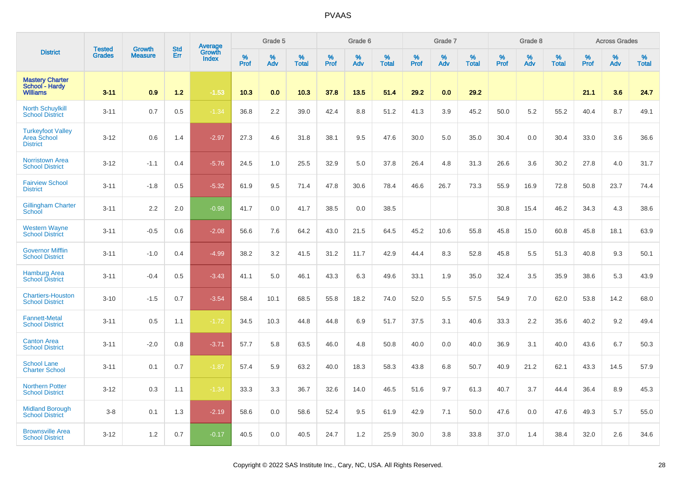|                                                             | <b>Tested</b> | Growth         | <b>Std</b> | Average                |           | Grade 5  |                   |                  | Grade 6  |                   |                  | Grade 7  |                   |           | Grade 8  |                   |           | <b>Across Grades</b> |                   |
|-------------------------------------------------------------|---------------|----------------|------------|------------------------|-----------|----------|-------------------|------------------|----------|-------------------|------------------|----------|-------------------|-----------|----------|-------------------|-----------|----------------------|-------------------|
| <b>District</b>                                             | <b>Grades</b> | <b>Measure</b> | Err        | Growth<br><b>Index</b> | %<br>Prof | %<br>Adv | %<br><b>Total</b> | %<br><b>Prof</b> | %<br>Adv | %<br><b>Total</b> | %<br><b>Prof</b> | %<br>Adv | %<br><b>Total</b> | %<br>Prof | %<br>Adv | %<br><b>Total</b> | %<br>Prof | %<br>Adv             | %<br><b>Total</b> |
| <b>Mastery Charter</b><br>School - Hardy<br><b>Williams</b> | $3 - 11$      | 0.9            | $1.2$      | $-1.53$                | 10.3      | 0.0      | 10.3              | 37.8             | 13.5     | 51.4              | 29.2             | 0.0      | 29.2              |           |          |                   | 21.1      | 3.6                  | 24.7              |
| <b>North Schuylkill</b><br><b>School District</b>           | $3 - 11$      | 0.7            | 0.5        | $-1.34$                | 36.8      | 2.2      | 39.0              | 42.4             | 8.8      | 51.2              | 41.3             | 3.9      | 45.2              | 50.0      | 5.2      | 55.2              | 40.4      | 8.7                  | 49.1              |
| <b>Turkeyfoot Valley</b><br>Area School<br><b>District</b>  | $3 - 12$      | 0.6            | 1.4        | $-2.97$                | 27.3      | 4.6      | 31.8              | 38.1             | 9.5      | 47.6              | 30.0             | 5.0      | 35.0              | 30.4      | 0.0      | 30.4              | 33.0      | 3.6                  | 36.6              |
| <b>Norristown Area</b><br><b>School District</b>            | $3 - 12$      | $-1.1$         | 0.4        | $-5.76$                | 24.5      | 1.0      | 25.5              | 32.9             | 5.0      | 37.8              | 26.4             | 4.8      | 31.3              | 26.6      | 3.6      | 30.2              | 27.8      | 4.0                  | 31.7              |
| <b>Fairview School</b><br><b>District</b>                   | $3 - 11$      | $-1.8$         | 0.5        | $-5.32$                | 61.9      | 9.5      | 71.4              | 47.8             | 30.6     | 78.4              | 46.6             | 26.7     | 73.3              | 55.9      | 16.9     | 72.8              | 50.8      | 23.7                 | 74.4              |
| <b>Gillingham Charter</b><br>School                         | $3 - 11$      | 2.2            | 2.0        | $-0.98$                | 41.7      | 0.0      | 41.7              | 38.5             | 0.0      | 38.5              |                  |          |                   | 30.8      | 15.4     | 46.2              | 34.3      | 4.3                  | 38.6              |
| <b>Western Wayne</b><br><b>School District</b>              | $3 - 11$      | $-0.5$         | 0.6        | $-2.08$                | 56.6      | 7.6      | 64.2              | 43.0             | 21.5     | 64.5              | 45.2             | 10.6     | 55.8              | 45.8      | 15.0     | 60.8              | 45.8      | 18.1                 | 63.9              |
| <b>Governor Mifflin</b><br><b>School District</b>           | $3 - 11$      | $-1.0$         | 0.4        | $-4.99$                | 38.2      | 3.2      | 41.5              | 31.2             | 11.7     | 42.9              | 44.4             | 8.3      | 52.8              | 45.8      | 5.5      | 51.3              | 40.8      | 9.3                  | 50.1              |
| <b>Hamburg Area</b><br><b>School District</b>               | $3 - 11$      | $-0.4$         | 0.5        | $-3.43$                | 41.1      | 5.0      | 46.1              | 43.3             | 6.3      | 49.6              | 33.1             | 1.9      | 35.0              | 32.4      | 3.5      | 35.9              | 38.6      | 5.3                  | 43.9              |
| <b>Chartiers-Houston</b><br><b>School District</b>          | $3 - 10$      | $-1.5$         | 0.7        | $-3.54$                | 58.4      | 10.1     | 68.5              | 55.8             | 18.2     | 74.0              | 52.0             | 5.5      | 57.5              | 54.9      | 7.0      | 62.0              | 53.8      | 14.2                 | 68.0              |
| <b>Fannett-Metal</b><br><b>School District</b>              | $3 - 11$      | 0.5            | 1.1        | $-1.72$                | 34.5      | 10.3     | 44.8              | 44.8             | 6.9      | 51.7              | 37.5             | 3.1      | 40.6              | 33.3      | 2.2      | 35.6              | 40.2      | 9.2                  | 49.4              |
| <b>Canton Area</b><br><b>School District</b>                | $3 - 11$      | $-2.0$         | 0.8        | $-3.71$                | 57.7      | 5.8      | 63.5              | 46.0             | 4.8      | 50.8              | 40.0             | 0.0      | 40.0              | 36.9      | 3.1      | 40.0              | 43.6      | 6.7                  | 50.3              |
| <b>School Lane</b><br><b>Charter School</b>                 | $3 - 11$      | 0.1            | 0.7        | $-1.87$                | 57.4      | 5.9      | 63.2              | 40.0             | 18.3     | 58.3              | 43.8             | 6.8      | 50.7              | 40.9      | 21.2     | 62.1              | 43.3      | 14.5                 | 57.9              |
| <b>Northern Potter</b><br><b>School District</b>            | $3 - 12$      | 0.3            | 1.1        | $-1.34$                | 33.3      | 3.3      | 36.7              | 32.6             | 14.0     | 46.5              | 51.6             | 9.7      | 61.3              | 40.7      | 3.7      | 44.4              | 36.4      | 8.9                  | 45.3              |
| <b>Midland Borough</b><br><b>School District</b>            | $3 - 8$       | 0.1            | 1.3        | $-2.19$                | 58.6      | 0.0      | 58.6              | 52.4             | 9.5      | 61.9              | 42.9             | 7.1      | 50.0              | 47.6      | 0.0      | 47.6              | 49.3      | 5.7                  | 55.0              |
| <b>Brownsville Area</b><br><b>School District</b>           | $3 - 12$      | 1.2            | 0.7        | $-0.17$                | 40.5      | 0.0      | 40.5              | 24.7             | 1.2      | 25.9              | 30.0             | 3.8      | 33.8              | 37.0      | 1.4      | 38.4              | 32.0      | 2.6                  | 34.6              |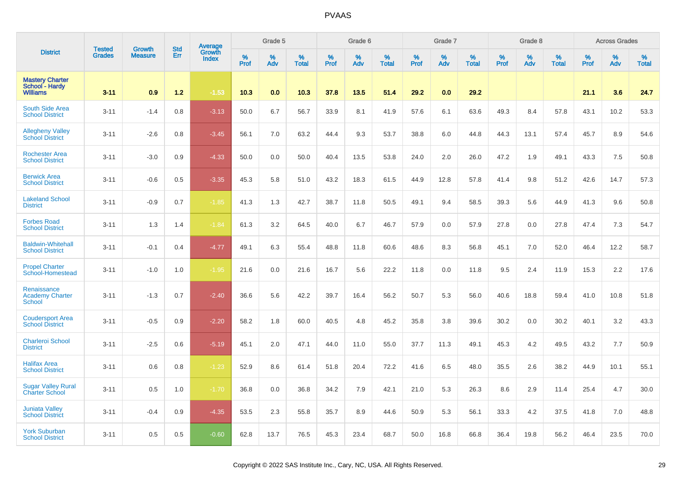|                                                             | <b>Tested</b> | <b>Growth</b>  | <b>Std</b> |                                   |           | Grade 5  |                   |              | Grade 6  |                   |              | Grade 7  |                   |           | Grade 8  |                   |                  | <b>Across Grades</b> |                   |
|-------------------------------------------------------------|---------------|----------------|------------|-----------------------------------|-----------|----------|-------------------|--------------|----------|-------------------|--------------|----------|-------------------|-----------|----------|-------------------|------------------|----------------------|-------------------|
| <b>District</b>                                             | <b>Grades</b> | <b>Measure</b> | Err        | Average<br>Growth<br><b>Index</b> | %<br>Prof | %<br>Adv | %<br><b>Total</b> | $\%$<br>Prof | %<br>Adv | %<br><b>Total</b> | $\%$<br>Prof | %<br>Adv | %<br><b>Total</b> | %<br>Prof | %<br>Adv | %<br><b>Total</b> | %<br><b>Prof</b> | %<br>Adv             | %<br><b>Total</b> |
| <b>Mastery Charter</b><br>School - Hardy<br><b>Williams</b> | $3 - 11$      | 0.9            | $1.2$      | $-1.53$                           | 10.3      | 0.0      | 10.3              | 37.8         | 13.5     | 51.4              | 29.2         | 0.0      | 29.2              |           |          |                   | 21.1             | 3.6                  | 24.7              |
| South Side Area<br><b>School District</b>                   | $3 - 11$      | $-1.4$         | 0.8        | $-3.13$                           | 50.0      | 6.7      | 56.7              | 33.9         | 8.1      | 41.9              | 57.6         | 6.1      | 63.6              | 49.3      | 8.4      | 57.8              | 43.1             | 10.2                 | 53.3              |
| <b>Allegheny Valley</b><br><b>School District</b>           | $3 - 11$      | $-2.6$         | 0.8        | $-3.45$                           | 56.1      | 7.0      | 63.2              | 44.4         | 9.3      | 53.7              | 38.8         | 6.0      | 44.8              | 44.3      | 13.1     | 57.4              | 45.7             | 8.9                  | 54.6              |
| <b>Rochester Area</b><br><b>School District</b>             | $3 - 11$      | $-3.0$         | 0.9        | $-4.33$                           | 50.0      | 0.0      | 50.0              | 40.4         | 13.5     | 53.8              | 24.0         | 2.0      | 26.0              | 47.2      | 1.9      | 49.1              | 43.3             | 7.5                  | 50.8              |
| <b>Berwick Area</b><br><b>School District</b>               | $3 - 11$      | $-0.6$         | 0.5        | $-3.35$                           | 45.3      | 5.8      | 51.0              | 43.2         | 18.3     | 61.5              | 44.9         | 12.8     | 57.8              | 41.4      | 9.8      | 51.2              | 42.6             | 14.7                 | 57.3              |
| <b>Lakeland School</b><br><b>District</b>                   | $3 - 11$      | $-0.9$         | 0.7        | $-1.85$                           | 41.3      | 1.3      | 42.7              | 38.7         | 11.8     | 50.5              | 49.1         | 9.4      | 58.5              | 39.3      | 5.6      | 44.9              | 41.3             | 9.6                  | 50.8              |
| <b>Forbes Road</b><br><b>School District</b>                | $3 - 11$      | 1.3            | 1.4        | $-1.84$                           | 61.3      | 3.2      | 64.5              | 40.0         | 6.7      | 46.7              | 57.9         | 0.0      | 57.9              | 27.8      | 0.0      | 27.8              | 47.4             | 7.3                  | 54.7              |
| <b>Baldwin-Whitehall</b><br><b>School District</b>          | $3 - 11$      | $-0.1$         | 0.4        | $-4.77$                           | 49.1      | 6.3      | 55.4              | 48.8         | 11.8     | 60.6              | 48.6         | 8.3      | 56.8              | 45.1      | 7.0      | 52.0              | 46.4             | 12.2                 | 58.7              |
| <b>Propel Charter</b><br>School-Homestead                   | $3 - 11$      | $-1.0$         | 1.0        | $-1.95$                           | 21.6      | 0.0      | 21.6              | 16.7         | 5.6      | 22.2              | 11.8         | 0.0      | 11.8              | 9.5       | 2.4      | 11.9              | 15.3             | 2.2                  | 17.6              |
| Renaissance<br><b>Academy Charter</b><br><b>School</b>      | $3 - 11$      | $-1.3$         | 0.7        | $-2.40$                           | 36.6      | 5.6      | 42.2              | 39.7         | 16.4     | 56.2              | 50.7         | 5.3      | 56.0              | 40.6      | 18.8     | 59.4              | 41.0             | 10.8                 | 51.8              |
| <b>Coudersport Area</b><br><b>School District</b>           | $3 - 11$      | $-0.5$         | 0.9        | $-2.20$                           | 58.2      | 1.8      | 60.0              | 40.5         | 4.8      | 45.2              | 35.8         | 3.8      | 39.6              | 30.2      | 0.0      | 30.2              | 40.1             | 3.2                  | 43.3              |
| <b>Charleroi School</b><br><b>District</b>                  | $3 - 11$      | $-2.5$         | 0.6        | $-5.19$                           | 45.1      | 2.0      | 47.1              | 44.0         | 11.0     | 55.0              | 37.7         | 11.3     | 49.1              | 45.3      | 4.2      | 49.5              | 43.2             | 7.7                  | 50.9              |
| <b>Halifax Area</b><br><b>School District</b>               | $3 - 11$      | 0.6            | 0.8        | $-1.23$                           | 52.9      | 8.6      | 61.4              | 51.8         | 20.4     | 72.2              | 41.6         | 6.5      | 48.0              | 35.5      | 2.6      | 38.2              | 44.9             | 10.1                 | 55.1              |
| <b>Sugar Valley Rural</b><br><b>Charter School</b>          | $3 - 11$      | 0.5            | 1.0        | $-1.70$                           | 36.8      | 0.0      | 36.8              | 34.2         | 7.9      | 42.1              | 21.0         | 5.3      | 26.3              | 8.6       | 2.9      | 11.4              | 25.4             | 4.7                  | 30.0              |
| <b>Juniata Valley</b><br><b>School District</b>             | $3 - 11$      | $-0.4$         | 0.9        | $-4.35$                           | 53.5      | 2.3      | 55.8              | 35.7         | 8.9      | 44.6              | 50.9         | 5.3      | 56.1              | 33.3      | 4.2      | 37.5              | 41.8             | 7.0                  | 48.8              |
| <b>York Suburban</b><br><b>School District</b>              | $3 - 11$      | 0.5            | 0.5        | $-0.60$                           | 62.8      | 13.7     | 76.5              | 45.3         | 23.4     | 68.7              | 50.0         | 16.8     | 66.8              | 36.4      | 19.8     | 56.2              | 46.4             | 23.5                 | 70.0              |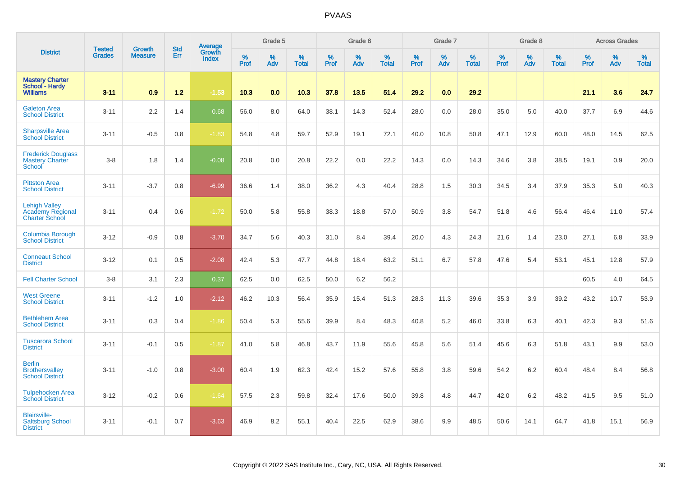|                                                                          |                                |                                 | <b>Std</b> | <b>Average</b>         |                     | Grade 5  |                   |                  | Grade 6  |                   |                  | Grade 7  |                   |           | Grade 8  |                   |           | <b>Across Grades</b> |                   |
|--------------------------------------------------------------------------|--------------------------------|---------------------------------|------------|------------------------|---------------------|----------|-------------------|------------------|----------|-------------------|------------------|----------|-------------------|-----------|----------|-------------------|-----------|----------------------|-------------------|
| <b>District</b>                                                          | <b>Tested</b><br><b>Grades</b> | <b>Growth</b><br><b>Measure</b> | Err        | Growth<br><b>Index</b> | $\%$<br><b>Prof</b> | %<br>Adv | %<br><b>Total</b> | %<br><b>Prof</b> | %<br>Adv | %<br><b>Total</b> | %<br><b>Prof</b> | %<br>Adv | %<br><b>Total</b> | %<br>Prof | %<br>Adv | %<br><b>Total</b> | %<br>Prof | %<br>Adv             | %<br><b>Total</b> |
| <b>Mastery Charter</b><br>School - Hardy<br><b>Williams</b>              | $3 - 11$                       | 0.9                             | $1.2$      | $-1.53$                | 10.3                | 0.0      | 10.3              | 37.8             | 13.5     | 51.4              | 29.2             | 0.0      | 29.2              |           |          |                   | 21.1      | 3.6                  | 24.7              |
| <b>Galeton Area</b><br><b>School District</b>                            | $3 - 11$                       | 2.2                             | 1.4        | 0.68                   | 56.0                | 8.0      | 64.0              | 38.1             | 14.3     | 52.4              | 28.0             | 0.0      | 28.0              | 35.0      | 5.0      | 40.0              | 37.7      | 6.9                  | 44.6              |
| <b>Sharpsville Area</b><br><b>School District</b>                        | $3 - 11$                       | $-0.5$                          | 0.8        | $-1.83$                | 54.8                | 4.8      | 59.7              | 52.9             | 19.1     | 72.1              | 40.0             | 10.8     | 50.8              | 47.1      | 12.9     | 60.0              | 48.0      | 14.5                 | 62.5              |
| <b>Frederick Douglass</b><br><b>Mastery Charter</b><br><b>School</b>     | $3 - 8$                        | 1.8                             | 1.4        | $-0.08$                | 20.8                | 0.0      | 20.8              | 22.2             | 0.0      | 22.2              | 14.3             | 0.0      | 14.3              | 34.6      | 3.8      | 38.5              | 19.1      | 0.9                  | 20.0              |
| <b>Pittston Area</b><br><b>School District</b>                           | $3 - 11$                       | $-3.7$                          | 0.8        | $-6.99$                | 36.6                | 1.4      | 38.0              | 36.2             | 4.3      | 40.4              | 28.8             | 1.5      | 30.3              | 34.5      | 3.4      | 37.9              | 35.3      | 5.0                  | 40.3              |
| <b>Lehigh Valley</b><br><b>Academy Regional</b><br><b>Charter School</b> | $3 - 11$                       | 0.4                             | 0.6        | $-1.72$                | 50.0                | 5.8      | 55.8              | 38.3             | 18.8     | 57.0              | 50.9             | 3.8      | 54.7              | 51.8      | 4.6      | 56.4              | 46.4      | 11.0                 | 57.4              |
| Columbia Borough<br><b>School District</b>                               | $3 - 12$                       | $-0.9$                          | 0.8        | $-3.70$                | 34.7                | 5.6      | 40.3              | 31.0             | 8.4      | 39.4              | 20.0             | 4.3      | 24.3              | 21.6      | 1.4      | 23.0              | 27.1      | 6.8                  | 33.9              |
| <b>Conneaut School</b><br><b>District</b>                                | $3 - 12$                       | 0.1                             | 0.5        | $-2.08$                | 42.4                | 5.3      | 47.7              | 44.8             | 18.4     | 63.2              | 51.1             | 6.7      | 57.8              | 47.6      | 5.4      | 53.1              | 45.1      | 12.8                 | 57.9              |
| <b>Fell Charter School</b>                                               | $3 - 8$                        | 3.1                             | 2.3        | 0.37                   | 62.5                | 0.0      | 62.5              | 50.0             | 6.2      | 56.2              |                  |          |                   |           |          |                   | 60.5      | 4.0                  | 64.5              |
| <b>West Greene</b><br><b>School District</b>                             | $3 - 11$                       | $-1.2$                          | 1.0        | $-2.12$                | 46.2                | 10.3     | 56.4              | 35.9             | 15.4     | 51.3              | 28.3             | 11.3     | 39.6              | 35.3      | 3.9      | 39.2              | 43.2      | 10.7                 | 53.9              |
| <b>Bethlehem Area</b><br><b>School District</b>                          | $3 - 11$                       | 0.3                             | 0.4        | $-1.86$                | 50.4                | 5.3      | 55.6              | 39.9             | 8.4      | 48.3              | 40.8             | 5.2      | 46.0              | 33.8      | 6.3      | 40.1              | 42.3      | 9.3                  | 51.6              |
| <b>Tuscarora School</b><br><b>District</b>                               | $3 - 11$                       | $-0.1$                          | 0.5        | $-1.87$                | 41.0                | 5.8      | 46.8              | 43.7             | 11.9     | 55.6              | 45.8             | 5.6      | 51.4              | 45.6      | 6.3      | 51.8              | 43.1      | 9.9                  | 53.0              |
| <b>Berlin</b><br><b>Brothersvalley</b><br><b>School District</b>         | $3 - 11$                       | $-1.0$                          | 0.8        | $-3.00$                | 60.4                | 1.9      | 62.3              | 42.4             | 15.2     | 57.6              | 55.8             | 3.8      | 59.6              | 54.2      | 6.2      | 60.4              | 48.4      | 8.4                  | 56.8              |
| <b>Tulpehocken Area</b><br><b>School District</b>                        | $3 - 12$                       | $-0.2$                          | 0.6        | $-1.64$                | 57.5                | 2.3      | 59.8              | 32.4             | 17.6     | 50.0              | 39.8             | 4.8      | 44.7              | 42.0      | 6.2      | 48.2              | 41.5      | 9.5                  | 51.0              |
| <b>Blairsville-</b><br><b>Saltsburg School</b><br><b>District</b>        | $3 - 11$                       | $-0.1$                          | 0.7        | $-3.63$                | 46.9                | 8.2      | 55.1              | 40.4             | 22.5     | 62.9              | 38.6             | 9.9      | 48.5              | 50.6      | 14.1     | 64.7              | 41.8      | 15.1                 | 56.9              |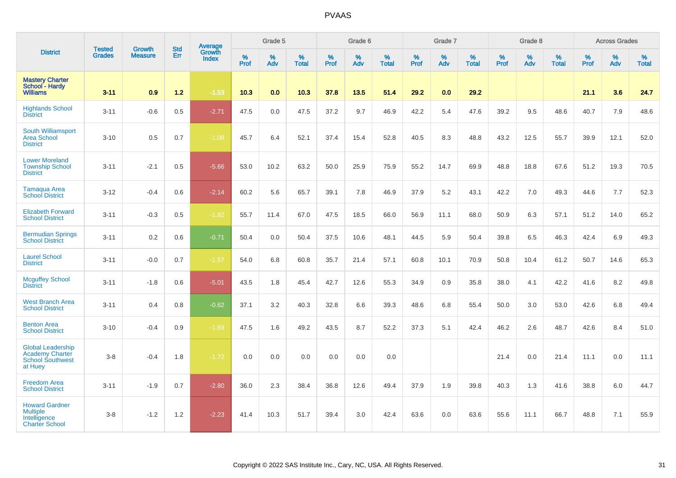|                                                                                          | <b>Tested</b> | <b>Growth</b>  | <b>Std</b> | Average                |              | Grade 5     |                      |                  | Grade 6  |                   |                     | Grade 7  |                   |              | Grade 8  |                   |           | <b>Across Grades</b> |                   |
|------------------------------------------------------------------------------------------|---------------|----------------|------------|------------------------|--------------|-------------|----------------------|------------------|----------|-------------------|---------------------|----------|-------------------|--------------|----------|-------------------|-----------|----------------------|-------------------|
| <b>District</b>                                                                          | <b>Grades</b> | <b>Measure</b> | Err        | Growth<br><b>Index</b> | $\%$<br>Prof | $\%$<br>Adv | $\%$<br><b>Total</b> | %<br><b>Prof</b> | %<br>Adv | %<br><b>Total</b> | $\%$<br><b>Prof</b> | %<br>Adv | %<br><b>Total</b> | $\%$<br>Prof | %<br>Adv | %<br><b>Total</b> | %<br>Prof | %<br>Adv             | %<br><b>Total</b> |
| <b>Mastery Charter</b><br>School - Hardy<br><b>Williams</b>                              | $3 - 11$      | 0.9            | $1.2$      | $-1.53$                | 10.3         | 0.0         | 10.3                 | 37.8             | 13.5     | 51.4              | 29.2                | 0.0      | 29.2              |              |          |                   | 21.1      | 3.6                  | 24.7              |
| <b>Highlands School</b><br><b>District</b>                                               | $3 - 11$      | $-0.6$         | 0.5        | $-2.71$                | 47.5         | 0.0         | 47.5                 | 37.2             | 9.7      | 46.9              | 42.2                | 5.4      | 47.6              | 39.2         | 9.5      | 48.6              | 40.7      | 7.9                  | 48.6              |
| <b>South Williamsport</b><br><b>Area School</b><br><b>District</b>                       | $3 - 10$      | 0.5            | 0.7        | $-1.08$                | 45.7         | 6.4         | 52.1                 | 37.4             | 15.4     | 52.8              | 40.5                | 8.3      | 48.8              | 43.2         | 12.5     | 55.7              | 39.9      | 12.1                 | 52.0              |
| <b>Lower Moreland</b><br><b>Township School</b><br><b>District</b>                       | $3 - 11$      | $-2.1$         | 0.5        | $-5.66$                | 53.0         | 10.2        | 63.2                 | 50.0             | 25.9     | 75.9              | 55.2                | 14.7     | 69.9              | 48.8         | 18.8     | 67.6              | 51.2      | 19.3                 | 70.5              |
| <b>Tamaqua Area</b><br><b>School District</b>                                            | $3 - 12$      | $-0.4$         | 0.6        | $-2.14$                | 60.2         | 5.6         | 65.7                 | 39.1             | 7.8      | 46.9              | 37.9                | 5.2      | 43.1              | 42.2         | 7.0      | 49.3              | 44.6      | 7.7                  | 52.3              |
| <b>Elizabeth Forward</b><br><b>School District</b>                                       | $3 - 11$      | $-0.3$         | 0.5        | $-1.82$                | 55.7         | 11.4        | 67.0                 | 47.5             | 18.5     | 66.0              | 56.9                | 11.1     | 68.0              | 50.9         | 6.3      | 57.1              | 51.2      | 14.0                 | 65.2              |
| <b>Bermudian Springs</b><br><b>School District</b>                                       | $3 - 11$      | 0.2            | 0.6        | $-0.71$                | 50.4         | 0.0         | 50.4                 | 37.5             | 10.6     | 48.1              | 44.5                | 5.9      | 50.4              | 39.8         | 6.5      | 46.3              | 42.4      | 6.9                  | 49.3              |
| <b>Laurel School</b><br><b>District</b>                                                  | $3 - 11$      | $-0.0$         | 0.7        | $-1.57$                | 54.0         | 6.8         | 60.8                 | 35.7             | 21.4     | 57.1              | 60.8                | 10.1     | 70.9              | 50.8         | 10.4     | 61.2              | 50.7      | 14.6                 | 65.3              |
| <b>Mcguffey School</b><br><b>District</b>                                                | $3 - 11$      | $-1.8$         | 0.6        | $-5.01$                | 43.5         | 1.8         | 45.4                 | 42.7             | 12.6     | 55.3              | 34.9                | 0.9      | 35.8              | 38.0         | 4.1      | 42.2              | 41.6      | 8.2                  | 49.8              |
| <b>West Branch Area</b><br><b>School District</b>                                        | $3 - 11$      | 0.4            | 0.8        | $-0.62$                | 37.1         | 3.2         | 40.3                 | 32.8             | 6.6      | 39.3              | 48.6                | 6.8      | 55.4              | 50.0         | 3.0      | 53.0              | 42.6      | 6.8                  | 49.4              |
| <b>Benton Area</b><br><b>School District</b>                                             | $3 - 10$      | $-0.4$         | 0.9        | $-1.69$                | 47.5         | 1.6         | 49.2                 | 43.5             | 8.7      | 52.2              | 37.3                | 5.1      | 42.4              | 46.2         | 2.6      | 48.7              | 42.6      | 8.4                  | 51.0              |
| <b>Global Leadership</b><br><b>Academy Charter</b><br><b>School Southwest</b><br>at Huey | $3 - 8$       | $-0.4$         | 1.8        | $-1.72$                | 0.0          | 0.0         | 0.0                  | 0.0              | 0.0      | 0.0               |                     |          |                   | 21.4         | 0.0      | 21.4              | 11.1      | 0.0                  | 11.1              |
| <b>Freedom Area</b><br><b>School District</b>                                            | $3 - 11$      | $-1.9$         | 0.7        | $-2.80$                | 36.0         | 2.3         | 38.4                 | 36.8             | 12.6     | 49.4              | 37.9                | 1.9      | 39.8              | 40.3         | 1.3      | 41.6              | 38.8      | 6.0                  | 44.7              |
| <b>Howard Gardner</b><br><b>Multiple</b><br>Intelligence<br><b>Charter School</b>        | $3 - 8$       | $-1.2$         | 1.2        | $-2.23$                | 41.4         | 10.3        | 51.7                 | 39.4             | 3.0      | 42.4              | 63.6                | 0.0      | 63.6              | 55.6         | 11.1     | 66.7              | 48.8      | 7.1                  | 55.9              |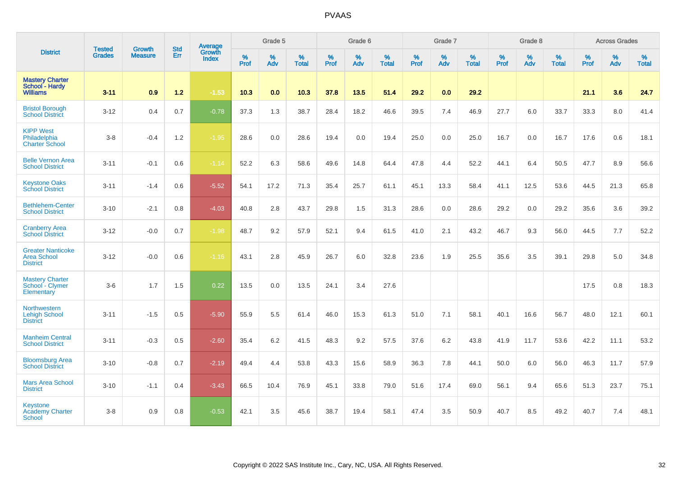|                                                                   | <b>Tested</b> | <b>Growth</b>  | <b>Std</b> | Average                |           | Grade 5  |                   |           | Grade 6  |                   |                  | Grade 7  |                   |           | Grade 8  |                   |           | <b>Across Grades</b> |                   |
|-------------------------------------------------------------------|---------------|----------------|------------|------------------------|-----------|----------|-------------------|-----------|----------|-------------------|------------------|----------|-------------------|-----------|----------|-------------------|-----------|----------------------|-------------------|
| <b>District</b>                                                   | <b>Grades</b> | <b>Measure</b> | Err        | Growth<br><b>Index</b> | %<br>Prof | %<br>Adv | %<br><b>Total</b> | %<br>Prof | %<br>Adv | %<br><b>Total</b> | %<br><b>Prof</b> | %<br>Adv | %<br><b>Total</b> | %<br>Prof | %<br>Adv | %<br><b>Total</b> | %<br>Prof | %<br>Adv             | %<br><b>Total</b> |
| <b>Mastery Charter</b><br>School - Hardy<br><b>Williams</b>       | $3 - 11$      | 0.9            | $1.2$      | $-1.53$                | 10.3      | 0.0      | 10.3              | 37.8      | 13.5     | 51.4              | 29.2             | 0.0      | 29.2              |           |          |                   | 21.1      | 3.6                  | 24.7              |
| <b>Bristol Borough</b><br><b>School District</b>                  | $3 - 12$      | 0.4            | 0.7        | $-0.78$                | 37.3      | 1.3      | 38.7              | 28.4      | 18.2     | 46.6              | 39.5             | 7.4      | 46.9              | 27.7      | 6.0      | 33.7              | 33.3      | 8.0                  | 41.4              |
| <b>KIPP West</b><br>Philadelphia<br><b>Charter School</b>         | $3 - 8$       | $-0.4$         | 1.2        | $-1.95$                | 28.6      | 0.0      | 28.6              | 19.4      | 0.0      | 19.4              | 25.0             | 0.0      | 25.0              | 16.7      | 0.0      | 16.7              | 17.6      | 0.6                  | 18.1              |
| <b>Belle Vernon Area</b><br><b>School District</b>                | $3 - 11$      | $-0.1$         | 0.6        | $-1.14$                | 52.2      | 6.3      | 58.6              | 49.6      | 14.8     | 64.4              | 47.8             | 4.4      | 52.2              | 44.1      | 6.4      | 50.5              | 47.7      | 8.9                  | 56.6              |
| <b>Keystone Oaks</b><br><b>School District</b>                    | $3 - 11$      | $-1.4$         | 0.6        | $-5.52$                | 54.1      | 17.2     | 71.3              | 35.4      | 25.7     | 61.1              | 45.1             | 13.3     | 58.4              | 41.1      | 12.5     | 53.6              | 44.5      | 21.3                 | 65.8              |
| <b>Bethlehem-Center</b><br><b>School District</b>                 | $3 - 10$      | $-2.1$         | 0.8        | $-4.03$                | 40.8      | 2.8      | 43.7              | 29.8      | 1.5      | 31.3              | 28.6             | 0.0      | 28.6              | 29.2      | 0.0      | 29.2              | 35.6      | 3.6                  | 39.2              |
| <b>Cranberry Area</b><br><b>School District</b>                   | $3 - 12$      | $-0.0$         | 0.7        | $-1.98$                | 48.7      | 9.2      | 57.9              | 52.1      | 9.4      | 61.5              | 41.0             | 2.1      | 43.2              | 46.7      | 9.3      | 56.0              | 44.5      | 7.7                  | 52.2              |
| <b>Greater Nanticoke</b><br><b>Area School</b><br><b>District</b> | $3 - 12$      | $-0.0$         | 0.6        | $-1.16$                | 43.1      | 2.8      | 45.9              | 26.7      | 6.0      | 32.8              | 23.6             | 1.9      | 25.5              | 35.6      | 3.5      | 39.1              | 29.8      | 5.0                  | 34.8              |
| <b>Mastery Charter</b><br>School - Clymer<br>Elementary           | $3-6$         | 1.7            | 1.5        | 0.22                   | 13.5      | 0.0      | 13.5              | 24.1      | 3.4      | 27.6              |                  |          |                   |           |          |                   | 17.5      | 0.8                  | 18.3              |
| Northwestern<br><b>Lehigh School</b><br><b>District</b>           | $3 - 11$      | $-1.5$         | 0.5        | $-5.90$                | 55.9      | 5.5      | 61.4              | 46.0      | 15.3     | 61.3              | 51.0             | 7.1      | 58.1              | 40.1      | 16.6     | 56.7              | 48.0      | 12.1                 | 60.1              |
| <b>Manheim Central</b><br><b>School District</b>                  | $3 - 11$      | $-0.3$         | 0.5        | $-2.60$                | 35.4      | 6.2      | 41.5              | 48.3      | 9.2      | 57.5              | 37.6             | 6.2      | 43.8              | 41.9      | 11.7     | 53.6              | 42.2      | 11.1                 | 53.2              |
| <b>Bloomsburg Area</b><br><b>School District</b>                  | $3 - 10$      | $-0.8$         | 0.7        | $-2.19$                | 49.4      | 4.4      | 53.8              | 43.3      | 15.6     | 58.9              | 36.3             | 7.8      | 44.1              | 50.0      | 6.0      | 56.0              | 46.3      | 11.7                 | 57.9              |
| <b>Mars Area School</b><br><b>District</b>                        | $3 - 10$      | $-1.1$         | 0.4        | $-3.43$                | 66.5      | 10.4     | 76.9              | 45.1      | 33.8     | 79.0              | 51.6             | 17.4     | 69.0              | 56.1      | 9.4      | 65.6              | 51.3      | 23.7                 | 75.1              |
| <b>Keystone</b><br><b>Academy Charter</b><br><b>School</b>        | $3 - 8$       | 0.9            | 0.8        | $-0.53$                | 42.1      | 3.5      | 45.6              | 38.7      | 19.4     | 58.1              | 47.4             | 3.5      | 50.9              | 40.7      | 8.5      | 49.2              | 40.7      | 7.4                  | 48.1              |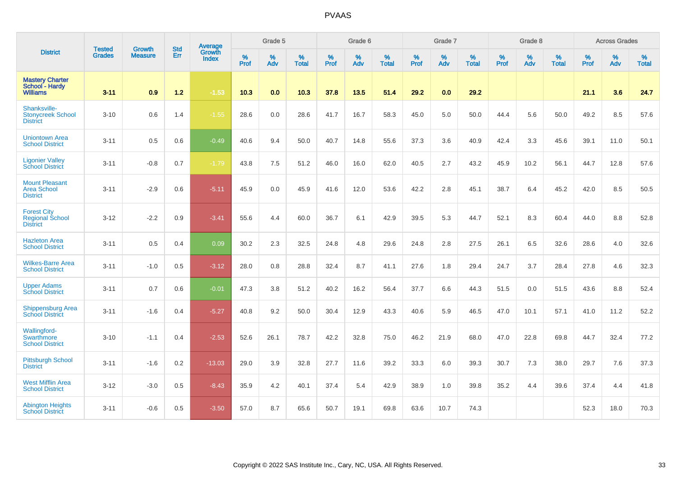|                                                                 |                                | <b>Growth</b>  | <b>Std</b> | Average                |                     | Grade 5  |                   |                     | Grade 6  |                   |                     | Grade 7  |                   |                     | Grade 8  |                   |                     | <b>Across Grades</b> |                   |
|-----------------------------------------------------------------|--------------------------------|----------------|------------|------------------------|---------------------|----------|-------------------|---------------------|----------|-------------------|---------------------|----------|-------------------|---------------------|----------|-------------------|---------------------|----------------------|-------------------|
| <b>District</b>                                                 | <b>Tested</b><br><b>Grades</b> | <b>Measure</b> | Err        | Growth<br><b>Index</b> | $\%$<br><b>Prof</b> | %<br>Adv | %<br><b>Total</b> | $\%$<br><b>Prof</b> | %<br>Adv | %<br><b>Total</b> | $\%$<br><b>Prof</b> | %<br>Adv | %<br><b>Total</b> | $\%$<br><b>Prof</b> | %<br>Adv | %<br><b>Total</b> | $\%$<br><b>Prof</b> | %<br>Adv             | %<br><b>Total</b> |
| <b>Mastery Charter</b><br>School - Hardy<br><b>Williams</b>     | $3 - 11$                       | 0.9            | $1.2$      | $-1.53$                | 10.3                | 0.0      | 10.3              | 37.8                | 13.5     | 51.4              | 29.2                | 0.0      | 29.2              |                     |          |                   | 21.1                | 3.6                  | 24.7              |
| Shanksville-<br><b>Stonycreek School</b><br><b>District</b>     | $3 - 10$                       | 0.6            | 1.4        | $-1.55$                | 28.6                | 0.0      | 28.6              | 41.7                | 16.7     | 58.3              | 45.0                | 5.0      | 50.0              | 44.4                | 5.6      | 50.0              | 49.2                | 8.5                  | 57.6              |
| <b>Uniontown Area</b><br><b>School District</b>                 | $3 - 11$                       | 0.5            | 0.6        | $-0.49$                | 40.6                | 9.4      | 50.0              | 40.7                | 14.8     | 55.6              | 37.3                | 3.6      | 40.9              | 42.4                | 3.3      | 45.6              | 39.1                | 11.0                 | 50.1              |
| <b>Ligonier Valley</b><br><b>School District</b>                | $3 - 11$                       | $-0.8$         | 0.7        | $-1.79$                | 43.8                | 7.5      | 51.2              | 46.0                | 16.0     | 62.0              | 40.5                | 2.7      | 43.2              | 45.9                | 10.2     | 56.1              | 44.7                | 12.8                 | 57.6              |
| <b>Mount Pleasant</b><br><b>Area School</b><br><b>District</b>  | $3 - 11$                       | $-2.9$         | 0.6        | $-5.11$                | 45.9                | 0.0      | 45.9              | 41.6                | 12.0     | 53.6              | 42.2                | 2.8      | 45.1              | 38.7                | 6.4      | 45.2              | 42.0                | 8.5                  | 50.5              |
| <b>Forest City</b><br><b>Regional School</b><br><b>District</b> | $3 - 12$                       | $-2.2$         | 0.9        | $-3.41$                | 55.6                | 4.4      | 60.0              | 36.7                | 6.1      | 42.9              | 39.5                | 5.3      | 44.7              | 52.1                | 8.3      | 60.4              | 44.0                | 8.8                  | 52.8              |
| <b>Hazleton Area</b><br><b>School District</b>                  | $3 - 11$                       | 0.5            | 0.4        | 0.09                   | 30.2                | 2.3      | 32.5              | 24.8                | 4.8      | 29.6              | 24.8                | 2.8      | 27.5              | 26.1                | 6.5      | 32.6              | 28.6                | 4.0                  | 32.6              |
| <b>Wilkes-Barre Area</b><br><b>School District</b>              | $3 - 11$                       | $-1.0$         | 0.5        | $-3.12$                | 28.0                | 0.8      | 28.8              | 32.4                | 8.7      | 41.1              | 27.6                | 1.8      | 29.4              | 24.7                | 3.7      | 28.4              | 27.8                | 4.6                  | 32.3              |
| <b>Upper Adams</b><br><b>School District</b>                    | $3 - 11$                       | 0.7            | 0.6        | $-0.01$                | 47.3                | 3.8      | 51.2              | 40.2                | 16.2     | 56.4              | 37.7                | 6.6      | 44.3              | 51.5                | 0.0      | 51.5              | 43.6                | 8.8                  | 52.4              |
| <b>Shippensburg Area</b><br><b>School District</b>              | $3 - 11$                       | $-1.6$         | 0.4        | $-5.27$                | 40.8                | 9.2      | 50.0              | 30.4                | 12.9     | 43.3              | 40.6                | 5.9      | 46.5              | 47.0                | 10.1     | 57.1              | 41.0                | 11.2                 | 52.2              |
| Wallingford-<br>Swarthmore<br><b>School District</b>            | $3 - 10$                       | $-1.1$         | 0.4        | $-2.53$                | 52.6                | 26.1     | 78.7              | 42.2                | 32.8     | 75.0              | 46.2                | 21.9     | 68.0              | 47.0                | 22.8     | 69.8              | 44.7                | 32.4                 | 77.2              |
| <b>Pittsburgh School</b><br><b>District</b>                     | $3 - 11$                       | $-1.6$         | 0.2        | $-13.03$               | 29.0                | 3.9      | 32.8              | 27.7                | 11.6     | 39.2              | 33.3                | 6.0      | 39.3              | 30.7                | 7.3      | 38.0              | 29.7                | 7.6                  | 37.3              |
| <b>West Mifflin Area</b><br><b>School District</b>              | $3 - 12$                       | $-3.0$         | 0.5        | $-8.43$                | 35.9                | 4.2      | 40.1              | 37.4                | 5.4      | 42.9              | 38.9                | 1.0      | 39.8              | 35.2                | 4.4      | 39.6              | 37.4                | 4.4                  | 41.8              |
| <b>Abington Heights</b><br><b>School District</b>               | $3 - 11$                       | $-0.6$         | 0.5        | $-3.50$                | 57.0                | 8.7      | 65.6              | 50.7                | 19.1     | 69.8              | 63.6                | 10.7     | 74.3              |                     |          |                   | 52.3                | 18.0                 | 70.3              |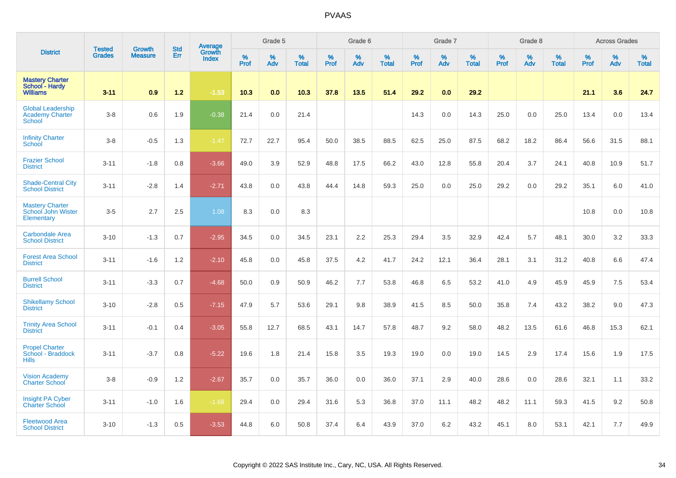|                                                                     |                                | <b>Growth</b>  | <b>Std</b> | Average                |              | Grade 5  |                   |           | Grade 6  |                   |              | Grade 7  |                   |              | Grade 8  |                   |           | <b>Across Grades</b> |                   |
|---------------------------------------------------------------------|--------------------------------|----------------|------------|------------------------|--------------|----------|-------------------|-----------|----------|-------------------|--------------|----------|-------------------|--------------|----------|-------------------|-----------|----------------------|-------------------|
| <b>District</b>                                                     | <b>Tested</b><br><b>Grades</b> | <b>Measure</b> | Err        | Growth<br><b>Index</b> | $\%$<br>Prof | %<br>Adv | %<br><b>Total</b> | %<br>Prof | %<br>Adv | %<br><b>Total</b> | $\%$<br>Prof | %<br>Adv | %<br><b>Total</b> | $\%$<br>Prof | %<br>Adv | %<br><b>Total</b> | %<br>Prof | %<br>Adv             | %<br><b>Total</b> |
| <b>Mastery Charter</b><br>School - Hardy<br><b>Williams</b>         | $3 - 11$                       | 0.9            | 1.2        | $-1.53$                | 10.3         | 0.0      | 10.3              | 37.8      | 13.5     | 51.4              | 29.2         | 0.0      | 29.2              |              |          |                   | 21.1      | 3.6                  | 24.7              |
| <b>Global Leadership</b><br><b>Academy Charter</b><br><b>School</b> | $3-8$                          | 0.6            | 1.9        | $-0.38$                | 21.4         | 0.0      | 21.4              |           |          |                   | 14.3         | 0.0      | 14.3              | 25.0         | 0.0      | 25.0              | 13.4      | 0.0                  | 13.4              |
| <b>Infinity Charter</b><br>School                                   | $3-8$                          | $-0.5$         | 1.3        | $-1.47$                | 72.7         | 22.7     | 95.4              | 50.0      | 38.5     | 88.5              | 62.5         | 25.0     | 87.5              | 68.2         | 18.2     | 86.4              | 56.6      | 31.5                 | 88.1              |
| <b>Frazier School</b><br><b>District</b>                            | $3 - 11$                       | $-1.8$         | 0.8        | $-3.66$                | 49.0         | 3.9      | 52.9              | 48.8      | 17.5     | 66.2              | 43.0         | 12.8     | 55.8              | 20.4         | 3.7      | 24.1              | 40.8      | 10.9                 | 51.7              |
| <b>Shade-Central City</b><br><b>School District</b>                 | $3 - 11$                       | $-2.8$         | 1.4        | $-2.71$                | 43.8         | 0.0      | 43.8              | 44.4      | 14.8     | 59.3              | 25.0         | 0.0      | 25.0              | 29.2         | 0.0      | 29.2              | 35.1      | 6.0                  | 41.0              |
| <b>Mastery Charter</b><br>School John Wister<br>Elementary          | $3-5$                          | 2.7            | 2.5        | 1.08                   | 8.3          | 0.0      | 8.3               |           |          |                   |              |          |                   |              |          |                   | 10.8      | 0.0                  | 10.8              |
| <b>Carbondale Area</b><br><b>School District</b>                    | $3 - 10$                       | $-1.3$         | 0.7        | $-2.95$                | 34.5         | 0.0      | 34.5              | 23.1      | 2.2      | 25.3              | 29.4         | 3.5      | 32.9              | 42.4         | 5.7      | 48.1              | 30.0      | 3.2                  | 33.3              |
| <b>Forest Area School</b><br><b>District</b>                        | $3 - 11$                       | $-1.6$         | 1.2        | $-2.10$                | 45.8         | 0.0      | 45.8              | 37.5      | 4.2      | 41.7              | 24.2         | 12.1     | 36.4              | 28.1         | 3.1      | 31.2              | 40.8      | 6.6                  | 47.4              |
| <b>Burrell School</b><br><b>District</b>                            | $3 - 11$                       | $-3.3$         | 0.7        | $-4.68$                | 50.0         | 0.9      | 50.9              | 46.2      | 7.7      | 53.8              | 46.8         | 6.5      | 53.2              | 41.0         | 4.9      | 45.9              | 45.9      | 7.5                  | 53.4              |
| <b>Shikellamy School</b><br><b>District</b>                         | $3 - 10$                       | $-2.8$         | 0.5        | $-7.15$                | 47.9         | 5.7      | 53.6              | 29.1      | 9.8      | 38.9              | 41.5         | 8.5      | 50.0              | 35.8         | 7.4      | 43.2              | 38.2      | 9.0                  | 47.3              |
| <b>Trinity Area School</b><br><b>District</b>                       | $3 - 11$                       | $-0.1$         | 0.4        | $-3.05$                | 55.8         | 12.7     | 68.5              | 43.1      | 14.7     | 57.8              | 48.7         | 9.2      | 58.0              | 48.2         | 13.5     | 61.6              | 46.8      | 15.3                 | 62.1              |
| <b>Propel Charter</b><br>School - Braddock<br><b>Hills</b>          | $3 - 11$                       | $-3.7$         | 0.8        | $-5.22$                | 19.6         | 1.8      | 21.4              | 15.8      | 3.5      | 19.3              | 19.0         | 0.0      | 19.0              | 14.5         | 2.9      | 17.4              | 15.6      | 1.9                  | 17.5              |
| <b>Vision Academy</b><br><b>Charter School</b>                      | $3-8$                          | $-0.9$         | 1.2        | $-2.67$                | 35.7         | 0.0      | 35.7              | 36.0      | 0.0      | 36.0              | 37.1         | 2.9      | 40.0              | 28.6         | 0.0      | 28.6              | 32.1      | 1.1                  | 33.2              |
| <b>Insight PA Cyber</b><br><b>Charter School</b>                    | $3 - 11$                       | $-1.0$         | 1.6        | $-1.68$                | 29.4         | 0.0      | 29.4              | 31.6      | 5.3      | 36.8              | 37.0         | 11.1     | 48.2              | 48.2         | 11.1     | 59.3              | 41.5      | 9.2                  | 50.8              |
| <b>Fleetwood Area</b><br><b>School District</b>                     | $3 - 10$                       | $-1.3$         | 0.5        | $-3.53$                | 44.8         | 6.0      | 50.8              | 37.4      | 6.4      | 43.9              | 37.0         | 6.2      | 43.2              | 45.1         | 8.0      | 53.1              | 42.1      | 7.7                  | 49.9              |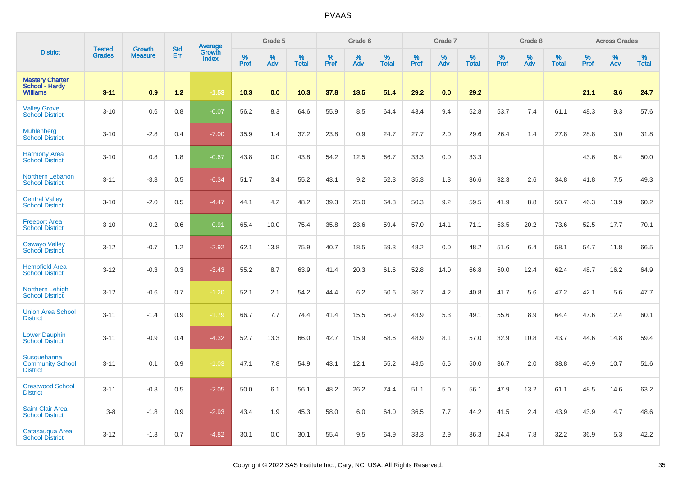|                                                             |                                |                                 |                   | Average                |                  | Grade 5     |                   |           | Grade 6  |                      |              | Grade 7  |                   |                     | Grade 8  |                   |                  | <b>Across Grades</b> |                   |
|-------------------------------------------------------------|--------------------------------|---------------------------------|-------------------|------------------------|------------------|-------------|-------------------|-----------|----------|----------------------|--------------|----------|-------------------|---------------------|----------|-------------------|------------------|----------------------|-------------------|
| <b>District</b>                                             | <b>Tested</b><br><b>Grades</b> | <b>Growth</b><br><b>Measure</b> | <b>Std</b><br>Err | Growth<br><b>Index</b> | %<br><b>Prof</b> | $\%$<br>Adv | %<br><b>Total</b> | %<br>Prof | %<br>Adv | $\%$<br><b>Total</b> | $\%$<br>Prof | %<br>Adv | %<br><b>Total</b> | $\%$<br><b>Prof</b> | %<br>Adv | %<br><b>Total</b> | %<br><b>Prof</b> | %<br>Adv             | %<br><b>Total</b> |
| <b>Mastery Charter</b><br>School - Hardy<br><b>Williams</b> | $3 - 11$                       | 0.9                             | $1.2$             | $-1.53$                | 10.3             | 0.0         | 10.3              | 37.8      | 13.5     | 51.4                 | 29.2         | 0.0      | 29.2              |                     |          |                   | 21.1             | 3.6                  | 24.7              |
| <b>Valley Grove</b><br><b>School District</b>               | $3 - 10$                       | 0.6                             | 0.8               | $-0.07$                | 56.2             | 8.3         | 64.6              | 55.9      | 8.5      | 64.4                 | 43.4         | 9.4      | 52.8              | 53.7                | 7.4      | 61.1              | 48.3             | 9.3                  | 57.6              |
| <b>Muhlenberg</b><br><b>School District</b>                 | $3 - 10$                       | $-2.8$                          | 0.4               | $-7.00$                | 35.9             | 1.4         | 37.2              | 23.8      | 0.9      | 24.7                 | 27.7         | 2.0      | 29.6              | 26.4                | 1.4      | 27.8              | 28.8             | 3.0                  | 31.8              |
| <b>Harmony Area</b><br><b>School District</b>               | $3 - 10$                       | 0.8                             | 1.8               | $-0.67$                | 43.8             | 0.0         | 43.8              | 54.2      | 12.5     | 66.7                 | 33.3         | 0.0      | 33.3              |                     |          |                   | 43.6             | 6.4                  | 50.0              |
| Northern Lebanon<br><b>School District</b>                  | $3 - 11$                       | $-3.3$                          | 0.5               | $-6.34$                | 51.7             | 3.4         | 55.2              | 43.1      | 9.2      | 52.3                 | 35.3         | 1.3      | 36.6              | 32.3                | $2.6\,$  | 34.8              | 41.8             | 7.5                  | 49.3              |
| <b>Central Valley</b><br><b>School District</b>             | $3 - 10$                       | $-2.0$                          | 0.5               | $-4.47$                | 44.1             | 4.2         | 48.2              | 39.3      | 25.0     | 64.3                 | 50.3         | 9.2      | 59.5              | 41.9                | 8.8      | 50.7              | 46.3             | 13.9                 | 60.2              |
| <b>Freeport Area</b><br><b>School District</b>              | $3 - 10$                       | 0.2                             | 0.6               | $-0.91$                | 65.4             | 10.0        | 75.4              | 35.8      | 23.6     | 59.4                 | 57.0         | 14.1     | 71.1              | 53.5                | 20.2     | 73.6              | 52.5             | 17.7                 | 70.1              |
| <b>Oswayo Valley</b><br><b>School District</b>              | $3 - 12$                       | $-0.7$                          | 1.2               | $-2.92$                | 62.1             | 13.8        | 75.9              | 40.7      | 18.5     | 59.3                 | 48.2         | 0.0      | 48.2              | 51.6                | 6.4      | 58.1              | 54.7             | 11.8                 | 66.5              |
| <b>Hempfield Area</b><br><b>School District</b>             | $3 - 12$                       | $-0.3$                          | 0.3               | $-3.43$                | 55.2             | 8.7         | 63.9              | 41.4      | 20.3     | 61.6                 | 52.8         | 14.0     | 66.8              | 50.0                | 12.4     | 62.4              | 48.7             | 16.2                 | 64.9              |
| <b>Northern Lehigh</b><br><b>School District</b>            | $3 - 12$                       | $-0.6$                          | 0.7               | $-1.20$                | 52.1             | 2.1         | 54.2              | 44.4      | 6.2      | 50.6                 | 36.7         | 4.2      | 40.8              | 41.7                | 5.6      | 47.2              | 42.1             | 5.6                  | 47.7              |
| <b>Union Area School</b><br><b>District</b>                 | $3 - 11$                       | $-1.4$                          | 0.9               | $-1.79$                | 66.7             | 7.7         | 74.4              | 41.4      | 15.5     | 56.9                 | 43.9         | 5.3      | 49.1              | 55.6                | 8.9      | 64.4              | 47.6             | 12.4                 | 60.1              |
| <b>Lower Dauphin</b><br><b>School District</b>              | $3 - 11$                       | $-0.9$                          | 0.4               | $-4.32$                | 52.7             | 13.3        | 66.0              | 42.7      | 15.9     | 58.6                 | 48.9         | 8.1      | 57.0              | 32.9                | 10.8     | 43.7              | 44.6             | 14.8                 | 59.4              |
| Susquehanna<br><b>Community School</b><br><b>District</b>   | $3 - 11$                       | 0.1                             | 0.9               | $-1.03$                | 47.1             | 7.8         | 54.9              | 43.1      | 12.1     | 55.2                 | 43.5         | 6.5      | 50.0              | 36.7                | 2.0      | 38.8              | 40.9             | 10.7                 | 51.6              |
| <b>Crestwood School</b><br><b>District</b>                  | $3 - 11$                       | $-0.8$                          | 0.5               | $-2.05$                | 50.0             | 6.1         | 56.1              | 48.2      | 26.2     | 74.4                 | 51.1         | 5.0      | 56.1              | 47.9                | 13.2     | 61.1              | 48.5             | 14.6                 | 63.2              |
| <b>Saint Clair Area</b><br><b>School District</b>           | $3 - 8$                        | $-1.8$                          | 0.9               | $-2.93$                | 43.4             | 1.9         | 45.3              | 58.0      | 6.0      | 64.0                 | 36.5         | 7.7      | 44.2              | 41.5                | 2.4      | 43.9              | 43.9             | 4.7                  | 48.6              |
| Catasaugua Area<br><b>School District</b>                   | $3 - 12$                       | $-1.3$                          | 0.7               | $-4.82$                | 30.1             | 0.0         | 30.1              | 55.4      | 9.5      | 64.9                 | 33.3         | 2.9      | 36.3              | 24.4                | 7.8      | 32.2              | 36.9             | 5.3                  | 42.2              |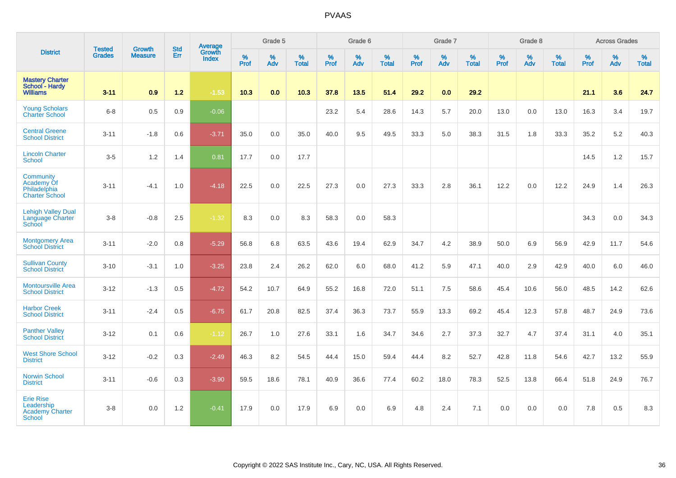|                                                                         | <b>Tested</b> | <b>Growth</b>  | <b>Std</b> | Average                |                     | Grade 5  |                   |                     | Grade 6  |                   |              | Grade 7  |                   |              | Grade 8  |                   |                  | <b>Across Grades</b> |                   |
|-------------------------------------------------------------------------|---------------|----------------|------------|------------------------|---------------------|----------|-------------------|---------------------|----------|-------------------|--------------|----------|-------------------|--------------|----------|-------------------|------------------|----------------------|-------------------|
| <b>District</b>                                                         | <b>Grades</b> | <b>Measure</b> | <b>Err</b> | Growth<br><b>Index</b> | $\%$<br><b>Prof</b> | %<br>Adv | %<br><b>Total</b> | $\%$<br><b>Prof</b> | %<br>Adv | %<br><b>Total</b> | $\%$<br>Prof | %<br>Adv | %<br><b>Total</b> | $\%$<br>Prof | %<br>Adv | %<br><b>Total</b> | %<br><b>Prof</b> | %<br>Adv             | %<br><b>Total</b> |
| <b>Mastery Charter</b><br>School - Hardy<br><b>Williams</b>             | $3 - 11$      | 0.9            | $1.2$      | $-1.53$                | 10.3                | 0.0      | 10.3              | 37.8                | 13.5     | 51.4              | 29.2         | 0.0      | 29.2              |              |          |                   | 21.1             | 3.6                  | 24.7              |
| <b>Young Scholars</b><br><b>Charter School</b>                          | $6 - 8$       | 0.5            | 0.9        | $-0.06$                |                     |          |                   | 23.2                | 5.4      | 28.6              | 14.3         | 5.7      | 20.0              | 13.0         | 0.0      | 13.0              | 16.3             | 3.4                  | 19.7              |
| <b>Central Greene</b><br><b>School District</b>                         | $3 - 11$      | $-1.8$         | 0.6        | $-3.71$                | 35.0                | 0.0      | 35.0              | 40.0                | 9.5      | 49.5              | 33.3         | 5.0      | 38.3              | 31.5         | 1.8      | 33.3              | 35.2             | 5.2                  | 40.3              |
| <b>Lincoln Charter</b><br>School                                        | $3-5$         | 1.2            | 1.4        | 0.81                   | 17.7                | 0.0      | 17.7              |                     |          |                   |              |          |                   |              |          |                   | 14.5             | 1.2                  | 15.7              |
| Community<br><b>Academy Of</b><br>Philadelphia<br><b>Charter School</b> | $3 - 11$      | $-4.1$         | 1.0        | $-4.18$                | 22.5                | 0.0      | 22.5              | 27.3                | 0.0      | 27.3              | 33.3         | 2.8      | 36.1              | 12.2         | 0.0      | 12.2              | 24.9             | 1.4                  | 26.3              |
| <b>Lehigh Valley Dual</b><br><b>Language Charter</b><br>School          | $3-8$         | $-0.8$         | 2.5        | $-1.32$                | 8.3                 | 0.0      | 8.3               | 58.3                | 0.0      | 58.3              |              |          |                   |              |          |                   | 34.3             | 0.0                  | 34.3              |
| <b>Montgomery Area</b><br><b>School District</b>                        | $3 - 11$      | $-2.0$         | 0.8        | $-5.29$                | 56.8                | 6.8      | 63.5              | 43.6                | 19.4     | 62.9              | 34.7         | 4.2      | 38.9              | 50.0         | 6.9      | 56.9              | 42.9             | 11.7                 | 54.6              |
| <b>Sullivan County</b><br><b>School District</b>                        | $3 - 10$      | $-3.1$         | 1.0        | $-3.25$                | 23.8                | 2.4      | 26.2              | 62.0                | 6.0      | 68.0              | 41.2         | 5.9      | 47.1              | 40.0         | 2.9      | 42.9              | 40.0             | 6.0                  | 46.0              |
| <b>Montoursville Area</b><br><b>School District</b>                     | $3 - 12$      | $-1.3$         | 0.5        | $-4.72$                | 54.2                | 10.7     | 64.9              | 55.2                | 16.8     | 72.0              | 51.1         | 7.5      | 58.6              | 45.4         | 10.6     | 56.0              | 48.5             | 14.2                 | 62.6              |
| <b>Harbor Creek</b><br><b>School District</b>                           | $3 - 11$      | $-2.4$         | 0.5        | $-6.75$                | 61.7                | 20.8     | 82.5              | 37.4                | 36.3     | 73.7              | 55.9         | 13.3     | 69.2              | 45.4         | 12.3     | 57.8              | 48.7             | 24.9                 | 73.6              |
| <b>Panther Valley</b><br><b>School District</b>                         | $3 - 12$      | 0.1            | 0.6        | $-1.12$                | 26.7                | 1.0      | 27.6              | 33.1                | 1.6      | 34.7              | 34.6         | 2.7      | 37.3              | 32.7         | 4.7      | 37.4              | 31.1             | 4.0                  | 35.1              |
| <b>West Shore School</b><br><b>District</b>                             | $3 - 12$      | $-0.2$         | 0.3        | $-2.49$                | 46.3                | 8.2      | 54.5              | 44.4                | 15.0     | 59.4              | 44.4         | 8.2      | 52.7              | 42.8         | 11.8     | 54.6              | 42.7             | 13.2                 | 55.9              |
| <b>Norwin School</b><br><b>District</b>                                 | $3 - 11$      | $-0.6$         | 0.3        | $-3.90$                | 59.5                | 18.6     | 78.1              | 40.9                | 36.6     | 77.4              | 60.2         | 18.0     | 78.3              | 52.5         | 13.8     | 66.4              | 51.8             | 24.9                 | 76.7              |
| <b>Erie Rise</b><br>Leadership<br><b>Academy Charter</b><br>School      | $3-8$         | 0.0            | 1.2        | $-0.41$                | 17.9                | 0.0      | 17.9              | 6.9                 | 0.0      | 6.9               | 4.8          | 2.4      | 7.1               | 0.0          | 0.0      | 0.0               | 7.8              | 0.5                  | 8.3               |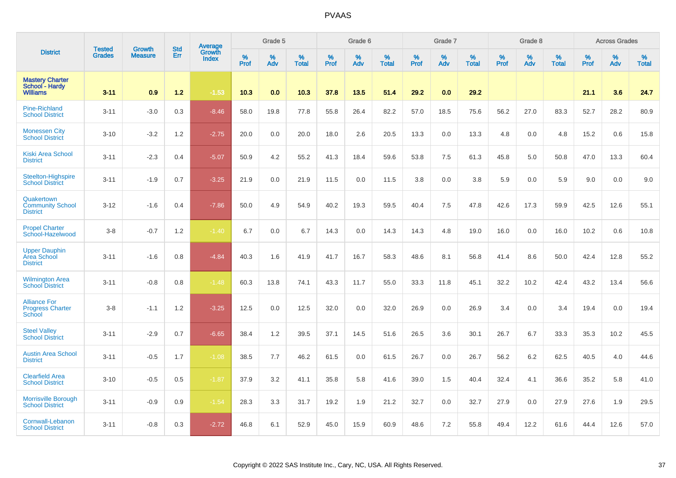|                                                             |                                | <b>Growth</b>  | <b>Std</b> | Average                |              | Grade 5  |                   |           | Grade 6  |                   |           | Grade 7  |                   |           | Grade 8  |                   |           | <b>Across Grades</b> |                   |
|-------------------------------------------------------------|--------------------------------|----------------|------------|------------------------|--------------|----------|-------------------|-----------|----------|-------------------|-----------|----------|-------------------|-----------|----------|-------------------|-----------|----------------------|-------------------|
| <b>District</b>                                             | <b>Tested</b><br><b>Grades</b> | <b>Measure</b> | Err        | Growth<br><b>Index</b> | $\%$<br>Prof | %<br>Adv | %<br><b>Total</b> | %<br>Prof | %<br>Adv | %<br><b>Total</b> | %<br>Prof | %<br>Adv | %<br><b>Total</b> | %<br>Prof | %<br>Adv | %<br><b>Total</b> | %<br>Prof | %<br>Adv             | %<br><b>Total</b> |
| <b>Mastery Charter</b><br>School - Hardy<br><b>Williams</b> | $3 - 11$                       | 0.9            | 1.2        | $-1.53$                | 10.3         | 0.0      | 10.3              | 37.8      | 13.5     | 51.4              | 29.2      | 0.0      | 29.2              |           |          |                   | 21.1      | 3.6                  | 24.7              |
| <b>Pine-Richland</b><br><b>School District</b>              | $3 - 11$                       | $-3.0$         | 0.3        | $-8.46$                | 58.0         | 19.8     | 77.8              | 55.8      | 26.4     | 82.2              | 57.0      | 18.5     | 75.6              | 56.2      | 27.0     | 83.3              | 52.7      | 28.2                 | 80.9              |
| <b>Monessen City</b><br><b>School District</b>              | $3 - 10$                       | $-3.2$         | 1.2        | $-2.75$                | 20.0         | 0.0      | 20.0              | 18.0      | 2.6      | 20.5              | 13.3      | 0.0      | 13.3              | 4.8       | 0.0      | 4.8               | 15.2      | 0.6                  | 15.8              |
| <b>Kiski Area School</b><br><b>District</b>                 | $3 - 11$                       | $-2.3$         | 0.4        | $-5.07$                | 50.9         | 4.2      | 55.2              | 41.3      | 18.4     | 59.6              | 53.8      | 7.5      | 61.3              | 45.8      | 5.0      | 50.8              | 47.0      | 13.3                 | 60.4              |
| <b>Steelton-Highspire</b><br><b>School District</b>         | $3 - 11$                       | $-1.9$         | 0.7        | $-3.25$                | 21.9         | 0.0      | 21.9              | 11.5      | 0.0      | 11.5              | 3.8       | 0.0      | 3.8               | 5.9       | 0.0      | 5.9               | 9.0       | 0.0                  | 9.0               |
| Quakertown<br><b>Community School</b><br><b>District</b>    | $3 - 12$                       | $-1.6$         | 0.4        | $-7.86$                | 50.0         | 4.9      | 54.9              | 40.2      | 19.3     | 59.5              | 40.4      | 7.5      | 47.8              | 42.6      | 17.3     | 59.9              | 42.5      | 12.6                 | 55.1              |
| <b>Propel Charter</b><br>School-Hazelwood                   | $3-8$                          | $-0.7$         | 1.2        | $-1.40$                | 6.7          | 0.0      | 6.7               | 14.3      | 0.0      | 14.3              | 14.3      | 4.8      | 19.0              | 16.0      | 0.0      | 16.0              | 10.2      | 0.6                  | 10.8              |
| <b>Upper Dauphin</b><br>Area School<br><b>District</b>      | $3 - 11$                       | $-1.6$         | 0.8        | $-4.84$                | 40.3         | 1.6      | 41.9              | 41.7      | 16.7     | 58.3              | 48.6      | 8.1      | 56.8              | 41.4      | 8.6      | 50.0              | 42.4      | 12.8                 | 55.2              |
| <b>Wilmington Area</b><br><b>School District</b>            | $3 - 11$                       | $-0.8$         | 0.8        | $-1.48$                | 60.3         | 13.8     | 74.1              | 43.3      | 11.7     | 55.0              | 33.3      | 11.8     | 45.1              | 32.2      | 10.2     | 42.4              | 43.2      | 13.4                 | 56.6              |
| <b>Alliance For</b><br><b>Progress Charter</b><br>School    | $3-8$                          | $-1.1$         | 1.2        | $-3.25$                | 12.5         | 0.0      | 12.5              | 32.0      | 0.0      | 32.0              | 26.9      | 0.0      | 26.9              | 3.4       | 0.0      | 3.4               | 19.4      | 0.0                  | 19.4              |
| <b>Steel Valley</b><br><b>School District</b>               | $3 - 11$                       | $-2.9$         | 0.7        | $-6.65$                | 38.4         | 1.2      | 39.5              | 37.1      | 14.5     | 51.6              | 26.5      | 3.6      | 30.1              | 26.7      | 6.7      | 33.3              | 35.3      | 10.2                 | 45.5              |
| <b>Austin Area School</b><br><b>District</b>                | $3 - 11$                       | $-0.5$         | 1.7        | $-1.08$                | 38.5         | 7.7      | 46.2              | 61.5      | 0.0      | 61.5              | 26.7      | 0.0      | 26.7              | 56.2      | 6.2      | 62.5              | 40.5      | 4.0                  | 44.6              |
| <b>Clearfield Area</b><br><b>School District</b>            | $3 - 10$                       | $-0.5$         | 0.5        | $-1.87$                | 37.9         | 3.2      | 41.1              | 35.8      | 5.8      | 41.6              | 39.0      | 1.5      | 40.4              | 32.4      | 4.1      | 36.6              | 35.2      | 5.8                  | 41.0              |
| <b>Morrisville Borough</b><br><b>School District</b>        | $3 - 11$                       | $-0.9$         | 0.9        | $-1.54$                | 28.3         | 3.3      | 31.7              | 19.2      | 1.9      | 21.2              | 32.7      | 0.0      | 32.7              | 27.9      | 0.0      | 27.9              | 27.6      | 1.9                  | 29.5              |
| Cornwall-Lebanon<br><b>School District</b>                  | $3 - 11$                       | $-0.8$         | 0.3        | $-2.72$                | 46.8         | 6.1      | 52.9              | 45.0      | 15.9     | 60.9              | 48.6      | 7.2      | 55.8              | 49.4      | 12.2     | 61.6              | 44.4      | 12.6                 | 57.0              |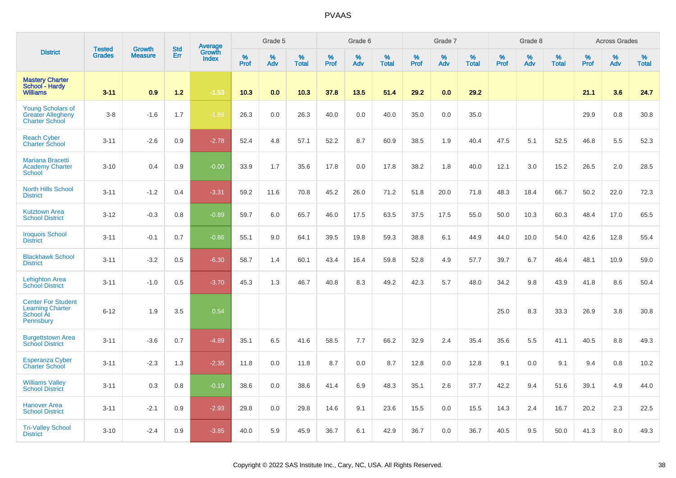|                                                                                       | <b>Tested</b> | <b>Growth</b>  | <b>Std</b> | <b>Average</b><br>Growth |                     | Grade 5  |                   |                  | Grade 6  |                   |                  | Grade 7  |                   |           | Grade 8  |                   |           | <b>Across Grades</b> |                   |
|---------------------------------------------------------------------------------------|---------------|----------------|------------|--------------------------|---------------------|----------|-------------------|------------------|----------|-------------------|------------------|----------|-------------------|-----------|----------|-------------------|-----------|----------------------|-------------------|
| <b>District</b>                                                                       | <b>Grades</b> | <b>Measure</b> | Err        | <b>Index</b>             | $\%$<br><b>Prof</b> | %<br>Adv | %<br><b>Total</b> | %<br><b>Prof</b> | %<br>Adv | %<br><b>Total</b> | %<br><b>Prof</b> | %<br>Adv | %<br><b>Total</b> | %<br>Prof | %<br>Adv | %<br><b>Total</b> | %<br>Prof | %<br>Adv             | %<br><b>Total</b> |
| <b>Mastery Charter</b><br>School - Hardy<br><b>Williams</b>                           | $3 - 11$      | 0.9            | $1.2$      | $-1.53$                  | 10.3                | 0.0      | 10.3              | 37.8             | 13.5     | 51.4              | 29.2             | 0.0      | 29.2              |           |          |                   | 21.1      | 3.6                  | 24.7              |
| <b>Young Scholars of</b><br><b>Greater Allegheny</b><br><b>Charter School</b>         | $3 - 8$       | $-1.6$         | 1.7        | $-1.89$                  | 26.3                | 0.0      | 26.3              | 40.0             | 0.0      | 40.0              | 35.0             | 0.0      | 35.0              |           |          |                   | 29.9      | 0.8                  | 30.8              |
| <b>Reach Cyber</b><br><b>Charter School</b>                                           | $3 - 11$      | $-2.6$         | 0.9        | $-2.78$                  | 52.4                | 4.8      | 57.1              | 52.2             | 8.7      | 60.9              | 38.5             | 1.9      | 40.4              | 47.5      | 5.1      | 52.5              | 46.8      | 5.5                  | 52.3              |
| Mariana Bracetti<br><b>Academy Charter</b><br><b>School</b>                           | $3 - 10$      | 0.4            | 0.9        | $-0.00$                  | 33.9                | 1.7      | 35.6              | 17.8             | 0.0      | 17.8              | 38.2             | 1.8      | 40.0              | 12.1      | 3.0      | 15.2              | 26.5      | 2.0                  | 28.5              |
| <b>North Hills School</b><br><b>District</b>                                          | $3 - 11$      | $-1.2$         | 0.4        | $-3.31$                  | 59.2                | 11.6     | 70.8              | 45.2             | 26.0     | 71.2              | 51.8             | 20.0     | 71.8              | 48.3      | 18.4     | 66.7              | 50.2      | 22.0                 | 72.3              |
| <b>Kutztown Area</b><br><b>School District</b>                                        | $3 - 12$      | $-0.3$         | 0.8        | $-0.89$                  | 59.7                | 6.0      | 65.7              | 46.0             | 17.5     | 63.5              | 37.5             | 17.5     | 55.0              | 50.0      | 10.3     | 60.3              | 48.4      | 17.0                 | 65.5              |
| <b>Iroquois School</b><br><b>District</b>                                             | $3 - 11$      | $-0.1$         | 0.7        | $-0.86$                  | 55.1                | 9.0      | 64.1              | 39.5             | 19.8     | 59.3              | 38.8             | 6.1      | 44.9              | 44.0      | 10.0     | 54.0              | 42.6      | 12.8                 | 55.4              |
| <b>Blackhawk School</b><br><b>District</b>                                            | $3 - 11$      | $-3.2$         | 0.5        | $-6.30$                  | 58.7                | 1.4      | 60.1              | 43.4             | 16.4     | 59.8              | 52.8             | 4.9      | 57.7              | 39.7      | 6.7      | 46.4              | 48.1      | 10.9                 | 59.0              |
| <b>Lehighton Area</b><br><b>School District</b>                                       | $3 - 11$      | $-1.0$         | 0.5        | $-3.70$                  | 45.3                | 1.3      | 46.7              | 40.8             | 8.3      | 49.2              | 42.3             | 5.7      | 48.0              | 34.2      | 9.8      | 43.9              | 41.8      | 8.6                  | 50.4              |
| <b>Center For Student</b><br><b>Learning Charter</b><br><b>School At</b><br>Pennsbury | $6 - 12$      | 1.9            | 3.5        | 0.54                     |                     |          |                   |                  |          |                   |                  |          |                   | 25.0      | 8.3      | 33.3              | 26.9      | 3.8                  | 30.8              |
| <b>Burgettstown Area</b><br><b>School District</b>                                    | $3 - 11$      | $-3.6$         | 0.7        | $-4.89$                  | 35.1                | 6.5      | 41.6              | 58.5             | 7.7      | 66.2              | 32.9             | 2.4      | 35.4              | 35.6      | 5.5      | 41.1              | 40.5      | 8.8                  | 49.3              |
| <b>Esperanza Cyber</b><br><b>Charter School</b>                                       | $3 - 11$      | $-2.3$         | 1.3        | $-2.35$                  | 11.8                | 0.0      | 11.8              | 8.7              | 0.0      | 8.7               | 12.8             | 0.0      | 12.8              | 9.1       | 0.0      | 9.1               | 9.4       | 0.8                  | 10.2              |
| <b>Williams Valley</b><br><b>School District</b>                                      | $3 - 11$      | 0.3            | 0.8        | $-0.19$                  | 38.6                | 0.0      | 38.6              | 41.4             | 6.9      | 48.3              | 35.1             | 2.6      | 37.7              | 42.2      | 9.4      | 51.6              | 39.1      | 4.9                  | 44.0              |
| <b>Hanover Area</b><br><b>School District</b>                                         | $3 - 11$      | $-2.1$         | 0.9        | $-2.93$                  | 29.8                | 0.0      | 29.8              | 14.6             | 9.1      | 23.6              | 15.5             | 0.0      | 15.5              | 14.3      | 2.4      | 16.7              | 20.2      | 2.3                  | 22.5              |
| <b>Tri-Valley School</b><br><b>District</b>                                           | $3 - 10$      | $-2.4$         | 0.9        | $-3.85$                  | 40.0                | 5.9      | 45.9              | 36.7             | 6.1      | 42.9              | 36.7             | 0.0      | 36.7              | 40.5      | 9.5      | 50.0              | 41.3      | 8.0                  | 49.3              |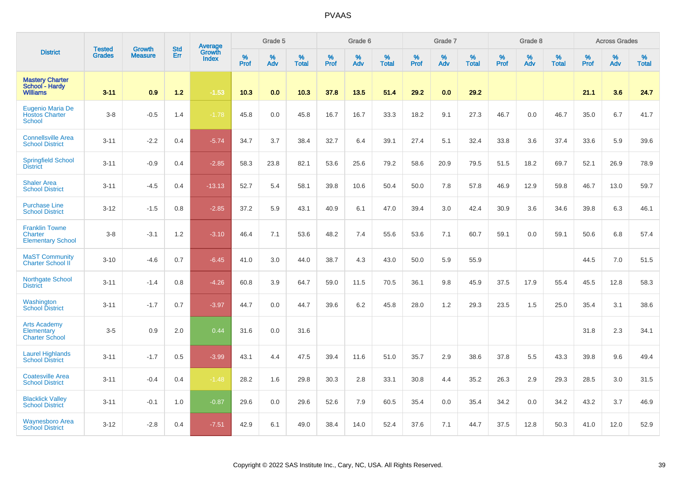|                                                                     |                                | <b>Growth</b>  | <b>Std</b> | Average                |              | Grade 5  |                   |              | Grade 6  |                   |              | Grade 7  |                   |              | Grade 8  |                   |              | <b>Across Grades</b> |                   |
|---------------------------------------------------------------------|--------------------------------|----------------|------------|------------------------|--------------|----------|-------------------|--------------|----------|-------------------|--------------|----------|-------------------|--------------|----------|-------------------|--------------|----------------------|-------------------|
| <b>District</b>                                                     | <b>Tested</b><br><b>Grades</b> | <b>Measure</b> | Err        | Growth<br><b>Index</b> | $\%$<br>Prof | %<br>Adv | %<br><b>Total</b> | $\%$<br>Prof | %<br>Adv | %<br><b>Total</b> | $\%$<br>Prof | %<br>Adv | %<br><b>Total</b> | $\%$<br>Prof | %<br>Adv | %<br><b>Total</b> | $\%$<br>Prof | %<br>Adv             | %<br><b>Total</b> |
| <b>Mastery Charter</b><br>School - Hardy<br><b>Williams</b>         | $3 - 11$                       | 0.9            | 1.2        | $-1.53$                | 10.3         | 0.0      | 10.3              | 37.8         | 13.5     | 51.4              | 29.2         | 0.0      | 29.2              |              |          |                   | 21.1         | 3.6                  | 24.7              |
| Eugenio Maria De<br><b>Hostos Charter</b><br><b>School</b>          | $3-8$                          | $-0.5$         | 1.4        | $-1.78$                | 45.8         | 0.0      | 45.8              | 16.7         | 16.7     | 33.3              | 18.2         | 9.1      | 27.3              | 46.7         | 0.0      | 46.7              | 35.0         | 6.7                  | 41.7              |
| <b>Connellsville Area</b><br><b>School District</b>                 | $3 - 11$                       | $-2.2$         | 0.4        | $-5.74$                | 34.7         | 3.7      | 38.4              | 32.7         | 6.4      | 39.1              | 27.4         | 5.1      | 32.4              | 33.8         | 3.6      | 37.4              | 33.6         | 5.9                  | 39.6              |
| <b>Springfield School</b><br><b>District</b>                        | $3 - 11$                       | $-0.9$         | 0.4        | $-2.85$                | 58.3         | 23.8     | 82.1              | 53.6         | 25.6     | 79.2              | 58.6         | 20.9     | 79.5              | 51.5         | 18.2     | 69.7              | 52.1         | 26.9                 | 78.9              |
| <b>Shaler Area</b><br><b>School District</b>                        | $3 - 11$                       | $-4.5$         | 0.4        | $-13.13$               | 52.7         | 5.4      | 58.1              | 39.8         | 10.6     | 50.4              | 50.0         | 7.8      | 57.8              | 46.9         | 12.9     | 59.8              | 46.7         | 13.0                 | 59.7              |
| <b>Purchase Line</b><br><b>School District</b>                      | $3 - 12$                       | $-1.5$         | 0.8        | $-2.85$                | 37.2         | 5.9      | 43.1              | 40.9         | 6.1      | 47.0              | 39.4         | 3.0      | 42.4              | 30.9         | 3.6      | 34.6              | 39.8         | 6.3                  | 46.1              |
| <b>Franklin Towne</b><br><b>Charter</b><br><b>Elementary School</b> | $3 - 8$                        | $-3.1$         | 1.2        | $-3.10$                | 46.4         | 7.1      | 53.6              | 48.2         | 7.4      | 55.6              | 53.6         | 7.1      | 60.7              | 59.1         | 0.0      | 59.1              | 50.6         | 6.8                  | 57.4              |
| <b>MaST Community</b><br>Charter School II                          | $3 - 10$                       | $-4.6$         | 0.7        | $-6.45$                | 41.0         | 3.0      | 44.0              | 38.7         | 4.3      | 43.0              | 50.0         | 5.9      | 55.9              |              |          |                   | 44.5         | 7.0                  | 51.5              |
| <b>Northgate School</b><br><b>District</b>                          | $3 - 11$                       | $-1.4$         | 0.8        | $-4.26$                | 60.8         | 3.9      | 64.7              | 59.0         | 11.5     | 70.5              | 36.1         | 9.8      | 45.9              | 37.5         | 17.9     | 55.4              | 45.5         | 12.8                 | 58.3              |
| Washington<br><b>School District</b>                                | $3 - 11$                       | $-1.7$         | 0.7        | $-3.97$                | 44.7         | 0.0      | 44.7              | 39.6         | 6.2      | 45.8              | 28.0         | 1.2      | 29.3              | 23.5         | 1.5      | 25.0              | 35.4         | 3.1                  | 38.6              |
| <b>Arts Academy</b><br>Elementary<br><b>Charter School</b>          | $3-5$                          | 0.9            | 2.0        | 0.44                   | 31.6         | 0.0      | 31.6              |              |          |                   |              |          |                   |              |          |                   | 31.8         | 2.3                  | 34.1              |
| <b>Laurel Highlands</b><br><b>School District</b>                   | $3 - 11$                       | $-1.7$         | 0.5        | $-3.99$                | 43.1         | 4.4      | 47.5              | 39.4         | 11.6     | 51.0              | 35.7         | 2.9      | 38.6              | 37.8         | 5.5      | 43.3              | 39.8         | 9.6                  | 49.4              |
| <b>Coatesville Area</b><br><b>School District</b>                   | $3 - 11$                       | $-0.4$         | 0.4        | $-1.48$                | 28.2         | 1.6      | 29.8              | 30.3         | 2.8      | 33.1              | 30.8         | 4.4      | 35.2              | 26.3         | 2.9      | 29.3              | 28.5         | 3.0                  | 31.5              |
| <b>Blacklick Valley</b><br><b>School District</b>                   | $3 - 11$                       | $-0.1$         | 1.0        | $-0.87$                | 29.6         | 0.0      | 29.6              | 52.6         | 7.9      | 60.5              | 35.4         | 0.0      | 35.4              | 34.2         | 0.0      | 34.2              | 43.2         | 3.7                  | 46.9              |
| <b>Waynesboro Area</b><br><b>School District</b>                    | $3 - 12$                       | $-2.8$         | 0.4        | $-7.51$                | 42.9         | 6.1      | 49.0              | 38.4         | 14.0     | 52.4              | 37.6         | 7.1      | 44.7              | 37.5         | 12.8     | 50.3              | 41.0         | 12.0                 | 52.9              |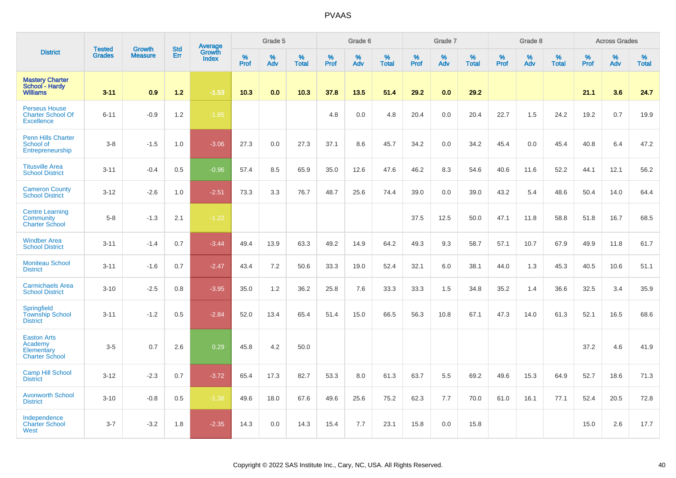|                                                                       | <b>Tested</b> | <b>Growth</b>  | <b>Std</b> | Average                |                     | Grade 5     |                   |                  | Grade 6  |                   |                  | Grade 7  |                   |                  | Grade 8  |                   |              | <b>Across Grades</b> |                   |
|-----------------------------------------------------------------------|---------------|----------------|------------|------------------------|---------------------|-------------|-------------------|------------------|----------|-------------------|------------------|----------|-------------------|------------------|----------|-------------------|--------------|----------------------|-------------------|
| <b>District</b>                                                       | <b>Grades</b> | <b>Measure</b> | Err        | Growth<br><b>Index</b> | $\%$<br><b>Prof</b> | $\%$<br>Adv | %<br><b>Total</b> | %<br><b>Prof</b> | %<br>Adv | %<br><b>Total</b> | %<br><b>Prof</b> | %<br>Adv | %<br><b>Total</b> | %<br><b>Prof</b> | %<br>Adv | %<br><b>Total</b> | $\%$<br>Prof | %<br>Adv             | %<br><b>Total</b> |
| <b>Mastery Charter</b><br>School - Hardy<br><b>Williams</b>           | $3 - 11$      | 0.9            | $1.2$      | $-1.53$                | 10.3                | 0.0         | 10.3              | 37.8             | 13.5     | 51.4              | 29.2             | 0.0      | 29.2              |                  |          |                   | 21.1         | 3.6                  | 24.7              |
| <b>Perseus House</b><br><b>Charter School Of</b><br><b>Excellence</b> | $6 - 11$      | $-0.9$         | 1.2        | $-1.85$                |                     |             |                   | 4.8              | 0.0      | 4.8               | 20.4             | 0.0      | 20.4              | 22.7             | 1.5      | 24.2              | 19.2         | 0.7                  | 19.9              |
| <b>Penn Hills Charter</b><br>School of<br>Entrepreneurship            | $3 - 8$       | $-1.5$         | 1.0        | $-3.06$                | 27.3                | 0.0         | 27.3              | 37.1             | 8.6      | 45.7              | 34.2             | 0.0      | 34.2              | 45.4             | 0.0      | 45.4              | 40.8         | 6.4                  | 47.2              |
| <b>Titusville Area</b><br><b>School District</b>                      | $3 - 11$      | $-0.4$         | 0.5        | $-0.96$                | 57.4                | 8.5         | 65.9              | 35.0             | 12.6     | 47.6              | 46.2             | 8.3      | 54.6              | 40.6             | 11.6     | 52.2              | 44.1         | 12.1                 | 56.2              |
| <b>Cameron County</b><br><b>School District</b>                       | $3 - 12$      | $-2.6$         | 1.0        | $-2.51$                | 73.3                | 3.3         | 76.7              | 48.7             | 25.6     | 74.4              | 39.0             | 0.0      | 39.0              | 43.2             | 5.4      | 48.6              | 50.4         | 14.0                 | 64.4              |
| <b>Centre Learning</b><br><b>Community</b><br><b>Charter School</b>   | $5 - 8$       | $-1.3$         | 2.1        | $-1.22$                |                     |             |                   |                  |          |                   | 37.5             | 12.5     | 50.0              | 47.1             | 11.8     | 58.8              | 51.8         | 16.7                 | 68.5              |
| <b>Windber Area</b><br><b>School District</b>                         | $3 - 11$      | $-1.4$         | 0.7        | $-3.44$                | 49.4                | 13.9        | 63.3              | 49.2             | 14.9     | 64.2              | 49.3             | 9.3      | 58.7              | 57.1             | 10.7     | 67.9              | 49.9         | 11.8                 | 61.7              |
| <b>Moniteau School</b><br><b>District</b>                             | $3 - 11$      | $-1.6$         | 0.7        | $-2.47$                | 43.4                | 7.2         | 50.6              | 33.3             | 19.0     | 52.4              | 32.1             | 6.0      | 38.1              | 44.0             | 1.3      | 45.3              | 40.5         | 10.6                 | 51.1              |
| <b>Carmichaels Area</b><br><b>School District</b>                     | $3 - 10$      | $-2.5$         | 0.8        | $-3.95$                | 35.0                | 1.2         | 36.2              | 25.8             | 7.6      | 33.3              | 33.3             | 1.5      | 34.8              | 35.2             | 1.4      | 36.6              | 32.5         | 3.4                  | 35.9              |
| <b>Springfield</b><br><b>Township School</b><br><b>District</b>       | $3 - 11$      | $-1.2$         | 0.5        | $-2.84$                | 52.0                | 13.4        | 65.4              | 51.4             | 15.0     | 66.5              | 56.3             | 10.8     | 67.1              | 47.3             | 14.0     | 61.3              | 52.1         | 16.5                 | 68.6              |
| <b>Easton Arts</b><br>Academy<br>Elementary<br><b>Charter School</b>  | $3-5$         | 0.7            | 2.6        | 0.29                   | 45.8                | 4.2         | 50.0              |                  |          |                   |                  |          |                   |                  |          |                   | 37.2         | 4.6                  | 41.9              |
| <b>Camp Hill School</b><br><b>District</b>                            | $3 - 12$      | $-2.3$         | 0.7        | $-3.72$                | 65.4                | 17.3        | 82.7              | 53.3             | 8.0      | 61.3              | 63.7             | 5.5      | 69.2              | 49.6             | 15.3     | 64.9              | 52.7         | 18.6                 | 71.3              |
| <b>Avonworth School</b><br><b>District</b>                            | $3 - 10$      | $-0.8$         | 0.5        | $-1.38$                | 49.6                | 18.0        | 67.6              | 49.6             | 25.6     | 75.2              | 62.3             | 7.7      | 70.0              | 61.0             | 16.1     | 77.1              | 52.4         | 20.5                 | 72.8              |
| Independence<br><b>Charter School</b><br>West                         | $3 - 7$       | $-3.2$         | 1.8        | $-2.35$                | 14.3                | 0.0         | 14.3              | 15.4             | 7.7      | 23.1              | 15.8             | 0.0      | 15.8              |                  |          |                   | 15.0         | 2.6                  | 17.7              |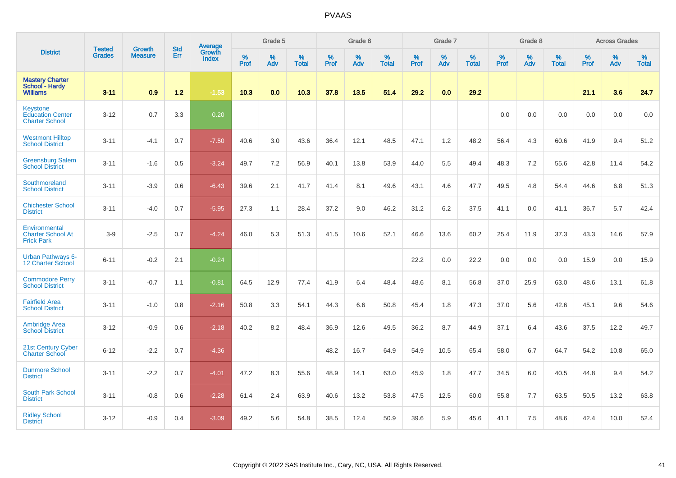|                                                                     | <b>Tested</b> | <b>Growth</b>  | <b>Std</b> | Average                |                     | Grade 5  |                   |                     | Grade 6  |                   |                  | Grade 7  |                   |           | Grade 8  |                   |           | <b>Across Grades</b> |                   |
|---------------------------------------------------------------------|---------------|----------------|------------|------------------------|---------------------|----------|-------------------|---------------------|----------|-------------------|------------------|----------|-------------------|-----------|----------|-------------------|-----------|----------------------|-------------------|
| <b>District</b>                                                     | <b>Grades</b> | <b>Measure</b> | Err        | Growth<br><b>Index</b> | $\%$<br><b>Prof</b> | %<br>Adv | %<br><b>Total</b> | $\%$<br><b>Prof</b> | %<br>Adv | %<br><b>Total</b> | %<br><b>Prof</b> | %<br>Adv | %<br><b>Total</b> | %<br>Prof | %<br>Adv | %<br><b>Total</b> | %<br>Prof | %<br>Adv             | %<br><b>Total</b> |
| <b>Mastery Charter</b><br>School - Hardy<br><b>Williams</b>         | $3 - 11$      | 0.9            | $1.2$      | $-1.53$                | 10.3                | 0.0      | 10.3              | 37.8                | 13.5     | 51.4              | 29.2             | 0.0      | 29.2              |           |          |                   | 21.1      | 3.6                  | 24.7              |
| <b>Keystone</b><br><b>Education Center</b><br><b>Charter School</b> | $3 - 12$      | 0.7            | 3.3        | 0.20                   |                     |          |                   |                     |          |                   |                  |          |                   | 0.0       | 0.0      | 0.0               | 0.0       | 0.0                  | 0.0               |
| <b>Westmont Hilltop</b><br><b>School District</b>                   | $3 - 11$      | $-4.1$         | 0.7        | $-7.50$                | 40.6                | 3.0      | 43.6              | 36.4                | 12.1     | 48.5              | 47.1             | 1.2      | 48.2              | 56.4      | 4.3      | 60.6              | 41.9      | 9.4                  | 51.2              |
| <b>Greensburg Salem</b><br><b>School District</b>                   | $3 - 11$      | $-1.6$         | 0.5        | $-3.24$                | 49.7                | 7.2      | 56.9              | 40.1                | 13.8     | 53.9              | 44.0             | 5.5      | 49.4              | 48.3      | 7.2      | 55.6              | 42.8      | 11.4                 | 54.2              |
| Southmoreland<br><b>School District</b>                             | $3 - 11$      | $-3.9$         | 0.6        | $-6.43$                | 39.6                | 2.1      | 41.7              | 41.4                | 8.1      | 49.6              | 43.1             | 4.6      | 47.7              | 49.5      | 4.8      | 54.4              | 44.6      | 6.8                  | 51.3              |
| <b>Chichester School</b><br><b>District</b>                         | $3 - 11$      | $-4.0$         | 0.7        | $-5.95$                | 27.3                | 1.1      | 28.4              | 37.2                | 9.0      | 46.2              | 31.2             | 6.2      | 37.5              | 41.1      | 0.0      | 41.1              | 36.7      | 5.7                  | 42.4              |
| Environmental<br><b>Charter School At</b><br><b>Frick Park</b>      | $3-9$         | $-2.5$         | 0.7        | $-4.24$                | 46.0                | 5.3      | 51.3              | 41.5                | 10.6     | 52.1              | 46.6             | 13.6     | 60.2              | 25.4      | 11.9     | 37.3              | 43.3      | 14.6                 | 57.9              |
| <b>Urban Pathways 6-</b><br>12 Charter School                       | $6 - 11$      | $-0.2$         | 2.1        | $-0.24$                |                     |          |                   |                     |          |                   | 22.2             | 0.0      | 22.2              | 0.0       | 0.0      | 0.0               | 15.9      | 0.0                  | 15.9              |
| <b>Commodore Perry</b><br><b>School District</b>                    | $3 - 11$      | $-0.7$         | 1.1        | $-0.81$                | 64.5                | 12.9     | 77.4              | 41.9                | 6.4      | 48.4              | 48.6             | 8.1      | 56.8              | 37.0      | 25.9     | 63.0              | 48.6      | 13.1                 | 61.8              |
| <b>Fairfield Area</b><br><b>School District</b>                     | $3 - 11$      | $-1.0$         | 0.8        | $-2.16$                | 50.8                | 3.3      | 54.1              | 44.3                | 6.6      | 50.8              | 45.4             | 1.8      | 47.3              | 37.0      | 5.6      | 42.6              | 45.1      | 9.6                  | 54.6              |
| <b>Ambridge Area</b><br><b>School District</b>                      | $3 - 12$      | $-0.9$         | 0.6        | $-2.18$                | 40.2                | 8.2      | 48.4              | 36.9                | 12.6     | 49.5              | 36.2             | 8.7      | 44.9              | 37.1      | 6.4      | 43.6              | 37.5      | 12.2                 | 49.7              |
| 21st Century Cyber<br><b>Charter School</b>                         | $6 - 12$      | $-2.2$         | 0.7        | $-4.36$                |                     |          |                   | 48.2                | 16.7     | 64.9              | 54.9             | 10.5     | 65.4              | 58.0      | 6.7      | 64.7              | 54.2      | 10.8                 | 65.0              |
| <b>Dunmore School</b><br><b>District</b>                            | $3 - 11$      | $-2.2$         | 0.7        | $-4.01$                | 47.2                | 8.3      | 55.6              | 48.9                | 14.1     | 63.0              | 45.9             | 1.8      | 47.7              | 34.5      | 6.0      | 40.5              | 44.8      | 9.4                  | 54.2              |
| <b>South Park School</b><br><b>District</b>                         | $3 - 11$      | $-0.8$         | 0.6        | $-2.28$                | 61.4                | 2.4      | 63.9              | 40.6                | 13.2     | 53.8              | 47.5             | 12.5     | 60.0              | 55.8      | 7.7      | 63.5              | 50.5      | 13.2                 | 63.8              |
| <b>Ridley School</b><br><b>District</b>                             | $3 - 12$      | $-0.9$         | 0.4        | $-3.09$                | 49.2                | 5.6      | 54.8              | 38.5                | 12.4     | 50.9              | 39.6             | 5.9      | 45.6              | 41.1      | 7.5      | 48.6              | 42.4      | 10.0                 | 52.4              |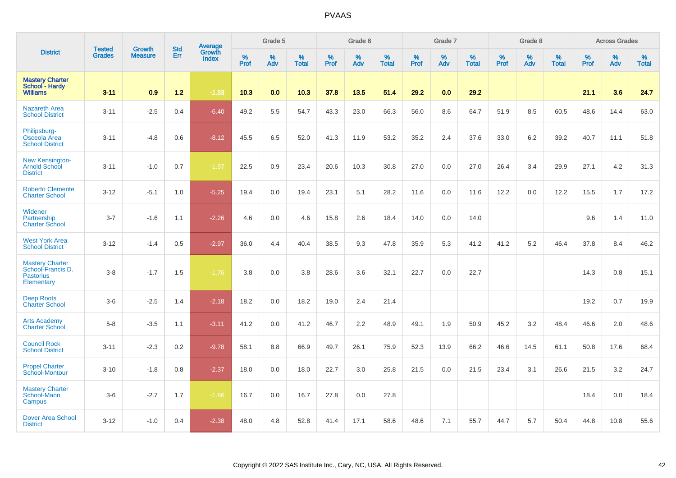|                                                                               |                                |                                 | <b>Std</b> | Average                |           | Grade 5  |                   |           | Grade 6  |                   |           | Grade 7  |                   |           | Grade 8  |                   |           | <b>Across Grades</b> |                   |
|-------------------------------------------------------------------------------|--------------------------------|---------------------------------|------------|------------------------|-----------|----------|-------------------|-----------|----------|-------------------|-----------|----------|-------------------|-----------|----------|-------------------|-----------|----------------------|-------------------|
| <b>District</b>                                                               | <b>Tested</b><br><b>Grades</b> | <b>Growth</b><br><b>Measure</b> | Err        | Growth<br><b>Index</b> | %<br>Prof | %<br>Adv | %<br><b>Total</b> | %<br>Prof | %<br>Adv | %<br><b>Total</b> | %<br>Prof | %<br>Adv | %<br><b>Total</b> | %<br>Prof | %<br>Adv | %<br><b>Total</b> | %<br>Prof | %<br>Adv             | %<br><b>Total</b> |
| <b>Mastery Charter</b><br>School - Hardy<br><b>Williams</b>                   | $3 - 11$                       | 0.9                             | $1.2$      | $-1.53$                | 10.3      | 0.0      | 10.3              | 37.8      | 13.5     | 51.4              | 29.2      | 0.0      | 29.2              |           |          |                   | 21.1      | 3.6                  | 24.7              |
| <b>Nazareth Area</b><br><b>School District</b>                                | $3 - 11$                       | $-2.5$                          | 0.4        | $-6.40$                | 49.2      | 5.5      | 54.7              | 43.3      | 23.0     | 66.3              | 56.0      | 8.6      | 64.7              | 51.9      | 8.5      | 60.5              | 48.6      | 14.4                 | 63.0              |
| Philipsburg-<br>Osceola Area<br><b>School District</b>                        | $3 - 11$                       | $-4.8$                          | 0.6        | $-8.12$                | 45.5      | 6.5      | 52.0              | 41.3      | 11.9     | 53.2              | 35.2      | 2.4      | 37.6              | 33.0      | 6.2      | 39.2              | 40.7      | 11.1                 | 51.8              |
| <b>New Kensington-</b><br>Arnold School<br><b>District</b>                    | $3 - 11$                       | $-1.0$                          | 0.7        | $-1.97$                | 22.5      | 0.9      | 23.4              | 20.6      | 10.3     | 30.8              | 27.0      | 0.0      | 27.0              | 26.4      | 3.4      | 29.9              | 27.1      | 4.2                  | 31.3              |
| <b>Roberto Clemente</b><br><b>Charter School</b>                              | $3 - 12$                       | $-5.1$                          | 1.0        | $-5.25$                | 19.4      | 0.0      | 19.4              | 23.1      | 5.1      | 28.2              | 11.6      | 0.0      | 11.6              | 12.2      | 0.0      | 12.2              | 15.5      | 1.7                  | 17.2              |
| Widener<br>Partnership<br><b>Charter School</b>                               | $3 - 7$                        | $-1.6$                          | 1.1        | $-2.26$                | 4.6       | 0.0      | 4.6               | 15.8      | 2.6      | 18.4              | 14.0      | 0.0      | 14.0              |           |          |                   | 9.6       | 1.4                  | 11.0              |
| <b>West York Area</b><br><b>School District</b>                               | $3 - 12$                       | $-1.4$                          | 0.5        | $-2.97$                | 36.0      | 4.4      | 40.4              | 38.5      | 9.3      | 47.8              | 35.9      | 5.3      | 41.2              | 41.2      | 5.2      | 46.4              | 37.8      | 8.4                  | 46.2              |
| <b>Mastery Charter</b><br>School-Francis D.<br><b>Pastorius</b><br>Elementary | $3-8$                          | $-1.7$                          | 1.5        | $-1.76$                | 3.8       | 0.0      | 3.8               | 28.6      | 3.6      | 32.1              | 22.7      | 0.0      | 22.7              |           |          |                   | 14.3      | 0.8                  | 15.1              |
| <b>Deep Roots</b><br><b>Charter School</b>                                    | $3-6$                          | $-2.5$                          | 1.4        | $-2.18$                | 18.2      | 0.0      | 18.2              | 19.0      | 2.4      | 21.4              |           |          |                   |           |          |                   | 19.2      | 0.7                  | 19.9              |
| <b>Arts Academy</b><br><b>Charter School</b>                                  | $5 - 8$                        | $-3.5$                          | 1.1        | $-3.11$                | 41.2      | 0.0      | 41.2              | 46.7      | 2.2      | 48.9              | 49.1      | 1.9      | 50.9              | 45.2      | 3.2      | 48.4              | 46.6      | 2.0                  | 48.6              |
| <b>Council Rock</b><br><b>School District</b>                                 | $3 - 11$                       | $-2.3$                          | 0.2        | $-9.78$                | 58.1      | 8.8      | 66.9              | 49.7      | 26.1     | 75.9              | 52.3      | 13.9     | 66.2              | 46.6      | 14.5     | 61.1              | 50.8      | 17.6                 | 68.4              |
| <b>Propel Charter</b><br>School-Montour                                       | $3 - 10$                       | $-1.8$                          | 0.8        | $-2.37$                | 18.0      | 0.0      | 18.0              | 22.7      | 3.0      | 25.8              | 21.5      | 0.0      | 21.5              | 23.4      | 3.1      | 26.6              | 21.5      | 3.2                  | 24.7              |
| <b>Mastery Charter</b><br>School-Mann<br>Campus                               | $3-6$                          | $-2.7$                          | 1.7        | $-1.86$                | 16.7      | 0.0      | 16.7              | 27.8      | 0.0      | 27.8              |           |          |                   |           |          |                   | 18.4      | 0.0                  | 18.4              |
| <b>Dover Area School</b><br><b>District</b>                                   | $3 - 12$                       | $-1.0$                          | 0.4        | $-2.38$                | 48.0      | 4.8      | 52.8              | 41.4      | 17.1     | 58.6              | 48.6      | 7.1      | 55.7              | 44.7      | 5.7      | 50.4              | 44.8      | 10.8                 | 55.6              |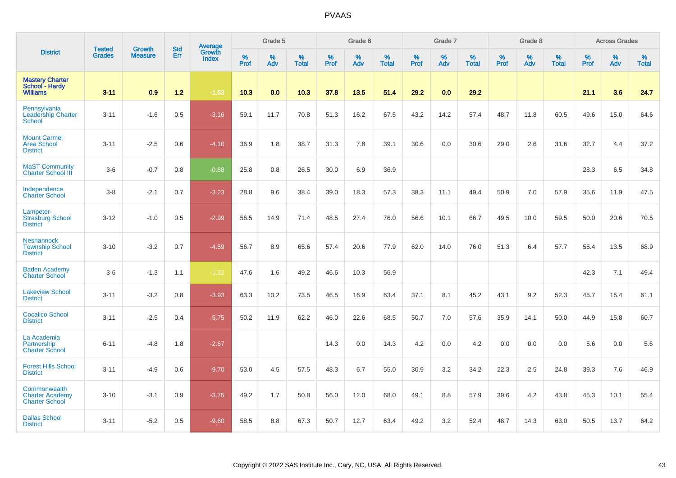|                                                                 |                                |                                 | <b>Std</b> | Average                |           | Grade 5  |                   |           | Grade 6         |                   |           | Grade 7  |                   |           | Grade 8  |                   |           | <b>Across Grades</b> |                   |
|-----------------------------------------------------------------|--------------------------------|---------------------------------|------------|------------------------|-----------|----------|-------------------|-----------|-----------------|-------------------|-----------|----------|-------------------|-----------|----------|-------------------|-----------|----------------------|-------------------|
| <b>District</b>                                                 | <b>Tested</b><br><b>Grades</b> | <b>Growth</b><br><b>Measure</b> | Err        | Growth<br><b>Index</b> | %<br>Prof | %<br>Adv | %<br><b>Total</b> | %<br>Prof | %<br><b>Adv</b> | %<br><b>Total</b> | %<br>Prof | %<br>Adv | %<br><b>Total</b> | %<br>Prof | %<br>Adv | %<br><b>Total</b> | %<br>Prof | %<br>Adv             | %<br><b>Total</b> |
| <b>Mastery Charter</b><br>School - Hardy<br><b>Williams</b>     | $3 - 11$                       | 0.9                             | $1.2$      | $-1.53$                | 10.3      | 0.0      | 10.3              | 37.8      | 13.5            | 51.4              | 29.2      | 0.0      | 29.2              |           |          |                   | 21.1      | 3.6                  | 24.7              |
| Pennsylvania<br><b>Leadership Charter</b><br><b>School</b>      | $3 - 11$                       | $-1.6$                          | 0.5        | $-3.16$                | 59.1      | 11.7     | 70.8              | 51.3      | 16.2            | 67.5              | 43.2      | 14.2     | 57.4              | 48.7      | 11.8     | 60.5              | 49.6      | 15.0                 | 64.6              |
| <b>Mount Carmel</b><br><b>Area School</b><br><b>District</b>    | $3 - 11$                       | $-2.5$                          | 0.6        | $-4.10$                | 36.9      | 1.8      | 38.7              | 31.3      | 7.8             | 39.1              | 30.6      | 0.0      | 30.6              | 29.0      | 2.6      | 31.6              | 32.7      | 4.4                  | 37.2              |
| <b>MaST Community</b><br><b>Charter School III</b>              | $3-6$                          | $-0.7$                          | 0.8        | $-0.88$                | 25.8      | 0.8      | 26.5              | 30.0      | 6.9             | 36.9              |           |          |                   |           |          |                   | 28.3      | 6.5                  | 34.8              |
| Independence<br><b>Charter School</b>                           | $3-8$                          | $-2.1$                          | 0.7        | $-3.23$                | 28.8      | 9.6      | 38.4              | 39.0      | 18.3            | 57.3              | 38.3      | 11.1     | 49.4              | 50.9      | 7.0      | 57.9              | 35.6      | 11.9                 | 47.5              |
| Lampeter-<br><b>Strasburg School</b><br><b>District</b>         | $3 - 12$                       | $-1.0$                          | 0.5        | $-2.99$                | 56.5      | 14.9     | 71.4              | 48.5      | 27.4            | 76.0              | 56.6      | 10.1     | 66.7              | 49.5      | 10.0     | 59.5              | 50.0      | 20.6                 | 70.5              |
| <b>Neshannock</b><br><b>Township School</b><br><b>District</b>  | $3 - 10$                       | $-3.2$                          | 0.7        | $-4.59$                | 56.7      | 8.9      | 65.6              | 57.4      | 20.6            | 77.9              | 62.0      | 14.0     | 76.0              | 51.3      | 6.4      | 57.7              | 55.4      | 13.5                 | 68.9              |
| <b>Baden Academy</b><br><b>Charter School</b>                   | $3-6$                          | $-1.3$                          | 1.1        | $-1.32$                | 47.6      | 1.6      | 49.2              | 46.6      | 10.3            | 56.9              |           |          |                   |           |          |                   | 42.3      | 7.1                  | 49.4              |
| <b>Lakeview School</b><br><b>District</b>                       | $3 - 11$                       | $-3.2$                          | 0.8        | $-3.93$                | 63.3      | 10.2     | 73.5              | 46.5      | 16.9            | 63.4              | 37.1      | 8.1      | 45.2              | 43.1      | 9.2      | 52.3              | 45.7      | 15.4                 | 61.1              |
| <b>Cocalico School</b><br><b>District</b>                       | $3 - 11$                       | $-2.5$                          | 0.4        | $-5.75$                | 50.2      | 11.9     | 62.2              | 46.0      | 22.6            | 68.5              | 50.7      | 7.0      | 57.6              | 35.9      | 14.1     | 50.0              | 44.9      | 15.8                 | 60.7              |
| La Academia<br>Partnership<br><b>Charter School</b>             | $6 - 11$                       | $-4.8$                          | 1.8        | $-2.67$                |           |          |                   | 14.3      | 0.0             | 14.3              | 4.2       | 0.0      | 4.2               | 0.0       | 0.0      | 0.0               | 5.6       | 0.0                  | 5.6               |
| <b>Forest Hills School</b><br><b>District</b>                   | $3 - 11$                       | $-4.9$                          | 0.6        | $-9.70$                | 53.0      | 4.5      | 57.5              | 48.3      | 6.7             | 55.0              | 30.9      | 3.2      | 34.2              | 22.3      | 2.5      | 24.8              | 39.3      | 7.6                  | 46.9              |
| Commonwealth<br><b>Charter Academy</b><br><b>Charter School</b> | $3 - 10$                       | $-3.1$                          | 0.9        | $-3.75$                | 49.2      | 1.7      | 50.8              | 56.0      | 12.0            | 68.0              | 49.1      | 8.8      | 57.9              | 39.6      | 4.2      | 43.8              | 45.3      | 10.1                 | 55.4              |
| <b>Dallas School</b><br><b>District</b>                         | $3 - 11$                       | $-5.2$                          | 0.5        | $-9.60$                | 58.5      | 8.8      | 67.3              | 50.7      | 12.7            | 63.4              | 49.2      | 3.2      | 52.4              | 48.7      | 14.3     | 63.0              | 50.5      | 13.7                 | 64.2              |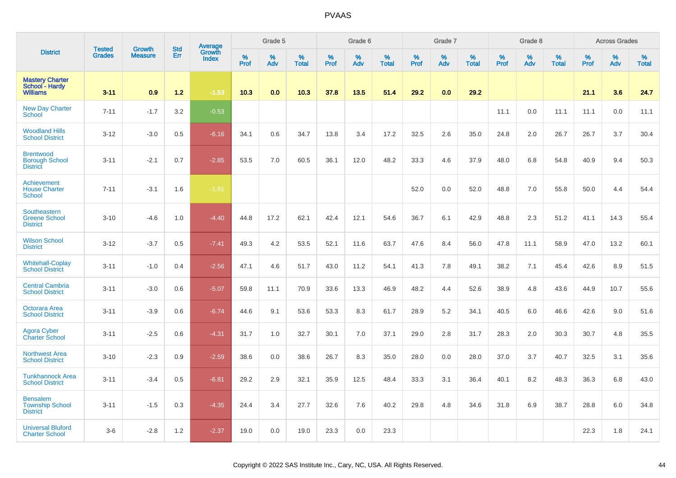|                                                              | <b>Tested</b> | <b>Growth</b>  | <b>Std</b> | <b>Average</b><br>Growth |              | Grade 5  |                   |           | Grade 6  |                   |           | Grade 7  |                   |           | Grade 8  |                   |           | <b>Across Grades</b> |                   |
|--------------------------------------------------------------|---------------|----------------|------------|--------------------------|--------------|----------|-------------------|-----------|----------|-------------------|-----------|----------|-------------------|-----------|----------|-------------------|-----------|----------------------|-------------------|
| <b>District</b>                                              | <b>Grades</b> | <b>Measure</b> | Err        | <b>Index</b>             | $\%$<br>Prof | %<br>Adv | %<br><b>Total</b> | %<br>Prof | %<br>Adv | %<br><b>Total</b> | %<br>Prof | %<br>Adv | %<br><b>Total</b> | %<br>Prof | %<br>Adv | %<br><b>Total</b> | %<br>Prof | %<br>Adv             | %<br><b>Total</b> |
| <b>Mastery Charter</b><br>School - Hardy<br><b>Williams</b>  | $3 - 11$      | 0.9            | $1.2$      | $-1.53$                  | 10.3         | 0.0      | 10.3              | 37.8      | 13.5     | 51.4              | 29.2      | 0.0      | 29.2              |           |          |                   | 21.1      | 3.6                  | 24.7              |
| <b>New Day Charter</b><br><b>School</b>                      | $7 - 11$      | $-1.7$         | 3.2        | $-0.53$                  |              |          |                   |           |          |                   |           |          |                   | 11.1      | 0.0      | 11.1              | 11.1      | 0.0                  | 11.1              |
| <b>Woodland Hills</b><br><b>School District</b>              | $3 - 12$      | $-3.0$         | 0.5        | $-6.16$                  | 34.1         | 0.6      | 34.7              | 13.8      | 3.4      | 17.2              | 32.5      | 2.6      | 35.0              | 24.8      | 2.0      | 26.7              | 26.7      | 3.7                  | 30.4              |
| <b>Brentwood</b><br><b>Borough School</b><br><b>District</b> | $3 - 11$      | $-2.1$         | 0.7        | $-2.85$                  | 53.5         | 7.0      | 60.5              | 36.1      | 12.0     | 48.2              | 33.3      | 4.6      | 37.9              | 48.0      | 6.8      | 54.8              | 40.9      | 9.4                  | 50.3              |
| Achievement<br><b>House Charter</b><br>School                | $7 - 11$      | $-3.1$         | 1.6        | $-1.91$                  |              |          |                   |           |          |                   | 52.0      | 0.0      | 52.0              | 48.8      | 7.0      | 55.8              | 50.0      | 4.4                  | 54.4              |
| Southeastern<br><b>Greene School</b><br><b>District</b>      | $3 - 10$      | $-4.6$         | 1.0        | $-4.40$                  | 44.8         | 17.2     | 62.1              | 42.4      | 12.1     | 54.6              | 36.7      | 6.1      | 42.9              | 48.8      | 2.3      | 51.2              | 41.1      | 14.3                 | 55.4              |
| <b>Wilson School</b><br><b>District</b>                      | $3 - 12$      | $-3.7$         | 0.5        | $-7.41$                  | 49.3         | 4.2      | 53.5              | 52.1      | 11.6     | 63.7              | 47.6      | 8.4      | 56.0              | 47.8      | 11.1     | 58.9              | 47.0      | 13.2                 | 60.1              |
| <b>Whitehall-Coplay</b><br><b>School District</b>            | $3 - 11$      | $-1.0$         | 0.4        | $-2.56$                  | 47.1         | 4.6      | 51.7              | 43.0      | 11.2     | 54.1              | 41.3      | 7.8      | 49.1              | 38.2      | 7.1      | 45.4              | 42.6      | 8.9                  | 51.5              |
| <b>Central Cambria</b><br><b>School District</b>             | $3 - 11$      | $-3.0$         | 0.6        | $-5.07$                  | 59.8         | 11.1     | 70.9              | 33.6      | 13.3     | 46.9              | 48.2      | 4.4      | 52.6              | 38.9      | 4.8      | 43.6              | 44.9      | 10.7                 | 55.6              |
| Octorara Area<br><b>School District</b>                      | $3 - 11$      | $-3.9$         | 0.6        | $-6.74$                  | 44.6         | 9.1      | 53.6              | 53.3      | 8.3      | 61.7              | 28.9      | 5.2      | 34.1              | 40.5      | 6.0      | 46.6              | 42.6      | 9.0                  | 51.6              |
| <b>Agora Cyber</b><br>Charter School                         | $3 - 11$      | $-2.5$         | 0.6        | $-4.31$                  | 31.7         | 1.0      | 32.7              | 30.1      | 7.0      | 37.1              | 29.0      | 2.8      | 31.7              | 28.3      | 2.0      | 30.3              | 30.7      | 4.8                  | 35.5              |
| <b>Northwest Area</b><br><b>School District</b>              | $3 - 10$      | $-2.3$         | 0.9        | $-2.59$                  | 38.6         | 0.0      | 38.6              | 26.7      | 8.3      | 35.0              | 28.0      | 0.0      | 28.0              | 37.0      | 3.7      | 40.7              | 32.5      | 3.1                  | 35.6              |
| <b>Tunkhannock Area</b><br><b>School District</b>            | $3 - 11$      | $-3.4$         | 0.5        | $-6.81$                  | 29.2         | 2.9      | 32.1              | 35.9      | 12.5     | 48.4              | 33.3      | 3.1      | 36.4              | 40.1      | 8.2      | 48.3              | 36.3      | 6.8                  | 43.0              |
| <b>Bensalem</b><br><b>Township School</b><br><b>District</b> | $3 - 11$      | $-1.5$         | 0.3        | $-4.35$                  | 24.4         | 3.4      | 27.7              | 32.6      | 7.6      | 40.2              | 29.8      | 4.8      | 34.6              | 31.8      | 6.9      | 38.7              | 28.8      | 6.0                  | 34.8              |
| <b>Universal Bluford</b><br><b>Charter School</b>            | $3-6$         | $-2.8$         | 1.2        | $-2.37$                  | 19.0         | 0.0      | 19.0              | 23.3      | 0.0      | 23.3              |           |          |                   |           |          |                   | 22.3      | 1.8                  | 24.1              |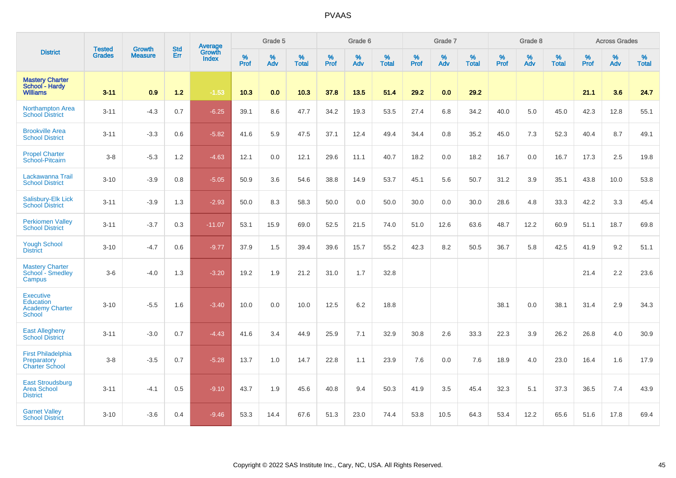|                                                                                 |                                | <b>Growth</b>  | <b>Std</b> | Average                |                     | Grade 5  |                   |              | Grade 6  |                   |              | Grade 7  |                   |              | Grade 8  |                   |           | <b>Across Grades</b> |                   |
|---------------------------------------------------------------------------------|--------------------------------|----------------|------------|------------------------|---------------------|----------|-------------------|--------------|----------|-------------------|--------------|----------|-------------------|--------------|----------|-------------------|-----------|----------------------|-------------------|
| <b>District</b>                                                                 | <b>Tested</b><br><b>Grades</b> | <b>Measure</b> | Err        | Growth<br><b>Index</b> | $\%$<br><b>Prof</b> | %<br>Adv | %<br><b>Total</b> | $\%$<br>Prof | %<br>Adv | %<br><b>Total</b> | $\%$<br>Prof | %<br>Adv | %<br><b>Total</b> | $\%$<br>Prof | %<br>Adv | %<br><b>Total</b> | %<br>Prof | %<br>Adv             | %<br><b>Total</b> |
| <b>Mastery Charter</b><br>School - Hardy<br><b>Williams</b>                     | $3 - 11$                       | 0.9            | $1.2$      | $-1.53$                | 10.3                | 0.0      | 10.3              | 37.8         | 13.5     | 51.4              | 29.2         | 0.0      | 29.2              |              |          |                   | 21.1      | 3.6                  | 24.7              |
| Northampton Area<br><b>School District</b>                                      | $3 - 11$                       | $-4.3$         | 0.7        | $-6.25$                | 39.1                | 8.6      | 47.7              | 34.2         | 19.3     | 53.5              | 27.4         | 6.8      | 34.2              | 40.0         | 5.0      | 45.0              | 42.3      | 12.8                 | 55.1              |
| <b>Brookville Area</b><br><b>School District</b>                                | $3 - 11$                       | $-3.3$         | 0.6        | $-5.82$                | 41.6                | 5.9      | 47.5              | 37.1         | 12.4     | 49.4              | 34.4         | 0.8      | 35.2              | 45.0         | 7.3      | 52.3              | 40.4      | 8.7                  | 49.1              |
| <b>Propel Charter</b><br>School-Pitcairn                                        | $3 - 8$                        | $-5.3$         | 1.2        | $-4.63$                | 12.1                | 0.0      | 12.1              | 29.6         | 11.1     | 40.7              | 18.2         | 0.0      | 18.2              | 16.7         | 0.0      | 16.7              | 17.3      | 2.5                  | 19.8              |
| Lackawanna Trail<br><b>School District</b>                                      | $3 - 10$                       | $-3.9$         | 0.8        | $-5.05$                | 50.9                | 3.6      | 54.6              | 38.8         | 14.9     | 53.7              | 45.1         | 5.6      | 50.7              | 31.2         | 3.9      | 35.1              | 43.8      | 10.0                 | 53.8              |
| Salisbury-Elk Lick<br><b>School District</b>                                    | $3 - 11$                       | $-3.9$         | 1.3        | $-2.93$                | 50.0                | 8.3      | 58.3              | 50.0         | 0.0      | 50.0              | 30.0         | 0.0      | 30.0              | 28.6         | 4.8      | 33.3              | 42.2      | 3.3                  | 45.4              |
| <b>Perkiomen Valley</b><br><b>School District</b>                               | $3 - 11$                       | $-3.7$         | 0.3        | $-11.07$               | 53.1                | 15.9     | 69.0              | 52.5         | 21.5     | 74.0              | 51.0         | 12.6     | 63.6              | 48.7         | 12.2     | 60.9              | 51.1      | 18.7                 | 69.8              |
| <b>Yough School</b><br><b>District</b>                                          | $3 - 10$                       | $-4.7$         | 0.6        | $-9.77$                | 37.9                | 1.5      | 39.4              | 39.6         | 15.7     | 55.2              | 42.3         | 8.2      | 50.5              | 36.7         | 5.8      | 42.5              | 41.9      | 9.2                  | 51.1              |
| <b>Mastery Charter</b><br>School - Smedley<br>Campus                            | $3-6$                          | $-4.0$         | 1.3        | $-3.20$                | 19.2                | 1.9      | 21.2              | 31.0         | 1.7      | 32.8              |              |          |                   |              |          |                   | 21.4      | 2.2                  | 23.6              |
| <b>Executive</b><br><b>Education</b><br><b>Academy Charter</b><br><b>School</b> | $3 - 10$                       | $-5.5$         | 1.6        | $-3.40$                | 10.0                | 0.0      | 10.0              | 12.5         | 6.2      | 18.8              |              |          |                   | 38.1         | 0.0      | 38.1              | 31.4      | 2.9                  | 34.3              |
| <b>East Allegheny</b><br><b>School District</b>                                 | $3 - 11$                       | $-3.0$         | 0.7        | $-4.43$                | 41.6                | 3.4      | 44.9              | 25.9         | 7.1      | 32.9              | 30.8         | 2.6      | 33.3              | 22.3         | 3.9      | 26.2              | 26.8      | 4.0                  | 30.9              |
| <b>First Philadelphia</b><br>Preparatory<br><b>Charter School</b>               | $3-8$                          | $-3.5$         | 0.7        | $-5.28$                | 13.7                | 1.0      | 14.7              | 22.8         | 1.1      | 23.9              | 7.6          | 0.0      | 7.6               | 18.9         | 4.0      | 23.0              | 16.4      | 1.6                  | 17.9              |
| <b>East Stroudsburg</b><br><b>Area School</b><br><b>District</b>                | $3 - 11$                       | $-4.1$         | 0.5        | $-9.10$                | 43.7                | 1.9      | 45.6              | 40.8         | 9.4      | 50.3              | 41.9         | 3.5      | 45.4              | 32.3         | 5.1      | 37.3              | 36.5      | 7.4                  | 43.9              |
| <b>Garnet Valley</b><br><b>School District</b>                                  | $3 - 10$                       | $-3.6$         | 0.4        | $-9.46$                | 53.3                | 14.4     | 67.6              | 51.3         | 23.0     | 74.4              | 53.8         | 10.5     | 64.3              | 53.4         | 12.2     | 65.6              | 51.6      | 17.8                 | 69.4              |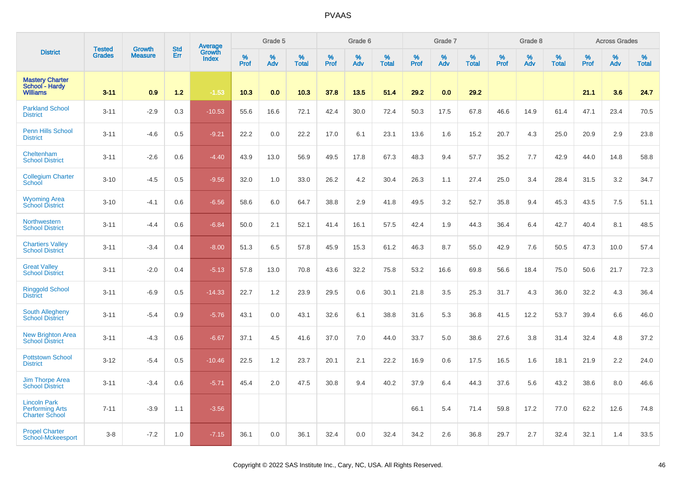|                                                                        |                                |                                 |                   | Average                |                     | Grade 5     |                      |                  | Grade 6     |                      |                     | Grade 7  |                      |                  | Grade 8  |                      |              | <b>Across Grades</b> |                      |
|------------------------------------------------------------------------|--------------------------------|---------------------------------|-------------------|------------------------|---------------------|-------------|----------------------|------------------|-------------|----------------------|---------------------|----------|----------------------|------------------|----------|----------------------|--------------|----------------------|----------------------|
| <b>District</b>                                                        | <b>Tested</b><br><b>Grades</b> | <b>Growth</b><br><b>Measure</b> | <b>Std</b><br>Err | Growth<br><b>Index</b> | $\%$<br><b>Prof</b> | $\%$<br>Adv | $\%$<br><b>Total</b> | %<br><b>Prof</b> | $\%$<br>Adv | $\%$<br><b>Total</b> | $\%$<br><b>Prof</b> | %<br>Adv | $\%$<br><b>Total</b> | %<br><b>Prof</b> | %<br>Adv | $\%$<br><b>Total</b> | $\%$<br>Prof | %<br>Adv             | $\%$<br><b>Total</b> |
| <b>Mastery Charter</b><br>School - Hardy<br><b>Williams</b>            | $3 - 11$                       | 0.9                             | $1.2$             | $-1.53$                | 10.3                | 0.0         | 10.3                 | 37.8             | 13.5        | 51.4                 | 29.2                | 0.0      | 29.2                 |                  |          |                      | 21.1         | 3.6                  | 24.7                 |
| <b>Parkland School</b><br><b>District</b>                              | $3 - 11$                       | $-2.9$                          | 0.3               | $-10.53$               | 55.6                | 16.6        | 72.1                 | 42.4             | 30.0        | 72.4                 | 50.3                | 17.5     | 67.8                 | 46.6             | 14.9     | 61.4                 | 47.1         | 23.4                 | 70.5                 |
| <b>Penn Hills School</b><br><b>District</b>                            | $3 - 11$                       | $-4.6$                          | 0.5               | $-9.21$                | 22.2                | 0.0         | 22.2                 | 17.0             | 6.1         | 23.1                 | 13.6                | 1.6      | 15.2                 | 20.7             | 4.3      | 25.0                 | 20.9         | 2.9                  | 23.8                 |
| Cheltenham<br><b>School District</b>                                   | $3 - 11$                       | $-2.6$                          | 0.6               | $-4.40$                | 43.9                | 13.0        | 56.9                 | 49.5             | 17.8        | 67.3                 | 48.3                | 9.4      | 57.7                 | 35.2             | 7.7      | 42.9                 | 44.0         | 14.8                 | 58.8                 |
| <b>Collegium Charter</b><br>School                                     | $3 - 10$                       | $-4.5$                          | 0.5               | $-9.56$                | 32.0                | 1.0         | 33.0                 | 26.2             | 4.2         | 30.4                 | 26.3                | 1.1      | 27.4                 | 25.0             | 3.4      | 28.4                 | 31.5         | 3.2                  | 34.7                 |
| <b>Wyoming Area</b><br><b>School District</b>                          | $3 - 10$                       | $-4.1$                          | 0.6               | $-6.56$                | 58.6                | 6.0         | 64.7                 | 38.8             | 2.9         | 41.8                 | 49.5                | 3.2      | 52.7                 | 35.8             | 9.4      | 45.3                 | 43.5         | 7.5                  | 51.1                 |
| Northwestern<br><b>School District</b>                                 | $3 - 11$                       | $-4.4$                          | 0.6               | $-6.84$                | 50.0                | 2.1         | 52.1                 | 41.4             | 16.1        | 57.5                 | 42.4                | 1.9      | 44.3                 | 36.4             | 6.4      | 42.7                 | 40.4         | 8.1                  | 48.5                 |
| <b>Chartiers Valley</b><br><b>School District</b>                      | $3 - 11$                       | $-3.4$                          | 0.4               | $-8.00$                | 51.3                | 6.5         | 57.8                 | 45.9             | 15.3        | 61.2                 | 46.3                | 8.7      | 55.0                 | 42.9             | 7.6      | 50.5                 | 47.3         | 10.0                 | 57.4                 |
| <b>Great Valley</b><br><b>School District</b>                          | $3 - 11$                       | $-2.0$                          | 0.4               | $-5.13$                | 57.8                | 13.0        | 70.8                 | 43.6             | 32.2        | 75.8                 | 53.2                | 16.6     | 69.8                 | 56.6             | 18.4     | 75.0                 | 50.6         | 21.7                 | 72.3                 |
| <b>Ringgold School</b><br><b>District</b>                              | $3 - 11$                       | $-6.9$                          | 0.5               | $-14.33$               | 22.7                | 1.2         | 23.9                 | 29.5             | 0.6         | 30.1                 | 21.8                | 3.5      | 25.3                 | 31.7             | 4.3      | 36.0                 | 32.2         | 4.3                  | 36.4                 |
| South Allegheny<br><b>School District</b>                              | $3 - 11$                       | $-5.4$                          | 0.9               | $-5.76$                | 43.1                | 0.0         | 43.1                 | 32.6             | 6.1         | 38.8                 | 31.6                | 5.3      | 36.8                 | 41.5             | 12.2     | 53.7                 | 39.4         | 6.6                  | 46.0                 |
| <b>New Brighton Area</b><br><b>School District</b>                     | $3 - 11$                       | $-4.3$                          | 0.6               | $-6.67$                | 37.1                | 4.5         | 41.6                 | 37.0             | 7.0         | 44.0                 | 33.7                | 5.0      | 38.6                 | 27.6             | 3.8      | 31.4                 | 32.4         | 4.8                  | 37.2                 |
| <b>Pottstown School</b><br><b>District</b>                             | $3 - 12$                       | $-5.4$                          | 0.5               | $-10.46$               | 22.5                | 1.2         | 23.7                 | 20.1             | 2.1         | 22.2                 | 16.9                | 0.6      | 17.5                 | 16.5             | 1.6      | 18.1                 | 21.9         | 2.2                  | 24.0                 |
| <b>Jim Thorpe Area</b><br><b>School District</b>                       | $3 - 11$                       | $-3.4$                          | 0.6               | $-5.71$                | 45.4                | 2.0         | 47.5                 | 30.8             | 9.4         | 40.2                 | 37.9                | 6.4      | 44.3                 | 37.6             | 5.6      | 43.2                 | 38.6         | 8.0                  | 46.6                 |
| <b>Lincoln Park</b><br><b>Performing Arts</b><br><b>Charter School</b> | $7 - 11$                       | $-3.9$                          | 1.1               | $-3.56$                |                     |             |                      |                  |             |                      | 66.1                | 5.4      | 71.4                 | 59.8             | 17.2     | 77.0                 | 62.2         | 12.6                 | 74.8                 |
| <b>Propel Charter</b><br>School-Mckeesport                             | $3 - 8$                        | $-7.2$                          | 1.0               | $-7.15$                | 36.1                | 0.0         | 36.1                 | 32.4             | 0.0         | 32.4                 | 34.2                | 2.6      | 36.8                 | 29.7             | 2.7      | 32.4                 | 32.1         | 1.4                  | 33.5                 |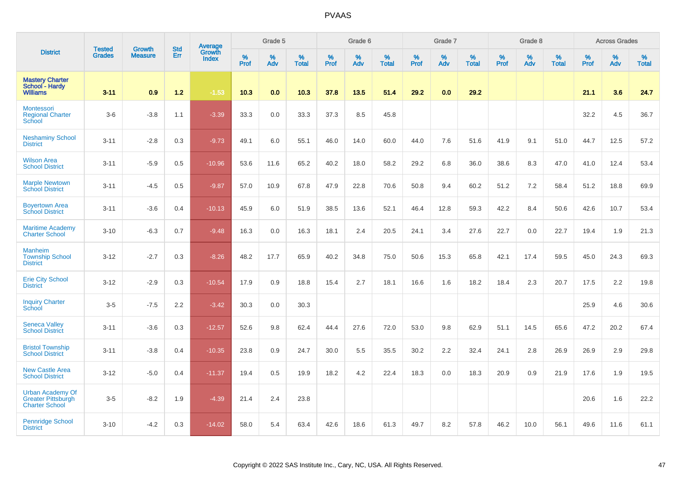|                                                                               |                                |                                 |                   | Average                |              | Grade 5  |                   |           | Grade 6  |                   |              | Grade 7  |                   |           | Grade 8  |                   |           | <b>Across Grades</b> |                   |
|-------------------------------------------------------------------------------|--------------------------------|---------------------------------|-------------------|------------------------|--------------|----------|-------------------|-----------|----------|-------------------|--------------|----------|-------------------|-----------|----------|-------------------|-----------|----------------------|-------------------|
| <b>District</b>                                                               | <b>Tested</b><br><b>Grades</b> | <b>Growth</b><br><b>Measure</b> | <b>Std</b><br>Err | Growth<br><b>Index</b> | $\%$<br>Prof | %<br>Adv | %<br><b>Total</b> | %<br>Prof | %<br>Adv | %<br><b>Total</b> | $\%$<br>Prof | %<br>Adv | %<br><b>Total</b> | %<br>Prof | %<br>Adv | %<br><b>Total</b> | %<br>Prof | %<br>Adv             | %<br><b>Total</b> |
| <b>Mastery Charter</b><br>School - Hardy<br><b>Williams</b>                   | $3 - 11$                       | 0.9                             | $1.2$             | $-1.53$                | 10.3         | 0.0      | 10.3              | 37.8      | 13.5     | 51.4              | 29.2         | 0.0      | 29.2              |           |          |                   | 21.1      | 3.6                  | 24.7              |
| <b>Montessori</b><br><b>Regional Charter</b><br>School                        | $3-6$                          | $-3.8$                          | 1.1               | $-3.39$                | 33.3         | 0.0      | 33.3              | 37.3      | 8.5      | 45.8              |              |          |                   |           |          |                   | 32.2      | 4.5                  | 36.7              |
| <b>Neshaminy School</b><br><b>District</b>                                    | $3 - 11$                       | $-2.8$                          | 0.3               | $-9.73$                | 49.1         | 6.0      | 55.1              | 46.0      | 14.0     | 60.0              | 44.0         | 7.6      | 51.6              | 41.9      | 9.1      | 51.0              | 44.7      | 12.5                 | 57.2              |
| <b>Wilson Area</b><br><b>School District</b>                                  | $3 - 11$                       | $-5.9$                          | 0.5               | $-10.96$               | 53.6         | 11.6     | 65.2              | 40.2      | 18.0     | 58.2              | 29.2         | 6.8      | 36.0              | 38.6      | 8.3      | 47.0              | 41.0      | 12.4                 | 53.4              |
| <b>Marple Newtown</b><br><b>School District</b>                               | $3 - 11$                       | $-4.5$                          | 0.5               | $-9.87$                | 57.0         | 10.9     | 67.8              | 47.9      | 22.8     | 70.6              | 50.8         | 9.4      | 60.2              | 51.2      | 7.2      | 58.4              | 51.2      | 18.8                 | 69.9              |
| <b>Boyertown Area</b><br><b>School District</b>                               | $3 - 11$                       | $-3.6$                          | 0.4               | $-10.13$               | 45.9         | 6.0      | 51.9              | 38.5      | 13.6     | 52.1              | 46.4         | 12.8     | 59.3              | 42.2      | 8.4      | 50.6              | 42.6      | 10.7                 | 53.4              |
| <b>Maritime Academy</b><br><b>Charter School</b>                              | $3 - 10$                       | $-6.3$                          | 0.7               | $-9.48$                | 16.3         | 0.0      | 16.3              | 18.1      | 2.4      | 20.5              | 24.1         | 3.4      | 27.6              | 22.7      | 0.0      | 22.7              | 19.4      | 1.9                  | 21.3              |
| <b>Manheim</b><br><b>Township School</b><br><b>District</b>                   | $3 - 12$                       | $-2.7$                          | 0.3               | $-8.26$                | 48.2         | 17.7     | 65.9              | 40.2      | 34.8     | 75.0              | 50.6         | 15.3     | 65.8              | 42.1      | 17.4     | 59.5              | 45.0      | 24.3                 | 69.3              |
| <b>Erie City School</b><br><b>District</b>                                    | $3 - 12$                       | $-2.9$                          | 0.3               | $-10.54$               | 17.9         | 0.9      | 18.8              | 15.4      | 2.7      | 18.1              | 16.6         | 1.6      | 18.2              | 18.4      | 2.3      | 20.7              | 17.5      | 2.2                  | 19.8              |
| <b>Inquiry Charter</b><br>School                                              | $3-5$                          | $-7.5$                          | 2.2               | $-3.42$                | 30.3         | 0.0      | 30.3              |           |          |                   |              |          |                   |           |          |                   | 25.9      | 4.6                  | 30.6              |
| <b>Seneca Valley</b><br><b>School District</b>                                | $3 - 11$                       | $-3.6$                          | 0.3               | $-12.57$               | 52.6         | 9.8      | 62.4              | 44.4      | 27.6     | 72.0              | 53.0         | 9.8      | 62.9              | 51.1      | 14.5     | 65.6              | 47.2      | 20.2                 | 67.4              |
| <b>Bristol Township</b><br><b>School District</b>                             | $3 - 11$                       | $-3.8$                          | 0.4               | $-10.35$               | 23.8         | 0.9      | 24.7              | 30.0      | 5.5      | 35.5              | 30.2         | 2.2      | 32.4              | 24.1      | 2.8      | 26.9              | 26.9      | 2.9                  | 29.8              |
| <b>New Castle Area</b><br><b>School District</b>                              | $3 - 12$                       | $-5.0$                          | 0.4               | $-11.37$               | 19.4         | 0.5      | 19.9              | 18.2      | 4.2      | 22.4              | 18.3         | 0.0      | 18.3              | 20.9      | 0.9      | 21.9              | 17.6      | 1.9                  | 19.5              |
| <b>Urban Academy Of</b><br><b>Greater Pittsburgh</b><br><b>Charter School</b> | $3-5$                          | $-8.2$                          | 1.9               | $-4.39$                | 21.4         | 2.4      | 23.8              |           |          |                   |              |          |                   |           |          |                   | 20.6      | 1.6                  | 22.2              |
| Pennridge School<br><b>District</b>                                           | $3 - 10$                       | $-4.2$                          | 0.3               | $-14.02$               | 58.0         | 5.4      | 63.4              | 42.6      | 18.6     | 61.3              | 49.7         | 8.2      | 57.8              | 46.2      | 10.0     | 56.1              | 49.6      | 11.6                 | 61.1              |